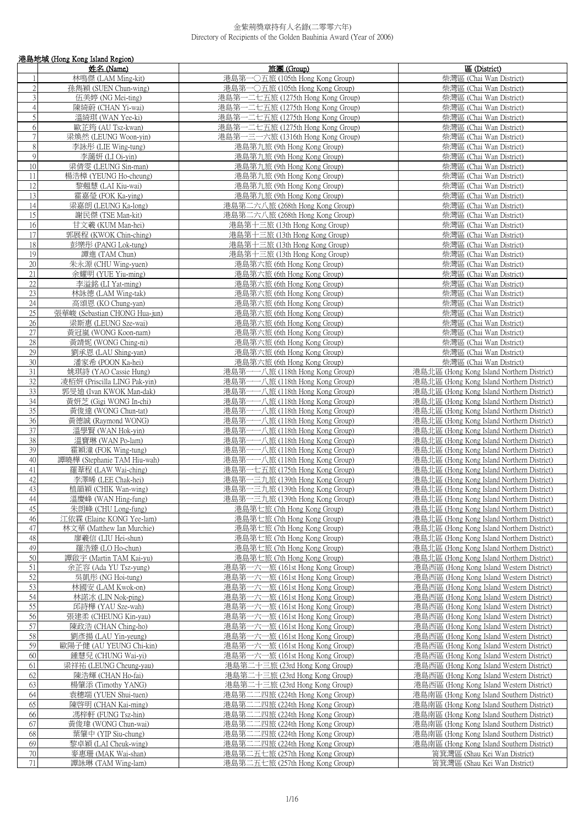|                 | 港島地域 (Hong Kong Island Region)                   |                                                                |                                                                                       |
|-----------------|--------------------------------------------------|----------------------------------------------------------------|---------------------------------------------------------------------------------------|
|                 | 姓名 (Name)                                        | 旅團 (Group)                                                     | 區 (District)                                                                          |
|                 | 林鳴傑 (LAM Ming-kit)                               | 港島第一○五旅 (105th Hong Kong Group)                                | 柴灣區 (Chai Wan District)                                                               |
| $\overline{2}$  | 孫雋穎 (SUEN Chun-wing)                             | 港島第一〇五旅 (105th Hong Kong Group)                                | 柴灣區 (Chai Wan District)                                                               |
| $\overline{3}$  | 伍美婷 (NG Mei-ting)                                | 港島第一二七五旅 (1275th Hong Kong Group)                              | 柴灣區 (Chai Wan District)                                                               |
| 4               | 陳綺蔚 (CHAN Yi-wai)                                | 港島第一二七五旅 (1275th Hong Kong Group)                              | 柴灣區 (Chai Wan District)                                                               |
| 5               | 溫綺琪 (WAN Yee-ki)                                 | 港島第一二七五旅 (1275th Hong Kong Group)                              | 柴灣區 (Chai Wan District)                                                               |
| 6               | 歐芷筠 (AU Tsz-kwan)                                | 港島第一二七五旅 (1275th Hong Kong Group)                              | 柴灣區 (Chai Wan District)                                                               |
| $\overline{7}$  | 梁煥然 (LEUNG Woon-yin)                             | 港島第一三一六旅 (1316th Hong Kong Group)                              | 柴灣區 (Chai Wan District)                                                               |
| 8               | 李詠彤 (LIE Wing-tung)                              | 港島第九旅 (9th Hong Kong Group)                                    | 柴灣區 (Chai Wan District)                                                               |
| $\mathbf{Q}$    |                                                  |                                                                |                                                                                       |
|                 | 李藹妍 (LI Oi-yin)                                  | 港島第九旅 (9th Hong Kong Group)                                    | 柴灣區 (Chai Wan District)                                                               |
| 10              | 梁倩雯 (LEUNG Sin-man)                              | 港島第九旅 (9th Hong Kong Group)                                    | 柴灣區 (Chai Wan District)                                                               |
| 11              | 楊浩樟 (YEUNG Ho-cheung)                            | 港島第九旅 (9th Hong Kong Group)                                    | 柴灣區 (Chai Wan District)                                                               |
| 12              | 黎翹慧 (LAI Kiu-wai)                                | 港島第九旅 (9th Hong Kong Group)                                    | 柴灣區 (Chai Wan District)                                                               |
| 13              | 霍嘉瑩 (FOK Ka-ying)                                | 港島第九旅 (9th Hong Kong Group)                                    | 柴灣區 (Chai Wan District)                                                               |
| 14              | 梁嘉朗 (LEUNG Ka-long)                              | 港島第二六八旅 (268th Hong Kong Group)                                | 柴灣區 (Chai Wan District)                                                               |
| 15              | 謝民傑 (TSE Man-kit)                                | 港島第二六八旅 (268th Hong Kong Group)                                | 柴灣區 (Chai Wan District)                                                               |
| 16              | 甘文羲 (KUM Man-hei)                                | 港島第十三旅 (13th Hong Kong Group)                                  | 柴灣區 (Chai Wan District)                                                               |
| 17              | 郭展程 (KWOK Chin-ching)                            | 港島第十三旅 (13th Hong Kong Group)                                  | 柴灣區 (Chai Wan District)                                                               |
| 18              | 彭樂彤 (PANG Lok-tung)                              | 港島第十三旅 (13th Hong Kong Group)                                  | 柴灣區 (Chai Wan District)                                                               |
| 19              | 譚進 (TAM Chun)                                    | 港島第十三旅 (13th Hong Kong Group)                                  | 柴灣區 (Chai Wan District)                                                               |
| $\overline{20}$ | 朱永源 (CHU Wing-yuen)                              | 港島第六旅 (6th Hong Kong Group)                                    | 柴灣區 (Chai Wan District)                                                               |
| 21              | 余耀明 (YUE Yiu-ming)                               | 港島第六旅 (6th Hong Kong Group)                                    | 柴灣區 (Chai Wan District)                                                               |
| 22              | 李溢銘 (LI Yat-ming)                                | 港島第六旅 (6th Hong Kong Group)                                    | 柴灣區 (Chai Wan District)                                                               |
| $\overline{23}$ | 林詠德 (LAM Wing-tak)                               | 港島第六旅 (6th Hong Kong Group)                                    | 柴灣區 (Chai Wan District)                                                               |
| 24              | 高頌恩 (KO Chung-yan)                               | 港島第六旅 (6th Hong Kong Group)                                    | 柴灣區 (Chai Wan District)                                                               |
| $\overline{25}$ | 張華峻 (Sebastian CHONG Hua-jun)                    | 港島第六旅 (6th Hong Kong Group)                                    | 柴灣區 (Chai Wan District)                                                               |
| 26              | 梁斯惠 (LEUNG Sze-wai)                              | 港島第六旅 (6th Hong Kong Group)                                    | 柴灣區 (Chai Wan District)                                                               |
| 27              | 黃冠嵐 (WONG Koon-nam)                              | 港島第六旅 (6th Hong Kong Group)                                    | 柴灣區 (Chai Wan District)                                                               |
| 28              | 黃靖妮 (WONG Ching-ni)                              | 港島第六旅 (6th Hong Kong Group)                                    | 柴灣區 (Chai Wan District)                                                               |
| 29              | 劉承恩 (LAU Shing-yan)                              | 港島第六旅 (6th Hong Kong Group)                                    | 柴灣區 (Chai Wan District)                                                               |
| 30              | 潘家希 (POON Ka-hei)                                | 港島第六旅 (6th Hong Kong Group)                                    | 柴灣區 (Chai Wan District)                                                               |
| 31              | 姚琪詩 (YAO Cassie Hung)                            | 港島第一一八旅 (118th Hong Kong Group)                                | 港島北區 (Hong Kong Island Northern District)                                             |
| 32              | 凌栢妍 (Priscilla LING Pak-yin)                     | 港島第一一八旅 (118th Hong Kong Group)                                | 港島北區 (Hong Kong Island Northern District)                                             |
| 33              | 郭旻廸 (Ivan KWOK Man-dak)                          | 港島第一一八旅 (118th Hong Kong Group)                                | 港島北區 (Hong Kong Island Northern District)                                             |
| $\overline{34}$ | 黃妍芝 (Gigi WONG In-chi)                           | 港島第一一八旅 (118th Hong Kong Group)                                | 港島北區 (Hong Kong Island Northern District)                                             |
| $\overline{35}$ | 黃俊達 (WONG Chun-tat)                              | 港島第一一八旅 (118th Hong Kong Group)                                | 港島北區 (Hong Kong Island Northern District)                                             |
| 36              | 黃德誠 (Raymond WONG)                               | 港島第一一八旅 (118th Hong Kong Group)                                | 港島北區 (Hong Kong Island Northern District)                                             |
| 37              | 溫學賢 (WAN Hok-yin)                                | 港島第一一八旅 (118th Hong Kong Group)                                | 港島北區 (Hong Kong Island Northern District)                                             |
| 38              | 溫寶琳 (WAN Po-lam)                                 | 港島第一一八旅 (118th Hong Kong Group)                                | 港島北區 (Hong Kong Island Northern District)                                             |
| 39              | 霍穎潼 (FOK Wing-tung)                              | 港島第一一八旅 (118th Hong Kong Group)                                | 港島北區 (Hong Kong Island Northern District)                                             |
| 40              | 譚曉樺 (Stephanie TAM Hiu-wah)                      | 港島第一一八旅 (118th Hong Kong Group)                                | 港島北區 (Hong Kong Island Northern District)                                             |
| 41              | 羅葦程 (LAW Wai-ching)                              | 港島第一七五旅 (175th Hong Kong Group)                                | 港島北區 (Hong Kong Island Northern District)                                             |
| 42              | 李澤晞 (LEE Chak-hei)                               | 港島第一三九旅 (139th Hong Kong Group)                                | 港島北區 (Hong Kong Island Northern District)                                             |
| 43              | 植韻穎 (CHIK Wan-wing)                              | 港島第一三九旅 (139th Hong Kong Group)                                | 港島北區 (Hong Kong Island Northern District)                                             |
| 44              | 溫慶峰 (WAN Hing-fung)                              | 港島第一三九旅 (139th Hong Kong Group)                                | 港島北區 (Hong Kong Island Northern District)                                             |
| 45              | 朱朗峰 (CHU Long-fung)                              | 港島第七旅 (7th Hong Kong Group)                                    | 港島北區 (Hong Kong Island Northern District)                                             |
| 46              | 江依霖 (Elaine KONG Yee-lam)                        | 港島第七旅 (7th Hong Kong Group)                                    | 港島北區 (Hong Kong Island Northern District)                                             |
| 47              | 林文華 (Matthew Ian Murchie)                        | 港島第七旅 (7th Hong Kong Group)                                    | 港島北區 (Hong Kong Island Northern District)                                             |
| 48              | 廖羲信 (LIU Hei-shun)                               |                                                                |                                                                                       |
| 49              |                                                  | 港島第七旅 (7th Hong Kong Group)                                    | 港島北區 (Hong Kong Island Northern District)                                             |
| 50              | 羅浩臻 (LO Ho-chun)                                 | 港島第七旅 (7th Hong Kong Group)                                    | 港島北區 (Hong Kong Island Northern District)                                             |
| 51              | 譚啟宇 (Martin TAM Kai-yu)<br>余芷容 (Ada YU Tsz-yung) | 港島第七旅 (7th Hong Kong Group)<br>港島第一六一旅 (161st Hong Kong Group) | 港島北區 (Hong Kong Island Northern District)<br>港島西區 (Hong Kong Island Western District) |
| 52              | 吳凱彤 (NG Hoi-tung)                                |                                                                |                                                                                       |
| 53              |                                                  | 港島第一六一旅 (161st Hong Kong Group)                                | 港島西區 (Hong Kong Island Western District)<br>港島西區 (Hong Kong Island Western District)  |
|                 | 林國安 (LAM Kwok-on)                                | 港島第一六一旅 (161st Hong Kong Group)                                |                                                                                       |
| 54<br>55        | 林諾冰 (LIN Nok-ping)                               | 港島第一六一旅 (161st Hong Kong Group)                                | 港島西區 (Hong Kong Island Western District)                                              |
|                 | 邱詩樺 (YAU Sze-wah)                                | 港島第一六一旅 (161st Hong Kong Group)                                | 港島西區 (Hong Kong Island Western District)                                              |
| 56              | 張建柔 (CHEUNG Kin-yau)                             | 港島第一六一旅 (161st Hong Kong Group)                                | 港島西區 (Hong Kong Island Western District)                                              |
| 57              | 陳政浩 (CHAN Ching-ho)                              | 港島第一六一旅 (161st Hong Kong Group)                                | 港島西區 (Hong Kong Island Western District)                                              |
| 58              | 劉彥揚 (LAU Yin-yeung)                              | 港島第一六一旅 (161st Hong Kong Group)                                | 港島西區 (Hong Kong Island Western District)                                              |
| 59              | 歐陽子健 (AU YEUNG Chi-kin)                          | 港島第一六一旅 (161st Hong Kong Group)                                | 港島西區 (Hong Kong Island Western District)                                              |
| 60              | 鍾慧兒 (CHUNG Wai-yi)                               | 港島第一六一旅 (161st Hong Kong Group)                                | 港島西區 (Hong Kong Island Western District)                                              |
| 61              | 梁祥祐 (LEUNG Cheung-yau)                           | 港島第二十三旅 (23rd Hong Kong Group)                                 | 港島西區 (Hong Kong Island Western District)                                              |
| 62              | 陳浩輝 (CHAN Ho-fai)                                | 港島第二十三旅 (23rd Hong Kong Group)                                 | 港島西區 (Hong Kong Island Western District)                                              |
| 63              | 楊肇添 (Timothy YANG)                               | 港島第二十三旅 (23rd Hong Kong Group)                                 | 港島西區 (Hong Kong Island Western District)                                              |
| 64              | 袁穗端 (YUEN Shui-tuen)                             | 港島第二二四旅 (224th Hong Kong Group)                                | 港島南區 (Hong Kong Island Southern District)                                             |
| 65              | 陳啓明 (CHAN Kai-ming)                              | 港島第二二四旅 (224th Hong Kong Group)                                | 港島南區 (Hong Kong Island Southern District)                                             |
| 66              | 馮梓軒 (FUNG Tsz-hin)                               | 港島第二二四旅 (224th Hong Kong Group)                                | 港島南區 (Hong Kong Island Southern District)                                             |
| 67              | 黃俊瑋 (WONG Chun-wai)                              | 港島第二二四旅 (224th Hong Kong Group)                                | 港島南區 (Hong Kong Island Southern District)                                             |
| 68              | 葉肇中 (YIP Siu-chung)                              | 港島第二二四旅 (224th Hong Kong Group)                                | 港島南區 (Hong Kong Island Southern District)                                             |
| 69              | 黎卓穎 (LAI Cheuk-wing)                             | 港島第二二四旅 (224th Hong Kong Group)                                | 港島南區 (Hong Kong Island Southern District)                                             |
| $70\,$          | 麥惠珊 (MAK Wai-shan)                               | 港島第二五七旅 (257th Hong Kong Group)                                | 筲箕灣區 (Shau Kei Wan District)                                                          |
| $71\,$          | 譚詠琳 (TAM Wing-lam)                               | 港島第二五七旅 (257th Hong Kong Group)                                | 筲箕灣區 (Shau Kei Wan District)                                                          |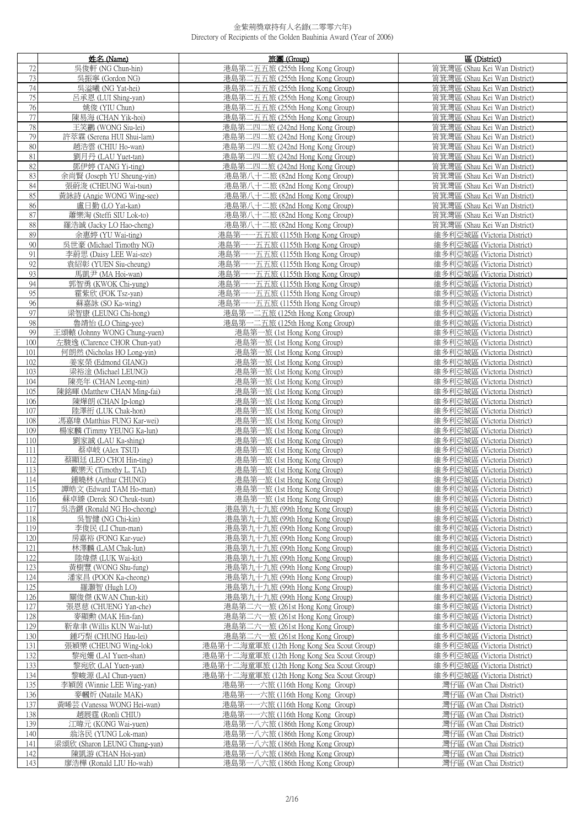|     | 姓名 (Name)                                     | 旅團 (Group)                                                          | 區 (District)                                               |
|-----|-----------------------------------------------|---------------------------------------------------------------------|------------------------------------------------------------|
| 72  | 吳俊軒 (NG Chun-hin)                             | 港島第二五五旅 (255th Hong Kong Group)                                     | 筲箕灣區 (Shau Kei Wan District)                               |
| 73  | 吳振寧 (Gordon NG)                               | 港島第二五五旅 (255th Hong Kong Group)                                     | 筲箕灣區 (Shau Kei Wan District)                               |
| 74  | 吳溢曦 (NG Yat-hei)                              | 港島第二五五旅 (255th Hong Kong Group)                                     | 筲箕灣區 (Shau Kei Wan District)                               |
| 75  | 呂承恩 (LUI Shing-yan)                           | 港島第二五五旅 (255th Hong Kong Group)                                     | 筲箕灣區 (Shau Kei Wan District)                               |
| 76  | 姚俊 (YIU Chun)                                 | 港島第二五五旅 (255th Hong Kong Group)                                     | 筲箕灣區 (Shau Kei Wan District)                               |
| 77  | 陳易海 (CHAN Yik-hoi)                            | 港島第二五五旅 (255th Hong Kong Group)                                     | 筲箕灣區 (Shau Kei Wan District)                               |
| 78  | 王笑鸝 (WONG Siu-lei)                            | 港島第二四二旅 (242nd Hong Kong Group)                                     | 筲箕灣區 (Shau Kei Wan District)                               |
| 79  | 許萃霖 (Serena HUI Shui-lam)                     | 港島第二四二旅 (242nd Hong Kong Group)                                     | 筲箕灣區 (Shau Kei Wan District)                               |
| 80  | 趙浩雲 (CHIU Ho-wan)                             | 港島第二四二旅 (242nd Hong Kong Group)                                     | 筲箕灣區 (Shau Kei Wan District)                               |
| 81  | 劉月丹 (LAU Yuet-tan)                            | 港島第二四二旅 (242nd Hong Kong Group)                                     | 筲箕灣區 (Shau Kei Wan District)                               |
| 82  | 鄧伊婷 (TANG Yi-ting)                            | 港島第二四二旅 (242nd Hong Kong Group)                                     | 筲箕灣區 (Shau Kei Wan District)                               |
| 83  | 余尚賢 (Joseph YU Sheung-yin)                    | 港島第八十二旅 (82nd Hong Kong Group)                                      | 筲箕灣區 (Shau Kei Wan District)                               |
| 84  | 張蔚浚 (CHEUNG Wai-tsun)                         | 港島第八十二旅 (82nd Hong Kong Group)                                      | 筲箕灣區 (Shau Kei Wan District)                               |
| 85  | 黃詠詩 (Angie WONG Wing-see)                     | 港島第八十二旅 (82nd Hong Kong Group)                                      | 筲箕灣區 (Shau Kei Wan District)                               |
| 86  | 盧日勤 (LO Yat-kan)                              | 港島第八十二旅 (82nd Hong Kong Group)                                      | 筲箕灣區 (Shau Kei Wan District)                               |
| 87  | 蕭樂淘 (Steffi SIU Lok-to)                       | 港島第八十二旅 (82nd Hong Kong Group)                                      | 筲箕灣區 (Shau Kei Wan District)                               |
| 88  |                                               |                                                                     |                                                            |
| 89  | 羅浩誠 (Jacky LO Hao-cheng)<br>余惠婷 (YU Wai-ting) | 港島第八十二旅 (82nd Hong Kong Group)<br>港島第一一五五旅 (1155th Hong Kong Group) | 筲箕灣區 (Shau Kei Wan District)<br>維多利亞城區 (Victoria District) |
| 90  | 吳世豪 (Michael Timothy NG)                      |                                                                     |                                                            |
|     |                                               | 港島第一一五五旅 (1155th Hong Kong Group)                                   | 維多利亞城區 (Victoria District)                                 |
| 91  | 李蔚思 (Daisy LEE Wai-sze)                       | 港島第一一五五旅 (1155th Hong Kong Group)                                   | 維多利亞城區 (Victoria District)                                 |
| 92  | 袁紹彰 (YUEN Siu-cheung)                         | 港島第一一五五旅 (1155th Hong Kong Group)                                   | 維多利亞城區 (Victoria District)                                 |
| 93  | 馬凱尹 (MA Hoi-wan)                              | 港島第一一五五旅 (1155th Hong Kong Group)                                   | 維多利亞城區 (Victoria District)                                 |
| 94  | 郭智勇 (KWOK Chi-yung)                           | 港島第一一五五旅 (1155th Hong Kong Group)                                   | 維多利亞城區 (Victoria District)                                 |
| 95  | 霍紫欣 (FOK Tsz-yan)                             | 港島第一一五五旅 (1155th Hong Kong Group)                                   | 維多利亞城區 (Victoria District)                                 |
| 96  | 蘇嘉詠 (SO Ka-wing)                              | 港島第一一五五旅 (1155th Hong Kong Group)                                   | 維多利亞城區 (Victoria District)                                 |
| 97  | 梁智康 (LEUNG Chi-hong)                          | 港島第一二五旅 (125th Hong Kong Group)                                     | 維多利亞城區 (Victoria District)                                 |
| 98  | 魯靖怡 (LO Ching-yee)                            | 港島第一二五旅 (125th Hong Kong Group)                                     | 維多利亞城區 (Victoria District)                                 |
| 99  | 王頌轅 (Johnny WONG Chung-yuen)                  | 港島第一旅 (1st Hong Kong Group)                                         | 維多利亞城區 (Victoria District)                                 |
| 100 | 左駿逸 (Clarence CHOR Chun-yat)                  | 港島第一旅 (1st Hong Kong Group)                                         | 維多利亞城區 (Victoria District)                                 |
| 101 | 何朗然 (Nicholas HO Long-yin)                    | 港島第一旅 (1st Hong Kong Group)                                         | 維多利亞城區 (Victoria District)                                 |
| 102 | 姜家榮 (Edmond GIANG)                            | 港島第一旅 (1st Hong Kong Group)                                         | 維多利亞城區 (Victoria District)                                 |
| 103 | 梁裕淦 (Michael LEUNG)                           | 港島第一旅 (1st Hong Kong Group)                                         | 維多利亞城區 (Victoria District)                                 |
| 104 | 陳亮年 (CHAN Leong-nin)                          | 港島第一旅 (1st Hong Kong Group)                                         | 維多利亞城區 (Victoria District)                                 |
| 105 | 陳銘暉 (Matthew CHAN Ming-fai)                   | 港島第一旅 (1st Hong Kong Group)                                         | 維多利亞城區 (Victoria District)                                 |
| 106 | 陳燁朗 (CHAN Ip-long)                            | 港島第一旅 (1st Hong Kong Group)                                         | 維多利亞城區 (Victoria District)                                 |
| 107 | 陸澤衎 (LUK Chak-hon)                            | 港島第一旅 (1st Hong Kong Group)                                         | 維多利亞城區 (Victoria District)                                 |
| 108 | 馮嘉瑋 (Matthias FUNG Kar-wei)                   | 港島第一旅 (1st Hong Kong Group)                                         | 維多利亞城區 (Victoria District)                                 |
| 109 | 楊家麟 (Timmy YEUNG Ka-lun)                      | 港島第一旅 (1st Hong Kong Group)                                         | 維多利亞城區 (Victoria District)                                 |
| 110 | 劉家誠 (LAU Ka-shing)                            | 港島第一旅 (1st Hong Kong Group)                                         | 維多利亞城區 (Victoria District)                                 |
| 111 | 蔡卓岐 (Alex TSUI)                               | 港島第一旅 (1st Hong Kong Group)                                         | 維多利亞城區 (Victoria District)                                 |
| 112 | 蔡顯廷 (LEO CHOI Hin-ting)                       | 港島第一旅 (1st Hong Kong Group)                                         | 維多利亞城區 (Victoria District)                                 |
| 113 | 戴樂天 (Timothy L. TAI)                          | 港島第一旅 (1st Hong Kong Group)                                         | 維多利亞城區 (Victoria District)                                 |
| 114 | 鍾曉林 (Arthur CHUNG)                            | 港島第一旅 (1st Hong Kong Group)                                         | 維多利亞城區 (Victoria District)                                 |
| 115 | 譚皓文 (Edward TAM Ho-man)                       | 港島第一旅 (1st Hong Kong Group)                                         | 維多利亞城區 (Victoria District)                                 |
| 116 | 蘇卓臻 (Derek SO Cheuk-tsun)                     | 港島第一旅 (1st Hong Kong Group)                                         | 維多利亞城區 (Victoria District)                                 |
| 117 | 吳浩鏘 (Ronald NG Ho-cheong)                     | 港島第九十九旅 (99th Hong Kong Group)                                      | 維多利亞城區 (Victoria District)                                 |
| 118 | 吳智健 (NG Chi-kin)                              | 港島第九十九旅 (99th Hong Kong Group)                                      | 維多利亞城區 (Victoria District)                                 |
| 119 | 李俊民 (LI Chun-man)                             | 港島第九十九旅 (99th Hong Kong Group)                                      | 維多利亞城區 (Victoria District)                                 |
| 120 | 房嘉裕 (FONG Kar-yue)                            | 港島第九十九旅 (99th Hong Kong Group)                                      | 維多利亞城區 (Victoria District)                                 |
| 121 | 林澤麟 (LAM Chak-lun)                            | 港島第九十九旅 (99th Hong Kong Group)                                      | 維多利亞城區 (Victoria District)                                 |
| 122 | 陸煒傑 (LUK Wai-kit)                             | 港島第九十九旅 (99th Hong Kong Group)                                      | 維多利亞城區 (Victoria District)                                 |
| 123 | 黃樹豐 (WONG Shu-fung)                           | 港島第九十九旅 (99th Hong Kong Group)                                      | 維多利亞城區 (Victoria District)                                 |
| 124 | 潘家昌 (POON Ka-cheong)                          | 港島第九十九旅 (99th Hong Kong Group)                                      | 維多利亞城區 (Victoria District)                                 |
| 125 | 羅灝智 (Hugh LO)                                 | 港島第九十九旅 (99th Hong Kong Group)                                      | 維多利亞城區 (Victoria District)                                 |
| 126 | 關俊傑 (KWAN Chun-kit)                           | 港島第九十九旅 (99th Hong Kong Group)                                      | 維多利亞城區 (Victoria District)                                 |
| 127 | 張恩慈 (CHUENG Yan-che)                          | 港島第二六一旅 (261st Hong Kong Group)                                     | 維多利亞城區 (Victoria District)                                 |
| 128 | 麥顯勲 (MAK Hin-fan)                             | 港島第二六一旅 (261st Hong Kong Group)                                     | 維多利亞城區 (Victoria District)                                 |
| 129 | 靳韋聿 (Willis KUN Wai-lut)                      | 港島第二六一旅 (261st Hong Kong Group)                                     | 維多利亞城區 (Victoria District)                                 |
| 130 | 鍾巧梨 (CHUNG Hau-lei)                           | 港島第二六一旅 (261st Hong Kong Group)                                     | 維多利亞城區 (Victoria District)                                 |
| 131 | 張穎樂 (CHEUNG Wing-lok)                         | 港島第十二海童軍旅 (12th Hong Kong Sea Scout Group)                          | 維多利亞城區 (Victoria District)                                 |
| 132 | 黎宛姍 (LAI Yuen-shan)                           | 港島第十二海童軍旅 (12th Hong Kong Sea Scout Group)                          | 維多利亞城區 (Victoria District)                                 |
| 133 | 黎宛欣 (LAI Yuen-yan)                            | 港島第十二海童軍旅 (12th Hong Kong Sea Scout Group)                          | 維多利亞城區 (Victoria District)                                 |
| 134 | 黎峻源 (LAI Chun-yuen)                           | 港島第十二海童軍旅 (12th Hong Kong Sea Scout Group)                          | 維多利亞城區 (Victoria District)                                 |
| 135 | 李穎茵 (Winnie LEE Wing-yan)                     | 港島第一一六旅 (116th Hong Kong Group)                                     | 灣仔區 (Wan Chai District)                                    |
| 136 | 麥幗炘 (Nataile MAK)                             | 港島第一一六旅 (116th Hong Kong Group)                                     | 灣仔區 (Wan Chai District)                                    |
| 137 | 黃晞芸 (Vanessa WONG Hei-wan)                    | 港島第一一六旅 (116th Hong Kong Group)                                     | 灣仔區 (Wan Chai District)                                    |
| 138 | 趙展霆 (Ronli CHIU)                              | 一一六旅 (116th Hong Kong Group)<br>港島第-                                | 灣仔區 (Wan Chai District)                                    |
| 139 | 江暐元 (KONG Wai-yuen)                           | 港島第一八六旅 (186th Hong Kong Group)                                     | 灣仔區 (Wan Chai District)                                    |
| 140 | 翁洛民 (YUNG Lok-man)                            | 港島第一八六旅 (186th Hong Kong Group)                                     | 灣仔區 (Wan Chai District)                                    |
| 141 | 梁頌欣 (Sharon LEUNG Chung-yan)                  | 港島第一八六旅 (186th Hong Kong Group)                                     | 灣仔區 (Wan Chai District)                                    |
| 142 | 陳凱游 (CHAN Hoi-yan)                            | 港島第一八六旅 (186th Hong Kong Group)                                     | 灣仔區 (Wan Chai District)                                    |
| 143 | 廖浩樺 (Ronald LIU Ho-wah)                       | 港島第一八六旅 (186th Hong Kong Group)                                     | 灣仔區 (Wan Chai District)                                    |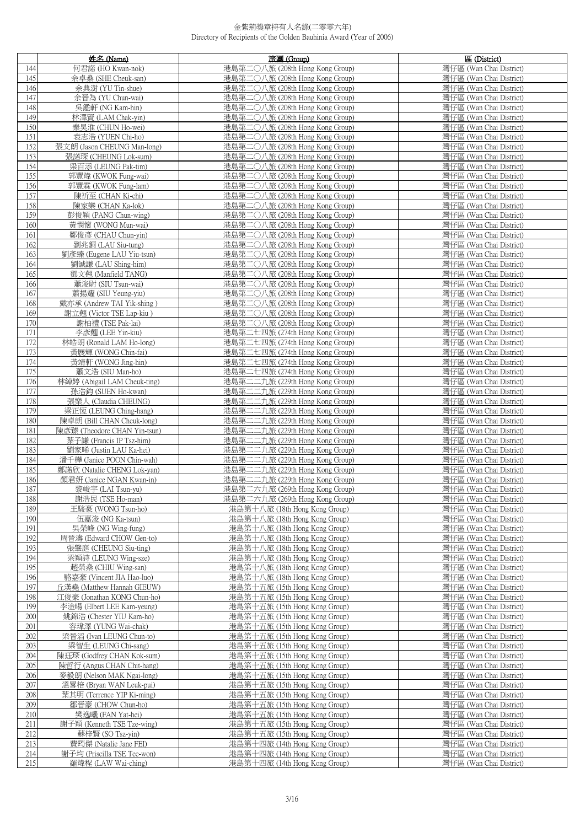|            | 姓名 (Name)                             | 旅團 (Group)                                                         | 區 (District)                                       |
|------------|---------------------------------------|--------------------------------------------------------------------|----------------------------------------------------|
| 144        | 何君諾 (HO Kwan-nok)                     | 港島第二〇八旅 (208th Hong Kong Group)                                    | 灣仔區 (Wan Chai District)                            |
| 145        | 佘卓燊 (SHE Cheuk-san)                   | 港島第二○八旅 (208th Hong Kong Group)                                    | 灣仔區 (Wan Chai District)                            |
| 146        | 余典澍 (YU Tin-shue)                     | 港島第二〇八旅 (208th Hong Kong Group)                                    | 灣仔區 (Wan Chai District)                            |
| 147        | 余晉為 (YU Chun-wai)                     | 港島第二〇八旅 (208th Hong Kong Group)                                    | 灣仔區 (Wan Chai District)                            |
| 148        | 吳鑑軒 (NG Kam-hin)                      | 港島第二〇八旅 (208th Hong Kong Group)                                    | 灣仔區 (Wan Chai District)                            |
| 149        | 林澤賢 (LAM Chak-yin)                    | 港島第二〇八旅 (208th Hong Kong Group)                                    | 灣仔區 (Wan Chai District)                            |
| 150        | 秦昊淮 (CHUN Ho-wei)                     | 港島第二〇八旅 (208th Hong Kong Group)                                    | 灣仔區 (Wan Chai District)                            |
| 151        | 袁志浩 (YUEN Chi-ho)                     | 港島第二〇八旅 (208th Hong Kong Group)                                    | 灣仔區 (Wan Chai District)                            |
| 152        | 張文朗 (Jason CHEUNG Man-long)           | 港島第二〇八旅 (208th Hong Kong Group)                                    | 灣仔區 (Wan Chai District)                            |
| 153        | 張諾琛 (CHEUNG Lok-sum)                  | 港島第二〇八旅 (208th Hong Kong Group)                                    | 灣仔區 (Wan Chai District)                            |
| 154        | 梁百添 (LEUNG Pak-tim)                   | 港島第二○八旅 (208th Hong Kong Group)                                    | 灣仔區 (Wan Chai District)                            |
| 155        | 郭豐煒 (KWOK Fung-wai)                   | 港島第二〇八旅 (208th Hong Kong Group)                                    | 灣仔區 (Wan Chai District)                            |
| 156        | 郭豐霖 (KWOK Fung-lam)                   | 港島第二〇八旅 (208th Hong Kong Group)                                    | 灣仔區 (Wan Chai District)                            |
| 157        | 陳祈至 (CHAN Ki-chi)                     | 港島第二○八旅 (208th Hong Kong Group)                                    | 灣仔區 (Wan Chai District)                            |
| 158        | 陳家樂 (CHAN Ka-lok)                     | 港島第二〇八旅 (208th Hong Kong Group)                                    | 灣仔區 (Wan Chai District)                            |
| 159        | 彭俊穎 (PANG Chun-wing)                  | 港島第二〇八旅 (208th Hong Kong Group)                                    | 灣仔區 (Wan Chai District)                            |
| 160        | 黃憫懷 (WONG Mun-wai)                    | 港島第二〇八旅 (208th Hong Kong Group)                                    | 灣仔區 (Wan Chai District)                            |
| 161        | 鄒俊彥 (CHAU Chun-yin)                   | 港島第二○八旅 (208th Hong Kong Group)                                    | 灣仔區 (Wan Chai District)                            |
| 162        | 劉兆銅 (LAU Siu-tung)                    | 港島第二○八旅 (208th Hong Kong Group)                                    | 灣仔區 (Wan Chai District)                            |
| 163        | 劉彥臻 (Eugene LAU Yiu-tsun)             | 港島第二〇八旅 (208th Hong Kong Group)                                    | 灣仔區 (Wan Chai District)                            |
| 164        | 劉誠謙 (LAU Shing-him)                   | 港島第二〇八旅 (208th Hong Kong Group)                                    | 灣仔區 (Wan Chai District)                            |
| 165        | 鄧文翹 (Manfield TANG)                   | 港島第二○八旅 (208th Hong Kong Group)                                    | 灣仔區 (Wan Chai District)                            |
| 166        | 蕭浚尉 (SIU Tsun-wai)                    | 港島第二〇八旅 (208th Hong Kong Group)                                    | 灣仔區 (Wan Chai District)                            |
| 167        | 蕭揚耀 (SIU Yeung-yiu)                   | 港島第二〇八旅 (208th Hong Kong Group)                                    | 灣仔區 (Wan Chai District)                            |
| 168        | 戴亦承 (Andrew TAI Yik-shing)            | 港島第二〇八旅 (208th Hong Kong Group)                                    | 灣仔區 (Wan Chai District)                            |
| 169        | 謝立翹 (Victor TSE Lap-kiu)              | 港島第二〇八旅 (208th Hong Kong Group)                                    | 灣仔區 (Wan Chai District)                            |
| 170        | 謝柏禮 (TSE Pak-lai)                     | 港島第二〇八旅 (208th Hong Kong Group)                                    | 灣仔區 (Wan Chai District)                            |
| 171        | 李彥翹 (LEE Yin-kiu)                     | 港島第二七四旅 (274th Hong Kong Group)                                    | 灣仔區 (Wan Chai District)                            |
| 172        | 林皓朗 (Ronald LAM Ho-long)              | 港島第二七四旅 (274th Hong Kong Group)                                    | 灣仔區 (Wan Chai District)                            |
| 173        | 黃展輝 (WONG Chin-fai)                   | 港島第二七四旅 (274th Hong Kong Group)                                    | 灣仔區 (Wan Chai District)                            |
| 174        | 黃靖軒 (WONG Jing-hin)                   | 港島第二七四旅 (274th Hong Kong Group)                                    | 灣仔區 (Wan Chai District)                            |
| 175        | 蕭文浩 (SIU Man-ho)                      | 港島第二七四旅 (274th Hong Kong Group)                                    | 灣仔區 (Wan Chai District)                            |
| 176        | 林綽婷 (Abigail LAM Cheuk-ting)          | 港島第二二九旅 (229th Hong Kong Group)                                    | 灣仔區 (Wan Chai District)                            |
| 177        | 孫浩鈞 (SUEN Ho-kwan)                    | 港島第二二九旅 (229th Hong Kong Group)                                    | 灣仔區 (Wan Chai District)                            |
| 178        | 張樂人 (Claudia CHEUNG)                  | 港島第二二九旅 (229th Hong Kong Group)                                    | 灣仔區 (Wan Chai District)                            |
| 179        | 梁正恆 (LEUNG Ching-hang)                | 港島第二二九旅 (229th Hong Kong Group)                                    | 灣仔區 (Wan Chai District)                            |
| 180        | 陳卓朗 (Bill CHAN Cheuk-long)            | 港島第二二九旅 (229th Hong Kong Group)                                    | 灣仔區 (Wan Chai District)                            |
| 181        | 陳彥臻 (Theodore CHAN Yin-tsun)          | 港島第二二九旅 (229th Hong Kong Group)                                    | 灣仔區 (Wan Chai District)                            |
| 182        | 葉子謙 (Francis IP Tsz-him)              | 港島第二二九旅 (229th Hong Kong Group)                                    | 灣仔區 (Wan Chai District)                            |
| 183        | 劉家晞 (Justin LAU Ka-hei)               | 港島第二二九旅 (229th Hong Kong Group)                                    | 灣仔區 (Wan Chai District)                            |
| 184        | 潘千樺 (Janice POON Chin-wah)            | 港島第二二九旅 (229th Hong Kong Group)                                    | 灣仔區 (Wan Chai District)                            |
| 185        | 鄭諾欣 (Natalie CHENG Lok-yan)           | 港島第二二九旅 (229th Hong Kong Group)                                    | 灣仔區 (Wan Chai District)<br>灣仔區 (Wan Chai District) |
| 186<br>187 | 顏君妍 (Janice NGAN Kwan-in)             | 港島第二二九旅 (229th Hong Kong Group)                                    | 灣仔區 (Wan Chai District)                            |
| 188        | 黎峻宇 (LAI Tsun-yu)<br>謝浩民 (TSE Ho-man) | 港島第二六九旅 (269th Hong Kong Group)<br>港島第二六九旅 (269th Hong Kong Group) | 灣仔區 (Wan Chai District)                            |
| 189        | 王駿豪 (WONG Tsun-ho)                    | 港島第十八旅 (18th Hong Kong Group)                                      | 灣仔區 (Wan Chai District)                            |
| 190        | 伍嘉浚 (NG Ka-tsun)                      | 港島第十八旅 (18th Hong Kong Group)                                      | 灣仔區 (Wan Chai District)                            |
| 191        | 吳榮峰 (NG Wing-fung)                    | 港島第十八旅 (18th Hong Kong Group)                                      | 灣仔區 (Wan Chai District)                            |
| 192        | 周晉濤 (Edward CHOW Gen-to)              | 港島第十八旅 (18th Hong Kong Group)                                      | 灣仔區 (Wan Chai District)                            |
| 193        | 張肇庭 (CHEUNG Siu-ting)                 | 港島第十八旅 (18th Hong Kong Group)                                      | 灣仔區 (Wan Chai District)                            |
| 194        | 梁穎詩 (LEUNG Wing-sze)                  | 港島第十八旅 (18th Hong Kong Group)                                      | 灣仔區 (Wan Chai District)                            |
| 195        | 趙榮桑 (CHIU Wing-san)                   | 港島第十八旅 (18th Hong Kong Group)                                      | 灣仔區 (Wan Chai District)                            |
| 196        | 駱嘉豪 (Vincent JIA Hao-luo)             | 港島第十八旅 (18th Hong Kong Group)                                      | 灣仔區 (Wan Chai District)                            |
| 197        | 丘漢堯 (Matthew Hannah GIEUW)            | 港島第十五旅 (15th Hong Kong Group)                                      | 灣仔區 (Wan Chai District)                            |
| 198        | 江俊豪 (Jonathan KONG Chun-ho)           | 港島第十五旅 (15th Hong Kong Group)                                      | 灣仔區 (Wan Chai District)                            |
| 199        | 李淦暘 (Elbert LEE Kam-yeung)            | 港島第十五旅 (15th Hong Kong Group)                                      | 灣仔區 (Wan Chai District)                            |
| 200        | 姚錦浩 (Chester YIU Kam-ho)              | 港島第十五旅 (15th Hong Kong Group)                                      | 灣仔區 (Wan Chai District)                            |
| 201        | 容瑋澤 (YUNG Wai-chak)                   | 港島第十五旅 (15th Hong Kong Group)                                      | 灣仔區 (Wan Chai District)                            |
| 202        | 梁晉滔 (Ivan LEUNG Chun-to)              | 港島第十五旅 (15th Hong Kong Group)                                      | 灣仔區 (Wan Chai District)                            |
| 203        | 梁智生 (LEUNG Chi-sang)                  | 港島第十五旅 (15th Hong Kong Group)                                      | 灣仔區 (Wan Chai District)                            |
| 204        | 陳珏琛 (Godfrey CHAN Kok-sum)            | 港島第十五旅 (15th Hong Kong Group)                                      | 灣仔區 (Wan Chai District)                            |
| 205        | 陳哲行 (Angus CHAN Chit-hang)            | 港島第十五旅 (15th Hong Kong Group)                                      | 灣仔區 (Wan Chai District)                            |
| 206        | 麥毅朗 (Nelson MAK Ngai-long)            | 港島第十五旅 (15th Hong Kong Group)                                      | 灣仔區 (Wan Chai District)                            |
| 207        | 溫畧棓 (Bryan WAN Leuk-pui)              | 港島第十五旅 (15th Hong Kong Group)                                      | 灣仔區 (Wan Chai District)                            |
| 208        | 葉其明 (Terrence YIP Ki-ming)            | 港島第十五旅 (15th Hong Kong Group)                                      | 灣仔區 (Wan Chai District)                            |
| 209        | 鄒晉豪 (CHOW Chun-ho)                    | 港島第十五旅 (15th Hong Kong Group)                                      | 灣仔區 (Wan Chai District)                            |
| 210        | 樊逸曦 (FAN Yat-hei)                     | 港島第十五旅 (15th Hong Kong Group)                                      | 灣仔區 (Wan Chai District)                            |
| 211        | 謝子穎 (Kenneth TSE Tze-wing)            | 港島第十五旅 (15th Hong Kong Group)                                      | 灣仔區 (Wan Chai District)                            |
| 212        | 蘇梓賢 (SO Tsz-yin)                      | 港島第十五旅 (15th Hong Kong Group)                                      | 灣仔區 (Wan Chai District)                            |
| 213        | 費筠傑 (Natalie Jane FEI)                | 港島第十四旅 (14th Hong Kong Group)                                      | 灣仔區 (Wan Chai District)                            |
| 214        | 謝子均 (Priscilla TSE Tee-won)           | 港島第十四旅 (14th Hong Kong Group)                                      | 灣仔區 (Wan Chai District)                            |
| 215        | 羅煒程 (LAW Wai-ching)                   | 港島第十四旅 (14th Hong Kong Group)                                      | 灣仔區 (Wan Chai District)                            |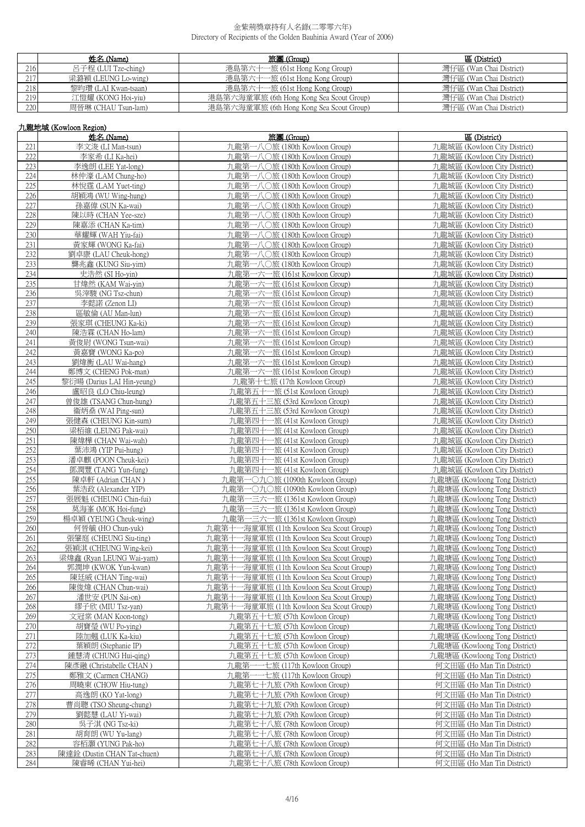|     | 姓名 (Name)            | 旅團 (Group)                               | 區 (District)                    |
|-----|----------------------|------------------------------------------|---------------------------------|
| 216 | 呂子程 (LUI Tze-ching)  | 港島第六十一旅 (6 <u>1st Hong Kong Group)</u>   | 灣仔區 (Wan Chai District)         |
| 217 | 梁潞穎 (LEUNG Lo-wing)  | 港島第六十一旅 (61st Hong Kong Group)           | 灣仔區 (Wan Chai District)         |
| 218 | 黎昀瓚 (LAI Kwan-tsaan) | 港島第六十一旅 (61st Hong Kong Group)           | 灣仔區 (Wa <u>n Chai District)</u> |
| 219 | 江愷耀 (KONG Hoi-yiu)   | 港島第六海童軍旅 (6th Hong Kong Sea Scout Group) | 灣仔區 (Wan Chai District)         |
| 220 | 周晉琳 (CHAU Tsun-lam)  | 港島第六海童軍旅 (6th Hong Kong Sea Scout Group) | 灣仔區 (Wan Chai District)         |

# 九龍地域 (Kowloon Region)

|     | 姓名 (Name)                   | 旅團 (Group)                               | 區 (District)                  |
|-----|-----------------------------|------------------------------------------|-------------------------------|
| 221 | 李文浚 (LI Man-tsun)           | 九龍第一八〇旅 (180th Kowloon Group)            | 九龍城區 (Kowloon City District)  |
| 222 | 李家希 (LI Ka-hei)             | 九龍第一八〇旅 (180th Kowloon Group)            | 九龍城區 (Kowloon City District)  |
| 223 | 李逸朗 (LEE Yat-long)          | 九龍第一八〇旅 (180th Kowloon Group)            | 九龍城區 (Kowloon City District)  |
| 224 | 林仲濠 (LAM Chung-ho)          | 九龍第一八〇旅 (180th Kowloon Group)            | 九龍城區 (Kowloon City District)  |
|     |                             |                                          |                               |
| 225 | 林悅霆 (LAM Yuet-ting)         | 九龍第一八〇旅 (180th Kowloon Group)            | 九龍城區 (Kowloon City District)  |
| 226 | 胡穎鴻 (WU Wing-hung)          | 九龍第一八〇旅 (180th Kowloon Group)            | 九龍城區 (Kowloon City District)  |
| 227 | 孫嘉偉 (SUN Ka-wai)            | 九龍第一八〇旅 (180th Kowloon Group)            | 九龍城區 (Kowloon City District)  |
| 228 | 陳以時 (CHAN Yee-sze)          | 九龍第一八〇旅 (180th Kowloon Group)            | 九龍城區 (Kowloon City District)  |
| 229 | 陳嘉添 (CHAN Ka-tim)           | 九龍第一八〇旅 (180th Kowloon Group)            | 九龍城區 (Kowloon City District)  |
| 230 | 華耀輝 (WAH Yiu-fai)           | 九龍第一八〇旅 (180th Kowloon Group)            | 九龍城區 (Kowloon City District)  |
| 231 | 黃家輝 (WONG Ka-fai)           | 九龍第一八〇旅 (180th Kowloon Group)            | 九龍城區 (Kowloon City District)  |
| 232 | 劉卓康 (LAU Cheuk-hong)        | 九龍第一八〇旅 (180th Kowloon Group)            | 九龍城區 (Kowloon City District)  |
| 233 | 龔兆鑫 (KUNG Siu-yim)          | 九龍第一八〇旅 (180th Kowloon Group)            | 九龍城區 (Kowloon City District)  |
| 234 | 史浩然 (SI Ho-vin)             | 九龍第一六一旅 (161st Kowloon Group)            | 九龍城區 (Kowloon City District)  |
| 235 | 甘煒然 (KAM Wai-yin)           | 九龍第一六一旅 (161st Kowloon Group)            | 九龍城區 (Kowloon City District)  |
| 236 | 吳滓駿 (NG Tsz-chun)           | 九龍第一六一旅 (161st Kowloon Group)            | 九龍城區 (Kowloon City District)  |
| 237 |                             |                                          | 九龍城區 (Kowloon City District)  |
|     | 李懿諾 (Zenon LI)              | 九龍第一六一旅 (161st Kowloon Group)            |                               |
| 238 | 區敏倫 (AU Man-lun)            | 九龍第一六一旅 (161st Kowloon Group)            | 九龍城區 (Kowloon City District)  |
| 239 | 張家琪 (CHEUNG Ka-ki)          | 九龍第一六一旅 (161st Kowloon Group)            | 九龍城區 (Kowloon City District)  |
| 240 | 陳浩霖 (CHAN Ho-lam)           | 九龍第一六一旅 (161st Kowloon Group)            | 九龍城區 (Kowloon City District)  |
| 241 | 黃俊尉 (WONG Tsun-wai)         | 九龍第一六一旅 (161st Kowloon Group)            | 九龍城區 (Kowloon City District)  |
| 242 | 黃嘉寶 (WONG Ka-po)            | 九龍第一六一旅 (161st Kowloon Group)            | 九龍城區 (Kowloon City District)  |
| 243 | 劉煒衡 (LAU Wai-hang)          | 九龍第一六一旅 (161st Kowloon Group)            | 九龍城區 (Kowloon City District)  |
| 244 | 鄭博文 (CHENG Pok-man)         | 九龍第一六一旅 (161st Kowloon Group)            | 九龍城區 (Kowloon City District)  |
| 245 | 黎衍暘 (Darius LAI Hin-yeung)  | 九龍第十七旅 (17th Kowloon Group)              | 九龍城區 (Kowloon City District)  |
| 246 | 盧昭良 (LO Chiu-leung)         | 九龍第五十一旅 (51st Kowloon Group)             | 九龍城區 (Kowloon City District)  |
| 247 | 曾俊雄 (TSANG Chun-hung)       | 九龍第五十三旅 (53rd Kowloon Group)             | 九龍城區 (Kowloon City District)  |
| 248 | 衞炳燊 (WAI Ping-sun)          | 九龍第五十三旅 (53rd Kowloon Group)             | 九龍城區 (Kowloon City District)  |
| 249 | 張健森 (CHEUNG Kin-sum)        | 九龍第四十一旅 (41st Kowloon Group)             | 九龍城區 (Kowloon City District)  |
| 250 | 梁栢維 (LEUNG Pak-wai)         | 九龍第四十一旅 (41st Kowloon Group)             | 九龍城區 (Kowloon City District)  |
| 251 |                             |                                          |                               |
|     | 陳煒樺 (CHAN Wai-wah)          | 九龍第四十一旅 (41st Kowloon Group)             | 九龍城區 (Kowloon City District)  |
| 252 | 葉沛鴻 (YIP Pui-hung)          | 九龍第四十一旅 (41st Kowloon Group)             | 九龍城區 (Kowloon City District)  |
| 253 | 潘卓麒 (POON Cheuk-kei)        | 九龍第四十一旅 (41st Kowloon Group)             | 九龍城區 (Kowloon City District)  |
| 254 | 鄧潤豐 (TANG Yun-fung)         | 九龍第四十一旅 (41st Kowloon Group)             | 九龍城區 (Kowloon City District)  |
| 255 | 陳卓軒 (Adrian CHAN)           | 九龍第一〇九〇旅 (1090th Kowloon Group)          | 九龍塘區 (Kowloong Tong District) |
| 256 | 葉浩政 (Alexander YIP)         | 九龍第一〇九〇旅 (1090th Kowloon Group)          | 九龍塘區 (Kowloong Tong District) |
| 257 | 張展魁 (CHEUNG Chin-fui)       | 九龍第一三六一旅 (1361st Kowloon Group)          | 九龍塘區 (Kowloong Tong District) |
| 258 | 莫海峯 (MOK Hoi-fung)          | 九龍第一三六一旅 (1361st Kowloon Group)          | 九龍塘區 (Kowloong Tong District) |
| 259 | 楊卓穎 (YEUNG Cheuk-wing)      | 九龍第一三六一旅 (1361st Kowloon Group)          | 九龍塘區 (Kowloong Tong District) |
| 260 | 何晉毓 (HO Chun-yuk)           | 九龍第十一海童軍旅 (11th Kowloon Sea Scout Group) | 九龍塘區 (Kowloong Tong District) |
| 261 | 張肇庭 (CHEUNG Siu-ting)       | 九龍第十一海童軍旅 (11th Kowloon Sea Scout Group) | 九龍塘區 (Kowloong Tong District) |
| 262 | 張穎淇 (CHEUNG Wing-kei)       | 九龍第十一海童軍旅 (11th Kowloon Sea Scout Group) | 九龍塘區 (Kowloong Tong District) |
| 263 | 梁煒鑫 (Ryan LEUNG Wai-yam)    | 九龍第十一海童軍旅 (11th Kowloon Sea Scout Group) | 九龍塘區 (Kowloong Tong District) |
| 264 | 郭潤坤 (KWOK Yun-kwan)         | 九龍第十一海童軍旅 (11th Kowloon Sea Scout Group) | 九龍塘區 (Kowloong Tong District) |
| 265 | 陳廷威 (CHAN Ting-wai)         | 九龍第十一海童軍旅 (11th Kowloon Sea Scout Group) | 九龍塘區 (Kowloong Tong District) |
| 266 | 陳俊煒 (CHAN Chun-wai)         | 九龍第十一海童軍旅 (11th Kowloon Sea Scout Group) | 九龍塘區 (Kowloong Tong District) |
| 267 | 潘世安 (PUN Sai-on)            | 九龍第十一海童軍旅 (11th Kowloon Sea Scout Group) | 九龍塘區 (Kowloong Tong District) |
| 268 | 繆子欣 (MIU Tsz-yan)           | 九龍第十一海童軍旅 (11th Kowloon Sea Scout Group) | 九龍塘區 (Kowloong Tong District) |
|     |                             |                                          |                               |
| 269 | 文冠棠 (MAN Koon-tong)         | 九龍第五十七旅 (57th Kowloon Group)             | 九龍塘區 (Kowloong Tong District) |
| 270 | 胡寶瑩 (WU Po-ying)            | 九龍第五十七旅 (57th Kowloon Group)             | 九龍塘區 (Kowloong Tong District) |
| 271 | 陸加翹 (LUK Ka-kiu)            | 九龍第五十七旅 (57th Kowloon Group)             | 九龍塘區 (Kowloong Tong District) |
| 272 | 葉穎朗 (Stephanie IP)          | 九龍第五十七旅 (57th Kowloon Group)             | 九龍塘區 (Kowloong Tong District) |
| 273 | 鍾慧清 (CHUNG Hui-qing)        | 九龍第五十七旅 (57th Kowloon Group)             | 九龍塘區 (Kowloong Tong District) |
| 274 | 陳彥融 (Christabelle CHAN)     | 九龍第一一七旅 (117th Kowloon Group)            | 何文田區 (Ho Man Tin District)    |
| 275 | 鄭雅文 (Carmen CHANG)          | 九龍第一一七旅 (117th Kowloon Group)            | 何文田區 (Ho Man Tin District)    |
| 276 | 周曉東 (CHOW Hiu-tung)         | 九龍第七十九旅 (79th Kowloon Group)             | 何文田區 (Ho Man Tin District)    |
| 277 | 高逸朗 (KO Yat-long)           | 九龍第七十九旅 (79th Kowloon Group)             | 何文田區 (Ho Man Tin District)    |
| 278 | 曹尚聰 (TSO Sheung-chung)      | 九龍第七十九旅 (79th Kowloon Group)             | 何文田區 (Ho Man Tin District)    |
| 279 | 劉懿慧 (LAU Yi-wai)            | 九龍第七十九旅 (79th Kowloon Group)             | 何文田區 (Ho Man Tin District)    |
| 280 | 吳子淇 (NG Tsz-ki)             | 九龍第七十八旅 (78th Kowloon Group)             | 何文田區 (Ho Man Tin District)    |
| 281 | 胡育朗 (WU Yu-lang)            | 九龍第七十八旅 (78th Kowloon Group)             | 何文田區 (Ho Man Tin District)    |
| 282 | 容栢灝 (YUNG Pak-ho)           | 九龍第七十八旅 (78th Kowloon Group)             | 何文田區 (Ho Man Tin District)    |
| 283 | 陳達銓 (Dustin CHAN Tat-chuen) | 九龍第七十八旅 (78th Kowloon Group)             | 何文田區 (Ho Man Tin District)    |
| 284 | 陳睿晞 (CHAN Yui-hei)          | 九龍第七十八旅 (78th Kowloon Group)             | 何文田區 (Ho Man Tin District)    |
|     |                             |                                          |                               |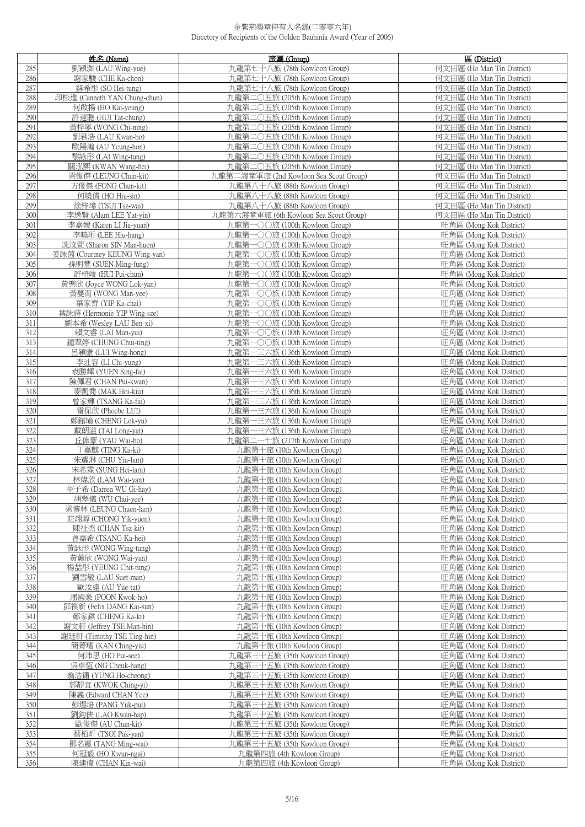|            | 姓名 (Name)                                     | 旅團 (Group)                                               | 區 (District)                                       |
|------------|-----------------------------------------------|----------------------------------------------------------|----------------------------------------------------|
| 285        | 劉穎洳 (LAU Wing-yue)                            | 九龍第七十八旅 (78th Kowloon Group)                             | 何文田區 (Ho Man Tin District)                         |
| 286        | 謝家駿 (CHE Ka-chon)                             | 九龍第七十八旅 (78th Kowloon Group)                             | 何文田區 (Ho Man Tin District)                         |
| 287        | 蘇希彤 (SO Hei-tung)                             | 九龍第七十八旅 (78th Kowloon Group)                             | 何文田區 (Ho Man Tin District)                         |
| 288        | 印松進 (Canneth YAN Chung-chun)                  | 九龍第二〇五旅 (205th Kowloon Group)                            | 何文田區 (Ho Man Tin District)                         |
| 289        | 何啟楊 (HO Kai-yeung)                            | 九龍第二〇五旅 (205th Kowloon Group)                            | 何文田區 (Ho Man Tin District)                         |
| 290        | 許達聰 (HUI Tat-chung)                           | 九龍第二〇五旅 (205th Kowloon Group)                            | 何文田區 (Ho Man Tin District)                         |
| 291        | 黃梓寧 (WONG Chi-ning)                           | 九龍第二〇五旅 (205th Kowloon Group)                            | 何文田區 (Ho Man Tin District)                         |
| 292        | 劉君浩 (LAU Kwan-ho)                             | 九龍第二〇五旅 (205th Kowloon Group)                            | 何文田區 (Ho Man Tin District)                         |
| 293        | 歐陽瀚 (AU Yeung-hon)                            | 九龍第二〇五旅 (205th Kowloon Group)                            | 何文田區 (Ho Man Tin District)                         |
| 294        | 黎詠彤 (LAI Wing-tung)                           | 九龍第二〇五旅 (205th Kowloon Group)                            | 何文田區 (Ho Man Tin District)                         |
| 295        | 關泓熙 (KWAN Wang-hei)                           | 九龍第二〇五旅 (205th Kowloon Group)                            | 何文田區 (Ho Man Tin District)                         |
| 296        | 梁俊傑 (LEUNG Chun-kit)                          | 九龍第二海童軍旅 (2nd Kowloon Sea Scout Group)                   | 何文田區 (Ho Man Tin District)                         |
| 297        | 方俊傑 (FONG Chun-kit)                           | 九龍第八十八旅 (88th Kowloon Group)                             | 何文田區 (Ho Man Tin District)                         |
| 298        | 何曉倩 (HO Hiu-sin)                              | 九龍第八十八旅 (88th Kowloon Group)                             | 何文田區 (Ho Man Tin District)                         |
| 299        | 徐梓瑋 (TSUI Tsz-wai)                            | 九龍第八十八旅 (88th Kowloon Group)                             | 何文田區 (Ho Man Tin District)                         |
| 300        | 李逸賢 (Alam LEE Yat-yin)                        | 九龍第六海童軍旅 (6th Kowloon Sea Scout Group)                   | 何文田區 (Ho Man Tin District)                         |
| 301        | 李嘉媛 (Karen LI Jia-yuan)                       | 九龍第一〇〇旅 (100th Kowloon Group)                            | 旺角區 (Mong Kok District)                            |
| 302        | 李曉珩 (LEE Hiu-hang)                            | 九龍第一〇〇旅 (100th Kowloon Group)                            | 旺角區 (Mong Kok District)                            |
| 303        | 冼汶萱 (Sharon SIN Man-huen)                     | 九龍第一〇〇旅 (100th Kowloon Group)                            | 旺角區 (Mong Kok District)                            |
| 304        | 姜詠茵 (Courtney KEUNG Wing-yan)                 | 九龍第一〇〇旅 (100th Kowloon Group)                            | 旺角區 (Mong Kok District)                            |
| 305        | 孫明豐 (SUEN Ming-fung)                          | 九龍第一〇〇旅 (100th Kowloon Group)                            | 旺角區 (Mong Kok District)                            |
| 306        | 許棓竣 (HUI Pui-chun)                            | 九龍第一〇〇旅 (100th Kowloon Group)                            | 旺角區 (Mong Kok District)                            |
| 307        | 黃樂欣 (Joyce WONG Lok-yan)                      | 九龍第一〇〇旅 (100th Kowloon Group)                            | 旺角區 (Mong Kok District)                            |
| 308        | 黃蔓而 (WONG Man-yee)                            | 九龍第一〇〇旅 (100th Kowloon Group)                            | 旺角區 (Mong Kok District)                            |
| 309        | 葉家齊 (YIP Ka-chai)                             | 九龍第一〇〇旅 (100th Kowloon Group)                            | 旺角區 (Mong Kok District)                            |
| 310        | 葉詠詩 (Hermonie YIP Wing-sze)                   | 九龍第一〇〇旅 (100th Kowloon Group)                            | 旺角區 (Mong Kok District)                            |
| 311        | 劉本希 (Wesley LAU Ben-xi)                       | 九龍第一〇〇旅 (100th Kowloon Group)                            | 旺角區 (Mong Kok District)                            |
| 312        | 賴文睿 (LAI Man-yui)                             | 九龍第一〇〇旅 (100th Kowloon Group)                            | 旺角區 (Mong Kok District)                            |
| 313        | 鍾翠婷 (CHUNG Chui-ting)                         | 九龍第一〇〇旅 (100th Kowloon Group)                            | 旺角區 (Mong Kok District)                            |
| 314        | 呂穎康 (LUI Wing-hong)                           | 九龍第一三六旅 (136th Kowloon Group)                            | 旺角區 (Mong Kok District)                            |
| 315        | 李沚容 (LI Chi-yung)                             | 九龍第一三六旅 (136th Kowloon Group)                            | 旺角區 (Mong Kok District)                            |
| 316        | 袁勝輝 (YUEN Sing-fai)                           | 九龍第一三六旅 (136th Kowloon Group)                            | 旺角區 (Mong Kok District)                            |
| 317        | 陳佩君 (CHAN Pui-kwan)                           | 九龍第一三六旅 (136th Kowloon Group)                            | 旺角區 (Mong Kok District)                            |
| 318        | 麥凱喬 (MAK Hoi-kiu)                             | 九龍第一三六旅 (136th Kowloon Group)                            | 旺角區 (Mong Kok District)                            |
| 319        | 曾家輝 (TSANG Ka-fai)                            | 九龍第一三六旅 (136th Kowloon Group)                            | 旺角區 (Mong Kok District)                            |
| 320        | 雷保欣 (Phoebe LUI)                              | 九龍第一三六旅 (136th Kowloon Group)                            | 旺角區 (Mong Kok District)                            |
| 321        | 鄭鍩瑜 (CHENG Lok-yu)                            | 九龍第一三六旅 (136th Kowloon Group)                            | 旺角區 (Mong Kok District)                            |
| 322        | 戴朗溢 (TAI Long-yat)                            | 九龍第一三六旅 (136th Kowloon Group)                            | 旺角區 (Mong Kok District)                            |
| 323        | 丘偉豪 (YAU Wai-ho)                              | 九龍第二一七旅 (217th Kowloon Group)                            | 旺角區 (Mong Kok District)                            |
| 324        | 丁嘉麒 (TING Ka-ki)                              | 九龍第十旅 (10th Kowloon Group)                               | 旺角區 (Mong Kok District)                            |
| 325        | 朱耀淋 (CHU Yiu-lam)                             | 九龍第十旅 (10th Kowloon Group)                               | 旺角區 (Mong Kok District)                            |
| 326        | 宋希霖 (SUNG Hei-lam)                            | 九龍第十旅 (10th Kowloon Group)                               | 旺角區 (Mong Kok District)                            |
| 327        | 林煒欣 (LAM Wai-yan)                             | 九龍第十旅 (10th Kowloon Group)                               | 旺角區 (Mong Kok District)                            |
| 328        | 胡子希 (Darren WU Gi-hay)                        | 九龍第十旅 (10th Kowloon Group)                               | 旺角區 (Mong Kok District)                            |
| 329        | 胡翠儀 (WU Chui-yee)                             | 九龍第十旅 (10th Kowloon Group)                               | 旺角區 (Mong Kok District)                            |
| 330        | 梁傳林 (LEUNG Chuen-lam)                         | 九龍第十旅 (10th Kowloon Group)                               | 旺角區 (Mong Kok District)                            |
| 331        | 莊翊源 (CHONG Yik-yuen)                          | 九龍第十旅 (10th Kowloon Group)                               | 旺角區 (Mong Kok District)                            |
| 332        | 陳祉杰 (CHAN Tsz-kit)                            | 九龍第十旅 (10th Kowloon Group)                               | 旺角區 (Mong Kok District)                            |
| 333        | 曾嘉希 (TSANG Ka-hei)                            | 九龍第十旅 (10th Kowloon Group)                               | 旺角區 (Mong Kok District)                            |
| 334        | 黃詠彤 (WONG Wing-tung)                          | 九龍第十旅 (10th Kowloon Group)                               | 旺角區 (Mong Kok District)                            |
| 335        | 黃蕙欣 (WONG Wai-yan)                            | 九龍第十旅 (10th Kowloon Group)                               | 旺角區 (Mong Kok District)                            |
| 336        | 楊喆彤 (YEUNG Chit-tung)                         | 九龍第十旅 (10th Kowloon Group)                               | 旺角區 (Mong Kok District)                            |
| 337        | 劉雪敏 (LAU Suet-man)                            | 九龍第十旅 (10th Kowloon Group)                               | 旺角區 (Mong Kok District)                            |
| 338        | 歐汝達 (AU Yue-tat)                              | 九龍第十旅 (10th Kowloon Group)                               | 旺角區 (Mong Kok District)                            |
| 339        | 潘國豪 (POON Kwok-ho)                            | 九龍第十旅 (10th Kowloon Group)                               | 旺角區 (Mong Kok District)                            |
| 340<br>341 | 鄧祺新 (Felix DANG Kai-sun)<br>鄭家錤 (CHENG Ka-ki) | 九龍第十旅 (10th Kowloon Group)<br>九龍第十旅 (10th Kowloon Group) | 旺角區 (Mong Kok District)<br>旺角區 (Mong Kok District) |
| 342        | 謝文軒 (Jeffrey TSE Man-hin)                     | 九龍第十旅 (10th Kowloon Group)                               | 旺角區 (Mong Kok District)                            |
| 343        | 謝廷軒 (Timothy TSE Ting-hin)                    | 九龍第十旅 (10th Kowloon Group)                               | 旺角區 (Mong Kok District)                            |
| 344        | 簡菁瑤 (KAN Ching-yiu)                           | 九龍第十旅 (10th Kowloon Group)                               | 旺角區 (Mong Kok District)                            |
| 345        | 何沛思 (HO Pui-see)                              | 九龍第三十五旅 (35th Kowloon Group)                             | 旺角區 (Mong Kok District)                            |
| 346        | 吳卓恆 (NG Cheuk-hang)                           | 九龍第三十五旅 (35th Kowloon Group)                             | 旺角區 (Mong Kok District)                            |
| 347        | 翁浩鏘 (YUNG Ho-cheong)                          | 九龍第三十五旅 (35th Kowloon Group)                             | 旺角區 (Mong Kok District)                            |
| 348        | 郭靜宜 (KWOK Ching-yi)                           | 九龍第三十五旅 (35th Kowloon Group)                             | 旺角區 (Mong Kok District)                            |
| 349        | 陳義 (Edward CHAN Yee)                          | 九龍第三十五旅 (35th Kowloon Group)                             | 旺角區 (Mong Kok District)                            |
| 350        | 彭煜培 (PANG Yuk-pui)                            | 九龍第三十五旅 (35th Kowloon Group)                             | 旺角區 (Mong Kok District)                            |
| 351        | 劉鈞俠 (LAO Kwan-hap)                            | 九龍第三十五旅 (35th Kowloon Group)                             | 旺角區 (Mong Kok District)                            |
| 352        | 歐俊傑 (AU Chun-kit)                             | 九龍第三十五旅 (35th Kowloon Group)                             | 旺角區 (Mong Kok District)                            |
| 353        | 蔡柏炘 (TSOI Pak-yan)                            | 九龍第三十五旅 (35th Kowloon Group)                             | 旺角區 (Mong Kok District)                            |
| 354        | 鄧名惠 (TANG Ming-wai)                           | 九龍第三十五旅 (35th Kowloon Group)                             | 旺角區 (Mong Kok District)                            |
| 355        | 何冠毅 (HO Kwun-ngai)                            | 九龍第四旅 (4th Kowloon Group)                                | 旺角區 (Mong Kok District)                            |
| 356        | 陳建偉 (CHAN Kin-wai)                            | 九龍第四旅 (4th Kowloon Group)                                | 旺角區 (Mong Kok District)                            |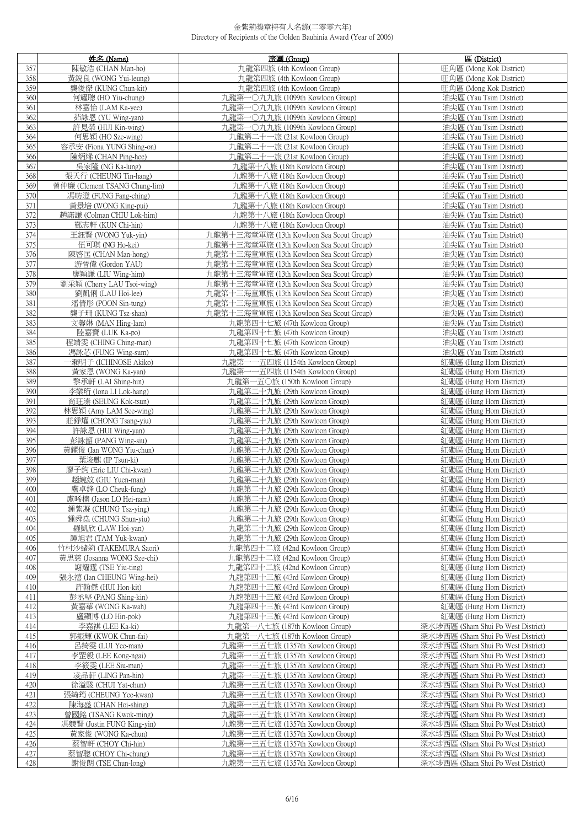|            | 姓名 (Name)                                      | 旅團 (Group)                                                              | 區 (District)                                                             |
|------------|------------------------------------------------|-------------------------------------------------------------------------|--------------------------------------------------------------------------|
| 357        | 陳敏浩 (CHAN Man-ho)                              | 九龍第四旅 (4th Kowloon Group)                                               | 旺角區 (Mong Kok District)                                                  |
| 358        | 黃銳良 (WONG Yui-leung)                           | 九龍第四旅 (4th Kowloon Group)                                               | 旺角區 (Mong Kok District)                                                  |
| 359        | 聾俊傑 (KUNG Chun-kit)                            | 九龍第四旅 (4th Kowloon Group)                                               | 旺角區 (Mong Kok District)                                                  |
| 360        | 何耀聰 (HO Yiu-chung)                             | 九龍第一〇九九旅 (1099th Kowloon Group)                                         | 油尖區 (Yau Tsim District)                                                  |
| 361        | 林嘉怡 (LAM Ka-yee)                               | 九龍第一〇九九旅 (1099th Kowloon Group)                                         | 油尖區 (Yau Tsim District)                                                  |
| 362        | 茹詠恩 (YU Wing-yan)                              | 九龍第一〇九九旅 (1099th Kowloon Group)                                         | 油尖區 (Yau Tsim District)                                                  |
| 363        | 許見榮 (HUI Kin-wing)                             | 九龍第一〇九九旅 (1099th Kowloon Group)                                         | 油尖區 (Yau Tsim District)                                                  |
| 364        | 何思穎 (HO Sze-wing)                              | 九龍第二十一旅 (21st Kowloon Group)                                            | 油尖區 (Yau Tsim District)                                                  |
| 365        | 容承安 (Fiona YUNG Shing-on)                      | 九龍第二十一旅 (21st Kowloon Group)                                            | 油尖區 (Yau Tsim District)                                                  |
| 366        | 陳炳烯 (CHAN Ping-hee)                            | 九龍第二十一旅 (21st Kowloon Group)                                            | 油尖區 (Yau Tsim District)                                                  |
| 367<br>368 | 吳家隆 (NG Ka-lung)<br>張天行 (CHEUNG Tin-hang)      | 九龍第十八旅 (18th Kowloon Group)                                             | 油尖區 (Yau Tsim District)                                                  |
| 369        | 曾仲廉 (Clement TSANG Chung-lim)                  | 九龍第十八旅 (18th Kowloon Group)<br>九龍第十八旅 (18th Kowloon Group)              | 油尖區 (Yau Tsim District)<br>油尖區 (Yau Tsim District)                       |
| 370        | 馮昉澄 (FUNG Fang-ching)                          | 九龍第十八旅 (18th Kowloon Group)                                             | 油尖區 (Yau Tsim District)                                                  |
| 371        | 黃景培 (WONG King-pui)                            | 九龍第十八旅 (18th Kowloon Group)                                             | 油尖區 (Yau Tsim District)                                                  |
| 372        | 趙諾謙 (Colman CHIU Lok-him)                      | 九龍第十八旅 (18th Kowloon Group)                                             | 油尖區 (Yau Tsim District)                                                  |
| 373        | 鄞志軒 (KUN Chi-hin)                              | 九龍第十八旅 (18th Kowloon Group)                                             | 油尖區 (Yau Tsim District)                                                  |
| 374        | 王鈺賢 (WONG Yuk-yin)                             | 九龍第十三海童軍旅 (13th Kowloon Sea Scout Group)                                | 油尖區 (Yau Tsim District)                                                  |
| 375        | 伍可琪 (NG Ho-kei)                                | 九龍第十三海童軍旅 (13th Kowloon Sea Scout Group)                                | 油尖區 (Yau Tsim District)                                                  |
| 376        | 陳暋匡 (CHAN Man-hong)                            | 九龍第十三海童軍旅 (13th Kowloon Sea Scout Group)                                | 油尖區 (Yau Tsim District)                                                  |
| 377        | 游晉偉 (Gordon YAU)                               | 九龍第十三海童軍旅 (13th Kowloon Sea Scout Group)                                | 油尖區 (Yau Tsim District)                                                  |
| 378        | 廖穎謙 (LIU Wing-him)                             | 九龍第十三海童軍旅 (13th Kowloon Sea Scout Group)                                | 油尖區 (Yau Tsim District)                                                  |
| 379        | 劉采穎 (Cherry LAU Tsoi-wing)                     | 九龍第十三海童軍旅 (13th Kowloon Sea Scout Group)                                | 油尖區 (Yau Tsim District)                                                  |
| 380        | 劉凱俐 (LAU Hoi-lee)                              | 九龍第十三海童軍旅 (13th Kowloon Sea Scout Group)                                | 油尖區 (Yau Tsim District)                                                  |
| 381        | 潘倩彤 (POON Sin-tung)                            | 九龍第十三海童軍旅 (13th Kowloon Sea Scout Group)                                | 油尖區 (Yau Tsim District)                                                  |
| 382        | 龔子珊 (KUNG Tsz-shan)                            | 九龍第十三海童軍旅 (13th Kowloon Sea Scout Group)                                | 油尖區 (Yau Tsim District)                                                  |
| 383        | 文馨琳 (MAN Hing-lam)                             | 九龍第四十七旅 (47th Kowloon Group)                                            | 油尖區 (Yau Tsim District)                                                  |
| 384<br>385 | 陸嘉寶 (LUK Ka-po)<br>程靖雯 (CHING Ching-man)       | 九龍第四十七旅 (47th Kowloon Group)<br>九龍第四十七旅 (47th Kowloon Group)            | 油尖區 (Yau Tsim District)<br>油尖區 (Yau Tsim District)                       |
| 386        | 馮詠芯 (FUNG Wing-sum)                            | 九龍第四十七旅 (47th Kowloon Group)                                            | 油尖區 (Yau Tsim District)                                                  |
| 387        | 一瀨明子 (ICHINOSE Akiko)                          | 九龍第一一五四旅 (1154th Kowloon Group)                                         | 紅磡區 (Hung Hom District)                                                  |
| 388        | 黃家恩 (WONG Ka-yan)                              | 九龍第一一五四旅 (1154th Kowloon Group)                                         | 紅磡區 (Hung Hom District)                                                  |
| 389        | 黎承軒 (LAI Shing-hin)                            | 九龍第一五〇旅 (150th Kowloon Group)                                           | 紅磡區 (Hung Hom District)                                                  |
| 390        | 李樂珩 (Iona LI Lok-hang)                         | 九龍第二十九旅 (29th Kowloon Group)                                            | 紅磡區 (Hung Hom District)                                                  |
| 391        | 尚玨溱 (SEUNG Kok-tsun)                           | 九龍第二十九旅 (29th Kowloon Group)                                            | 紅磡區 (Hung Hom District)                                                  |
| 392        | 林思穎 (Amy LAM See-wing)                         | 九龍第二十九旅 (29th Kowloon Group)                                            | 紅磡區 (Hung Hom District)                                                  |
| 393        | 莊錚燿 (CHONG Tsang-yiu)                          | 九龍第二十九旅 (29th Kowloon Group)                                            | 紅磡區 (Hung Hom District)                                                  |
| 394        | 許詠恩 (HUI Wing-yan)                             | 九龍第二十九旅 (29th Kowloon Group)                                            | 紅磡區 (Hung Hom District)                                                  |
| 395<br>396 | 彭詠韶 (PANG Wing-siu)<br>黃耀俊 (Ian WONG Yiu-chun) | 九龍第二十九旅 (29th Kowloon Group)<br>九龍第二十九旅 (29th Kowloon Group)            | 紅磡區 (Hung Hom District)<br>紅磡區 (Hung Hom District)                       |
| 397        | 葉浚麒 (IP Tsun-ki)                               | 九龍第二十九旅 (29th Kowloon Group)                                            | 紅磡區 (Hung Hom District)                                                  |
| 398        | 廖子鈞 (Eric LIU Chi-kwan)                        | 九龍第二十九旅 (29th Kowloon Group)                                            | 紅磡區 (Hung Hom District)                                                  |
| 399        | 趙婉妏 (GIU Yuen-man)                             | 九龍第二十九旅 (29th Kowloon Group)                                            | 紅磡區 (Hung Hom District)                                                  |
| 400        | 盧卓鋒 (LO Cheuk-fung)                            | 九龍第二十九旅 (29th Kowloon Group)                                            | 紅磡區 (Hung Hom District)                                                  |
| 401        | 盧晞楠 (Jason LO Hei-nam)                         | 九龍第二十九旅 (29th Kowloon Group)                                            | 紅磡區 (Hung Hom District)                                                  |
| 402        | 鍾紫凝 (CHUNG Tsz-ying)                           | 九龍第二十九旅 (29th Kowloon Group)                                            | 紅磡區 (Hung Hom District)                                                  |
| 403        | 鍾舜堯 (CHUNG Shun-yiu)                           | 九龍第二十九旅 (29th Kowloon Group)                                            | 紅磡區 (Hung Hom District)                                                  |
| 404        | 羅凱欣 (LAW Hoi-yan)<br>譚旭君 (TAM Yuk-kwan)        | 九龍第二十九旅 (29th Kowloon Group)                                            | 紅磡區 (Hung Hom District)                                                  |
| 405<br>406 | 竹村沙緒筣 (TAKEMURA Saori)                         | 九龍第二十九旅 (29th Kowloon Group)<br>九龍第四十二旅 (42nd Kowloon Group)            | 紅磡區 (Hung Hom District)<br>紅磡區 (Hung Hom District)                       |
| 407        | 黃思慈 (Josanna WONG Sze-chi)                     | 九龍第四十二旅 (42nd Kowloon Group)                                            | 紅磡區 (Hung Hom District)                                                  |
| 408        | 謝耀霆 (TSE Yiu-ting)                             | 九龍第四十二旅 (42nd Kowloon Group)                                            | 紅磡區 (Hung Hom District)                                                  |
| 409        | 張永禧 (Ian CHEUNG Wing-hei)                      | 九龍第四十三旅 (43rd Kowloon Group)                                            | 紅磡區 (Hung Hom District)                                                  |
| 410        | 許翰傑 (HUI Hon-kit)                              | 九龍第四十三旅 (43rd Kowloon Group)                                            | 紅磡區 (Hung Hom District)                                                  |
| 411        | 彭丞堅 (PANG Shing-kin)                           | 九龍第四十三旅 (43rd Kowloon Group)                                            | 紅磡區 (Hung Hom District)                                                  |
| 412        | 黃嘉華 (WONG Ka-wah)                              | 九龍第四十三旅 (43rd Kowloon Group)                                            | 紅磡區 (Hung Hom District)                                                  |
| 413        | 盧顯博 (LO Hin-pok)                               | 九龍第四十三旅 (43rd Kowloon Group)                                            | 紅磡區 (Hung Hom District)                                                  |
| 414        | 李嘉祺 (LEE Ka-ki)                                | 九龍第一八七旅 (187th Kowloon Group)                                           | 深水埗西區 (Sham Shui Po West District)                                       |
| 415        | 郭振輝 (KWOK Chun-fai)                            | 九龍第一八七旅 (187th Kowloon Group)                                           | 深水埗西區 (Sham Shui Po West District)                                       |
| 416<br>417 | 呂綺雯 (LUI Yee-man)<br>李罡毅 (LEE Kong-ngai)       | 九龍第一三五七旅 (1357th Kowloon Group)<br>九龍第一三五七旅 (1357th Kowloon Group)      | 深水埗西區 (Sham Shui Po West District)<br>深水埗西區 (Sham Shui Po West District) |
| 418        | 李筱雯 (LEE Siu-man)                              | -三五七旅 (1357th Kowloon Group)<br>九龍第一                                    | 深水埗西區 (Sham Shui Po West District)                                       |
| 419        | 凌品軒 (LING Pan-hin)                             | -三五七旅 (1357th Kowloon Group)<br>九龍第一                                    | 深水埗西區 (Sham Shui Po West District)                                       |
| 420        | 徐溢駿 (CHUI Yat-chun)                            | -三五七旅 (1357th Kowloon Group)<br>九龍第一                                    | 深水埗西區 (Sham Shui Po West District)                                       |
| 421        | 張綺筠 (CHEUNG Yee-kwan)                          | -三五七旅 (1357th Kowloon Group)<br>九龍第                                     | 深水埗西區 (Sham Shui Po West District)                                       |
| 422        | 陳海盛 (CHAN Hoi-shing)                           | 九龍第一三五七旅 (1357th Kowloon Group)                                         | 深水埗西區 (Sham Shui Po West District)                                       |
| 423        | 曾國銘 (TSANG Kwok-ming)                          | -三五七旅 (1357th Kowloon Group)<br>九龍第                                     | 深水埗西區 (Sham Shui Po West District)                                       |
| 424        | 馮競賢 (Justin FUNG King-yin)                     | -三五七旅 (1357th Kowloon Group)<br>九龍第一                                    | 深水埗西區 (Sham Shui Po West District)                                       |
| 425<br>426 | 黃家俊 (WONG Ka-chun)                             | 九龍第一<br>-三五七旅 (1357th Kowloon Group)                                    | 深水埗西區 (Sham Shui Po West District)<br>深水埗西區 (Sham Shui Po West District) |
| 427        | 蔡智軒 (CHOY Chi-hin)<br>蔡智聰 (CHOY Chi-chung)     | -三五七旅 (1357th Kowloon Group)<br>九龍第一<br>九龍第一三五七旅 (1357th Kowloon Group) | 深水埗西區 (Sham Shui Po West District)                                       |
| 428        | 謝俊朗 (TSE Chun-long)                            | 九龍第一三五七旅 (1357th Kowloon Group)                                         | 深水埗西區 (Sham Shui Po West District)                                       |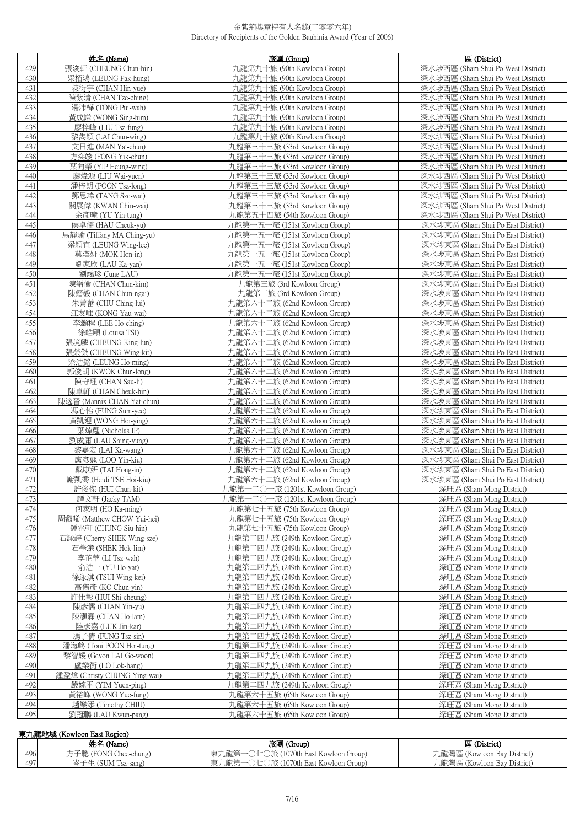|            | 姓名 (Name)                                          | 旅團 (Group)                                                     | 區 (District)                                                             |
|------------|----------------------------------------------------|----------------------------------------------------------------|--------------------------------------------------------------------------|
| 429        | 張浚軒 (CHEUNG Chun-hin)                              | 九龍第九十旅 (90th Kowloon Group)                                    | 深水埗西區 (Sham Shui Po West District)                                       |
| 430        | 梁栢鴻 (LEUNG Pak-hung)                               | 九龍第九十旅 (90th Kowloon Group)                                    | 深水埗西區 (Sham Shui Po West District)                                       |
| 431        | 陳衍宇 (CHAN Hin-yue)                                 | 九龍第九十旅 (90th Kowloon Group)                                    | 深水埗西區 (Sham Shui Po West District)                                       |
| 432        | 陳紫清 (CHAN Tze-ching)                               | 九龍第九十旅 (90th Kowloon Group)                                    | 深水埗西區 (Sham Shui Po West District)                                       |
| 433        | 湯沛樺 (TONG Pui-wah)                                 | 九龍第九十旅 (90th Kowloon Group)                                    | 深水埗西區 (Sham Shui Po West District)                                       |
| 434        | 黃成謙 (WONG Sing-him)                                | 九龍第九十旅 (90th Kowloon Group)                                    | 深水埗西區 (Sham Shui Po West District)                                       |
| 435        | 廖梓峰 (LIU Tsz-fung)                                 | 九龍第九十旅 (90th Kowloon Group)                                    | 深水埗西區 (Sham Shui Po West District)                                       |
| 436        | 黎雋穎 (LAI Chun-wing)                                | 九龍第九十旅 (90th Kowloon Group)                                    | 深水埗西區 (Sham Shui Po West District)                                       |
| 437        | 文日進 (MAN Yat-chun)                                 | 九龍第三十三旅 (33rd Kowloon Group)                                   | 深水埗西區 (Sham Shui Po West District)                                       |
| 438        | 方奕竣 (FONG Yik-chun)                                | 九龍第三十三旅 (33rd Kowloon Group)                                   | 深水埗西區 (Sham Shui Po West District)                                       |
| 439        | 葉向榮 (YIP Heung-wing)                               | 九龍第三十三旅 (33rd Kowloon Group)                                   | 深水埗西區 (Sham Shui Po West District)                                       |
| 440        | 廖煒源 (LIU Wai-yuen)                                 | 九龍第三十三旅 (33rd Kowloon Group)                                   | 深水埗西區 (Sham Shui Po West District)                                       |
| 441        | 潘梓朗 (POON Tsz-long)                                | 九龍第三十三旅 (33rd Kowloon Group)                                   | 深水埗西區 (Sham Shui Po West District)                                       |
| 442        | 鄧思瑋 (TANG Sze-wai)                                 | 九龍第三十三旅 (33rd Kowloon Group)                                   | 深水埗西區 (Sham Shui Po West District)                                       |
| 443        | 關展偉 (KWAN Chin-wai)                                | 九龍第三十三旅 (33rd Kowloon Group)                                   | 深水埗西區 (Sham Shui Po West District)                                       |
| 444        | 余彥曈 (YU Yin-tung)                                  | 九龍第五十四旅 (54th Kowloon Group)                                   | 深水埗西區 (Sham Shui Po West District)                                       |
| 445        | 侯卓儒 (HAU Cheuk-yu)                                 | 九龍第一五一旅 (151st Kowloon Group)                                  | 深水埗東區 (Sham Shui Po East District)                                       |
| 446        | 馬靜渝 (Tiffany MA Ching-yu)                          | 九龍第一五一旅 (151st Kowloon Group)                                  | 深水埗東區 (Sham Shui Po East District)                                       |
| 447        | 梁穎宜 (LEUNG Wing-lee)                               | 九龍第一五一旅 (151st Kowloon Group)                                  | 深水埗東區 (Sham Shui Po East District)                                       |
| 448        | 莫漢妍 (MOK Hon-in)                                   | 九龍第一五一旅 (151st Kowloon Group)                                  | 深水埗東區 (Sham Shui Po East District)                                       |
| 449        | 劉家欣 (LAU Ka-yan)                                   | 九龍第一五一旅 (151st Kowloon Group)                                  | 深水埗東區 (Sham Shui Po East District)                                       |
| 450        | 劉藹珍 (June LAU)                                     | 九龍第一五一旅 (151st Kowloon Group)                                  | 深水埗東區 (Sham Shui Po East District)                                       |
| 451        | 陳縉儉 (CHAN Chun-kim)                                | 九龍第三旅 (3rd Kowloon Group)                                      | 深水埗東區 (Sham Shui Po East District)                                       |
| 452        | 陳縉毅 (CHAN Chun-ngai)                               | 九龍第三旅 (3rd Kowloon Group)                                      | 深水埗東區 (Sham Shui Po East District)                                       |
| 453        | 朱菁蕾 (CHU Ching-lui)                                | 九龍第六十二旅 (62nd Kowloon Group)                                   | 深水埗東區 (Sham Shui Po East District)                                       |
| 454        | 江友唯 (KONG Yau-wai)                                 | 九龍第六十二旅 (62nd Kowloon Group)                                   | 深水埗東區 (Sham Shui Po East District)                                       |
| 455        | 李灝程 (LEE Ho-ching)                                 | 九龍第六十二旅 (62nd Kowloon Group)                                   | 深水埗東區 (Sham Shui Po East District)                                       |
| 456        | 徐皓頤 (Louisa TSI)                                   | 九龍第六十二旅 (62nd Kowloon Group)                                   | 深水埗東區 (Sham Shui Po East District)                                       |
| 457        | 張境麟 (CHEUNG King-lun)                              | 九龍第六十二旅 (62nd Kowloon Group)                                   | 深水埗東區 (Sham Shui Po East District)                                       |
| 458        | 張榮傑 (CHEUNG Wing-kit)                              | 九龍第六十二旅 (62nd Kowloon Group)                                   | 深水埗東區 (Sham Shui Po East District)                                       |
| 459        | 梁浩銘 (LEUNG Ho-ming)                                | 九龍第六十二旅 (62nd Kowloon Group)                                   | 深水埗東區 (Sham Shui Po East District)                                       |
| 460        | 郭俊朗 (KWOK Chun-long)                               | 九龍第六十二旅 (62nd Kowloon Group)                                   | 深水埗東區 (Sham Shui Po East District)                                       |
| 461        | 陳守理 (CHAN Sau-li)                                  | 九龍第六十二旅 (62nd Kowloon Group)                                   | 深水埗東區 (Sham Shui Po East District)                                       |
| 462<br>463 | 陳卓軒 (CHAN Cheuk-hin)<br>陳逸晉 (Mannix CHAN Yat-chun) | 九龍第六十二旅 (62nd Kowloon Group)<br>九龍第六十二旅 (62nd Kowloon Group)   | 深水埗東區 (Sham Shui Po East District)                                       |
| 464        | 馮心怡 (FUNG Sum-yee)                                 | 九龍第六十二旅 (62nd Kowloon Group)                                   | 深水埗東區 (Sham Shui Po East District)<br>深水埗東區 (Sham Shui Po East District) |
| 465        | 黃凱迎 (WONG Hoi-ying)                                | 九龍第六十二旅 (62nd Kowloon Group)                                   | 深水埗東區 (Sham Shui Po East District)                                       |
| 466        | 葉焯翹 (Nicholas IP)                                  | 九龍第六十二旅 (62nd Kowloon Group)                                   | 深水埗東區 (Sham Shui Po East District)                                       |
| 467        | 劉成庸 (LAU Shing-yung)                               | 九龍第六十二旅 (62nd Kowloon Group)                                   | 深水埗東區 (Sham Shui Po East District)                                       |
| 468        | 黎嘉宏 (LAI Ka-wang)                                  | 九龍第六十二旅 (62nd Kowloon Group)                                   | 深水埗東區 (Sham Shui Po East District)                                       |
| 469        | 盧彥翹 (LOO Yin-kiu)                                  | 九龍第六十二旅 (62nd Kowloon Group)                                   | 深水埗東區 (Sham Shui Po East District)                                       |
| 470        | 戴康妍 (TAI Hong-in)                                  | 九龍第六十二旅 (62nd Kowloon Group)                                   | 深水埗東區 (Sham Shui Po East District)                                       |
| 471        | 謝凱喬 (Heidi TSE Hoi-kiu)                            | 九龍第六十二旅 (62nd Kowloon Group)                                   | 深水埗東區 (Sham Shui Po East District)                                       |
| 472        | 許俊傑 (HUI Chun-kit)                                 | 九龍第一二〇一旅 (1201st Kowloon Group)                                | 深旺區 (Sham Mong District)                                                 |
| 473        | 譚文軒 (Jacky TAM)                                    | 九龍第一二〇一旅 (1201st Kowloon Group)                                | 深旺區 (Sham Mong District)                                                 |
| 474        | 何家明 (HO Ka-ming)                                   | 九龍第七十五旅 (75th Kowloon Group)                                   | 深旺區 (Sham Mong District)                                                 |
| 475        | 周叡晞 (Matthew CHOW Yui-hei)                         | 九龍第七十五旅 (75th Kowloon Group)                                   | 深旺區 (Sham Mong District)                                                 |
| 476        | 鍾兆軒 (CHUNG Siu-hin)                                | 九龍第七十五旅 (75th Kowloon Group)                                   | 深旺區 (Sham Mong District)                                                 |
| 477        | 石詠詩 (Cherry SHEK Wing-sze)                         | 九龍第二四九旅 (249th Kowloon Group)                                  | 深旺區 (Sham Mong District)                                                 |
| 478        | 石學濂 (SHEK Hok-lim)                                 | 九龍第二四九旅 (249th Kowloon Group)                                  | 深旺區 (Sham Mong District)                                                 |
| 479        | 李芷華 (LI Tsz-wah)                                   | 九龍第二四九旅 (249th Kowloon Group)                                  | 深旺區 (Sham Mong District)                                                 |
| 480        | 俞浩一 (YU Ho-yat)                                    | 九龍第二四九旅 (249th Kowloon Group)                                  | 深旺區 (Sham Mong District)                                                 |
| 481        | 徐泳淇 (TSUI Wing-kei)                                | 九龍第二四九旅 (249th Kowloon Group)                                  | 深旺區 (Sham Mong District)                                                 |
| 482        | 高雋彥 (KO Chun-yin)                                  | 九龍第二四九旅 (249th Kowloon Group)                                  | 深旺區 (Sham Mong District)                                                 |
| 483        | 許仕彰 (HUI Shi-cheung)                               | 九龍第二四九旅 (249th Kowloon Group)                                  | 深旺區 (Sham Mong District)                                                 |
| 484<br>485 | 陳彥儒 (CHAN Yin-yu)                                  | 九龍第二四九旅 (249th Kowloon Group)<br>九龍第二四九旅 (249th Kowloon Group) | 深旺區 (Sham Mong District)                                                 |
| 486        | 陳灝霖 (CHAN Ho-lam)                                  |                                                                | 深旺區 (Sham Mong District)                                                 |
| 487        | 陸彥嘉 (LUK Jin-kar)<br>馮子倩 (FUNG Tsz-sin)            | 九龍第二四九旅 (249th Kowloon Group)<br>九龍第二四九旅 (249th Kowloon Group) | 深旺區 (Sham Mong District)<br>深旺區 (Sham Mong District)                     |
| 488        | 潘海峂 (Toni POON Hoi-tung)                           | 九龍第二四九旅 (249th Kowloon Group)                                  | 深旺區 (Sham Mong District)                                                 |
| 489        | 黎智媛 (Gevon LAI Ge-woon)                            | 九龍第二四九旅 (249th Kowloon Group)                                  | 深旺區 (Sham Mong District)                                                 |
| 490        | 盧樂衡 (LO Lok-hang)                                  | 九龍第二四九旅 (249th Kowloon Group)                                  | 深旺區 (Sham Mong District)                                                 |
| 491        | 鍾盈煒 (Christy CHUNG Ying-wai)                       | 九龍第二四九旅 (249th Kowloon Group)                                  | 深旺區 (Sham Mong District)                                                 |
| 492        | 嚴婉平 (YIM Yuen-ping)                                | 九龍第二四九旅 (249th Kowloon Group)                                  | 深旺區 (Sham Mong District)                                                 |
| 493        | 黃裕峰 (WONG Yue-fung)                                | 九龍第六十五旅 (65th Kowloon Group)                                   | 深旺區 (Sham Mong District)                                                 |
| 494        | 趙樂添 (Timothy CHIU)                                 | 九龍第六十五旅 (65th Kowloon Group)                                   | 深旺區 (Sham Mong District)                                                 |
| 495        | 劉冠鵬 (LAU Kwun-pang)                                | 九龍第六十五旅 (65th Kowloon Group)                                   | 深旺區 (Sham Mong District)                                                 |

## 東九龍地域 (Kowloon East Region)

|     | 姓名<br>Mame)                                                                   | 旅團<br>(Group)                                                | 區 (District)                        |
|-----|-------------------------------------------------------------------------------|--------------------------------------------------------------|-------------------------------------|
| 496 | $\rightarrow$ $\rightarrow$<br><b>TONG</b><br>Chee-chung)<br>$\rightarrow$ Hi | the Astro<br>重.<br>1070th<br>龍津<br>. Group!<br>∟East Kowloon | ' District)<br>Kowloon Bay) ـ<br>弯血 |
| 497 | (SUM 1sz-sang)<br>∼                                                           | 申・<br>1070th<br>L龍弟<br>., Group)<br>i East Kowloon           | 九龍灣區 (Kowloon Bay District)         |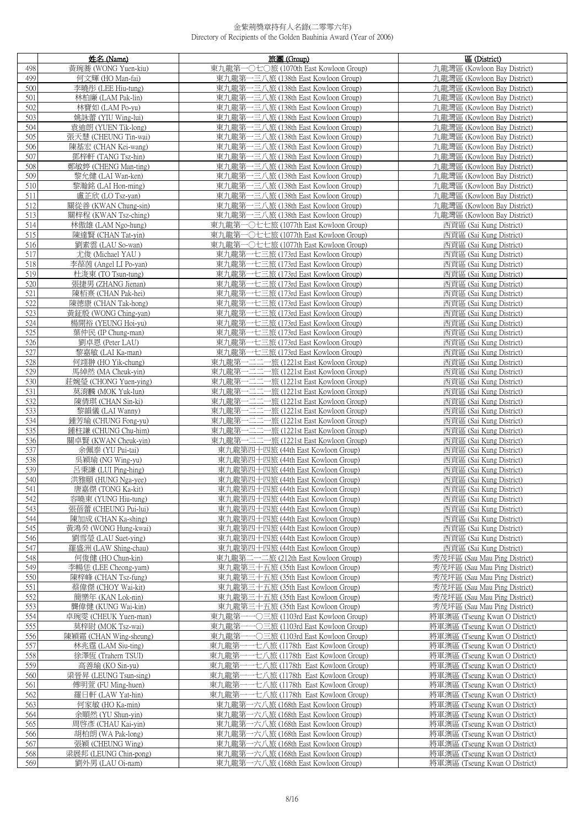|     | 姓名 (Name)              | 旅團 (Group)                                 | 區 (District)                  |
|-----|------------------------|--------------------------------------------|-------------------------------|
| 498 | 黃琬蕎 (WONG Yuen-kiu)    | 東九龍第一〇七〇旅 (1070th East Kowloon Group)      | 九龍灣區 (Kowloon Bay District)   |
| 499 | 何文輝 (HO Man-fai)       | 東九龍第一三八旅 (138th East Kowloon Group)        | 九龍灣區 (Kowloon Bay District)   |
| 500 | 李曉彤 (LEE Hiu-tung)     | 東九龍第一三八旅 (138th East Kowloon Group)        | 九龍灣區 (Kowloon Bay District)   |
| 501 | 林柏廉 (LAM Pak-lin)      | 東九龍第一三八旅 (138th East Kowloon Group)        | 九龍灣區 (Kowloon Bay District)   |
| 502 | 林寶如 (LAM Po-yu)        | 東九龍第一三八旅 (138th East Kowloon Group)        | 九龍灣區 (Kowloon Bay District)   |
| 503 | 姚詠蕾 (YIU Wing-lui)     | 東九龍第一三八旅 (138th East Kowloon Group)        | 九龍灣區 (Kowloon Bay District)   |
| 504 | 袁迪朗 (YUEN Tik-long)    | 東九龍第一三八旅 (138th East Kowloon Group)        | 九龍灣區 (Kowloon Bay District)   |
| 505 | 張天慧 (CHEUNG Tin-wai)   | 東九龍第一三八旅 (138th East Kowloon Group)        | 九龍灣區 (Kowloon Bay District)   |
| 506 | 陳基宏 (CHAN Kei-wang)    | 東九龍第一三八旅 (138th East Kowloon Group)        | 九龍灣區 (Kowloon Bay District)   |
| 507 | 鄧梓軒 (TANG Tsz-hin)     | 東九龍第一三八旅 (138th East Kowloon Group)        | 九龍灣區 (Kowloon Bay District)   |
| 508 | 鄭敏婷 (CHENG Man-ting)   | 東九龍第一三八旅 (138th East Kowloon Group)        | 九龍灣區 (Kowloon Bay District)   |
| 509 | 黎允健 (LAI Wan-ken)      | 東九龍第一三八旅 (138th East Kowloon Group)        | 九龍灣區 (Kowloon Bay District)   |
| 510 | 黎瀚銘 (LAI Hon-ming)     | 東九龍第一三八旅 (138th East Kowloon Group)        | 九龍灣區 (Kowloon Bay District)   |
| 511 | 盧芷欣 (LO Tsz-yan)       | 東九龍第一三八旅 (138th East Kowloon Group)        | 九龍灣區 (Kowloon Bay District)   |
| 512 | 關從善 (KWAN Chung-sin)   | 東九龍第一三八旅 (138th East Kowloon Group)        | 九龍灣區 (Kowloon Bay District)   |
| 513 | 關梓程 (KWAN Tsz-ching)   | 東九龍第一三八旅 (138th East Kowloon Group)        | 九龍灣區 (Kowloon Bay District)   |
| 514 | 林傲雄 (LAM Ngo-hung)     | 東九龍第一〇七七旅 (1077th East Kowloon Group)      | 西貢區 (Sai Kung District)       |
| 515 | 陳達賢 (CHAN Tat-yin)     | 東九龍第一○七七旅 (1077th East Kowloon Group)      | 西貢區 (Sai Kung District)       |
| 516 | 劉素雲 (LAU So-wan)       | 東九龍第一○七七旅 (1077th East Kowloon Group)      | 西貢區 (Sai Kung District)       |
| 517 | 尤俊 (Michael YAU)       | 東九龍第一七三旅 (173rd East Kowloon Group)        | 西貢區 (Sai Kung District)       |
| 518 | 李葆茵 (Angel LI Po-yan)  | 東九龍第一七三旅 (173rd East Kowloon Group)        | 西貢區 (Sai Kung District)       |
| 519 | 杜浚東 (TO Tsun-tung)     | 東九龍第一七三旅 (173rd East Kowloon Group)        | 西貢區 (Sai Kung District)       |
| 520 | 張捷男 (ZHANG Jienan)     | 東九龍第一七三旅 (173rd East Kowloon Group)        | 西貢區 (Sai Kung District)       |
| 521 | 陳栢熹 (CHAN Pak-hei)     | 東九龍第一七三旅 (173rd East Kowloon Group)        | 西貢區 (Sai Kung District)       |
| 522 | 陳德康 (CHAN Tak-hong)    | 東九龍第一七三旅 (173rd East Kowloon Group)        | 西貢區 (Sai Kung District)       |
| 523 | 黃鉦殷 (WONG Ching-yan)   | 東九龍第一七三旅 (173rd East Kowloon Group)        | 西貢區 (Sai Kung District)       |
| 524 | 楊開裕 (YEUNG Hoi-yu)     | 東九龍第一七三旅 (173rd East Kowloon Group)        | 西貢區 (Sai Kung District)       |
| 525 | 葉仲民 (IP Chung-man)     | 東九龍第一七三旅 (173rd East Kowloon Group)        | 西貢區 (Sai Kung District)       |
| 526 | 劉卓恩 (Peter LAU)        | 東九龍第一七三旅 (173rd East Kowloon Group)        | 西貢區 (Sai Kung District)       |
| 527 | 黎嘉敏 (LAI Ka-man)       | 東九龍第一七三旅 (173rd East Kowloon Group)        | 西貢區 (Sai Kung District)       |
| 528 | 何翊翀 (HO Yik-chung)     | 東九龍第一二二一旅 (1221st East Kowloon Group)      | 西貢區 (Sai Kung District)       |
| 529 | 馬綽然 (MA Cheuk-yin)     | 東九龍第一二二一旅 (1221st East Kowloon Group)      | 西貢區 (Sai Kung District)       |
| 530 | 莊婉瑩 (CHONG Yuen-ying)  | 東九龍第一二二一旅 (1221st East Kowloon Group)      | 西貢區 (Sai Kung District)       |
| 531 | 莫淯麟 (MOK Yuk-lun)      | 東九龍第一二二一旅 (1221st East Kowloon Group)      | 西貢區 (Sai Kung District)       |
| 532 | 陳倩琪 (CHAN Sin-ki)      | 東九龍第一二二一旅 (1221st East Kowloon Group)      | 西貢區 (Sai Kung District)       |
| 533 | 黎韻儀 (LAI Wanny)        | 東九龍第一二二一旅 (1221st East Kowloon Group)      | 西貢區 (Sai Kung District)       |
| 534 | 鍾芳瑜 (CHUNG Fong-yu)    | 東九龍第一二二一旅 (1221st East Kowloon Group)      | 西貢區 (Sai Kung District)       |
| 535 | 鍾柱謙 (CHUNG Chu-him)    | 東九龍第一二二一旅 (1221st East Kowloon Group)      | 西貢區 (Sai Kung District)       |
| 536 | 關卓賢 (KWAN Cheuk-yin)   | 東九龍第一二二一旅 (1221st East Kowloon Group)      | 西貢區 (Sai Kung District)       |
| 537 | 余佩泰 (YU Pui-tai)       | 東九龍第四十四旅 (44th East Kowloon Group)         | 西貢區 (Sai Kung District)       |
| 538 | 吳穎瑜 (NG Wing-yu)       | 東九龍第四十四旅 (44th East Kowloon Group)         | 西貢區 (Sai Kung District)       |
| 539 | 呂秉謙 (LUI Ping-hing)    | 東九龍第四十四旅 (44th East Kowloon Group)         | 西貢區 (Sai Kung District)       |
| 540 | 洪雅頤 (HUNG Nga-yee)     | 東九龍第四十四旅 (44th East Kowloon Group)         | 西貢區 (Sai Kung District)       |
| 541 | 唐嘉傑 (TONG Ka-kit)      | 東九龍第四十四旅 (44th East Kowloon Group)         | 西貢區 (Sai Kung District)       |
| 542 | 容曉東 (YUNG Hiu-tung)    | 東九龍第四十四旅 (44th East Kowloon Group)         | 西貢區 (Sai Kung District)       |
| 543 | 張蓓蕾 (CHEUNG Pui-lui)   | 東九龍第四十四旅 (44th East Kowloon Group)         | 西貢區 (Sai Kung District)       |
| 544 | 陳加成 (CHAN Ka-shing)    | 東九龍第四十四旅 (44th East Kowloon Group)         | 西貢區 (Sai Kung District)       |
| 545 | 黃鴻癸 (WONG Hung-kwai)   | 東九龍第四十四旅 (44th East Kowloon Group)         | 西貢區 (Sai Kung District)       |
| 546 | 劉雪瑩 (LAU Suet-ying)    | 東九龍第四十四旅 (44th East Kowloon Group)         | 西貢區 (Sai Kung District)       |
| 547 | 羅盛洲 (LAW Shing-chau)   | 東九龍第四十四旅 (44th East Kowloon Group)         | 西貢區 (Sai Kung District)       |
| 548 | 何俊健 (HO Chun-kin)      | 東九龍第二一二旅 (212th East Kowloon Group)        | 秀茂坪區 (Sau Mau Ping District)  |
| 549 | 李暢恁 (LEE Cheong-yam)   | 東九龍第三十五旅 (35th East Kowloon Group)         | 秀茂坪區 (Sau Mau Ping District)  |
| 550 | 陳梓峰 (CHAN Tsz-fung)    | 東九龍第三十五旅 (35th East Kowloon Group)         | 秀茂坪區 (Sau Mau Ping District)  |
| 551 | 蔡偉傑 (CHOY Wai-kit)     | 東九龍第三十五旅 (35th East Kowloon Group)         | 秀茂坪區 (Sau Mau Ping District)  |
| 552 | 簡樂年 (KAN Lok-nin)      | 東九龍第三十五旅 (35th East Kowloon Group)         | 秀茂坪區 (Sau Mau Ping District)  |
| 553 | 龔偉健 (KUNG Wai-kin)     | 東九龍第三十五旅 (35th East Kowloon Group)         | 秀茂坪區 (Sau Mau Ping District)  |
| 554 | 卓琬雯 (CHEUK Yuen-man)   | 東九龍第一一〇三旅 (1103rd East Kowloon Group)      | 將軍澳區 (Tseung Kwan O District) |
| 555 | 莫梓尉 (MOK Tsz-wai)      | 東九龍第一一〇三旅 (1103rd East Kowloon Group)      | 將軍澳區 (Tseung Kwan O District) |
| 556 | 陳穎霜 (CHAN Wing-sheung) | 一〇三旅 (1103rd East Kowloon Group)<br>東九龍第·  | 將軍澳區 (Tseung Kwan O District) |
| 557 | 林兆霆 (LAM Siu-ting)     | 一七八旅 (1178th East Kowloon Group)<br>東九龍第一  | 將軍澳區 (Tseung Kwan O District) |
| 558 | 徐澤恆 (Trahern TSUI)     | 東九龍第-<br>-一七八旅 (1178th East Kowloon Group) | 將軍澳區 (Tseung Kwan O District) |
| 559 | 高善瑜 (KO Sin-yu)        | 一七八旅 (1178th East Kowloon Group)<br>東九龍第-  | 將軍澳區 (Tseung Kwan O District) |
| 560 | 梁晉昇 (LEUNG Tsun-sing)  | 七八旅 (1178th East Kowloon Group)<br>東九龍第    | 將軍澳區 (Tseung Kwan O District) |
| 561 | 傅明萱 (FU Ming-huen)     | 東九龍第-<br>一一七八旅 (1178th East Kowloon Group) | 將軍澳區 (Tseung Kwan O District) |
| 562 | 羅日軒 (LAW Yat-hin)      | 東九龍第一一七八旅 (1178th East Kowloon Group)      | 將軍澳區 (Tseung Kwan O District) |
| 563 | 何家敏 (HO Ka-min)        | 東九龍第一六八旅 (168th East Kowloon Group)        | 將軍澳區 (Tseung Kwan O District) |
| 564 | 余順然 (YU Shun-yin)      | 東九龍第一六八旅 (168th East Kowloon Group)        | 將軍澳區 (Tseung Kwan O District) |
| 565 | 周啓彥 (CHAU Kai-yin)     | 東九龍第一六八旅 (168th East Kowloon Group)        | 將軍澳區 (Tseung Kwan O District) |
| 566 | 胡柏朗 (WA Pak-long)      | 東九龍第一六八旅 (168th East Kowloon Group)        | 將軍澳區 (Tseung Kwan O District) |
| 567 | 張穎 (CHEUNG Wing)       | 東九龍第一六八旅 (168th East Kowloon Group)        | 將軍澳區 (Tseung Kwan O District) |
| 568 | 梁展邦 (LEUNG Chin-pong)  | 東九龍第一六八旅 (168th East Kowloon Group)        | 將軍澳區 (Tseung Kwan O District) |
| 569 | 劉外男 (LAU Oi-nam)       | 東九龍第一六八旅 (168th East Kowloon Group)        | 將軍澳區 (Tseung Kwan O District) |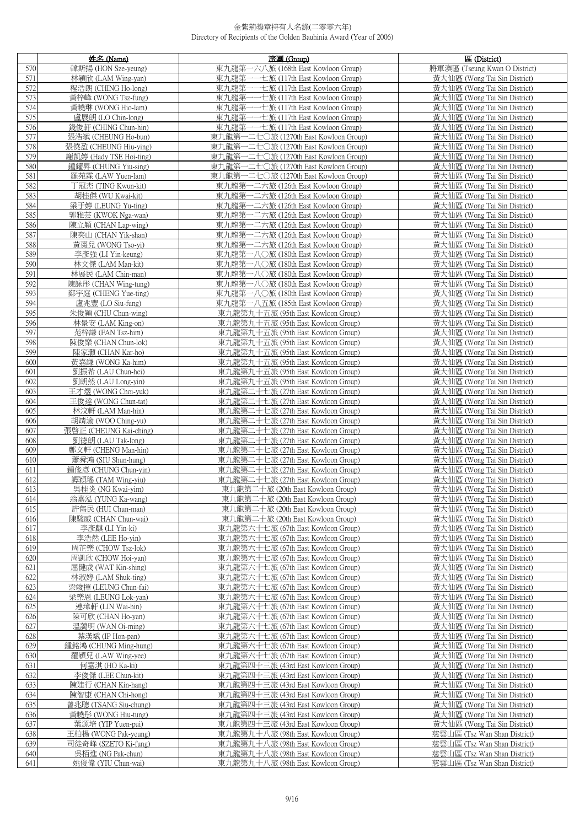|            | 姓名 (Name)                                   | 旅團 (Group)                                                                 | 區 (District)                                                 |
|------------|---------------------------------------------|----------------------------------------------------------------------------|--------------------------------------------------------------|
| 570        | 韓斯揚 (HON Sze-yeung)                         | 東九龍第一六八旅 (168th East Kowloon Group)                                        | 將軍澳區 (Tseung Kwan O District)                                |
| 571        | 林穎欣 (LAM Wing-yan)                          | 東九龍第-<br>一一七旅 (117th East Kowloon Group)                                   | 黃大仙區 (Wong Tai Sin District)                                 |
| 572        | 程浩朗 (CHING Ho-long)                         | 東九龍第一一七旅 (117th East Kowloon Group)                                        | 黃大仙區 (Wong Tai Sin District)                                 |
| 573        | 黃梓峰 (WONG Tsz-fung)                         | 東九龍第一一七旅 (117th East Kowloon Group)                                        | 黃大仙區 (Wong Tai Sin District)                                 |
| 574        | 黃曉琳 (WONG Hio-lam)                          | 東九龍第一一七旅 (117th East Kowloon Group)                                        | 黃大仙區 (Wong Tai Sin District)                                 |
| 575        | 盧展朗 (LO Chin-long)                          | 東九龍第一一七旅 (117th East Kowloon Group)                                        | 黃大仙區 (Wong Tai Sin District)                                 |
| 576        | 錢俊軒 (CHING Chun-hin)                        | 東九龍第一一七旅 (117th East Kowloon Group)                                        | 黃大仙區 (Wong Tai Sin District)                                 |
| 577        | 張浩斌 (CHEUNG Ho-bun)                         | 東九龍第一二七〇旅 (1270th East Kowloon Group)                                      | 黃大仙區 (Wong Tai Sin District)                                 |
| 578        | 張僥盈 (CHEUNG Hiu-ying)                       | 東九龍第一二七〇旅 (1270th East Kowloon Group)                                      | 黃大仙區 (Wong Tai Sin District)                                 |
| 579        | 謝凱婷 (Hady TSE Hoi-ting)                     | 東九龍第一二七〇旅 (1270th East Kowloon Group)                                      | 黃大仙區 (Wong Tai Sin District)                                 |
| 580        | 鍾耀昇 (CHUNG Yiu-sing)                        | 東九龍第一二七〇旅 (1270th East Kowloon Group)                                      | 黃大仙區 (Wong Tai Sin District)                                 |
| 581        | 羅苑霖 (LAW Yuen-lam)                          | 東九龍第一二七〇旅 (1270th East Kowloon Group)                                      | 黃大仙區 (Wong Tai Sin District)                                 |
| 582        | 丁冠杰 (TING Kwun-kit)                         | 東九龍第一二六旅 (126th East Kowloon Group)                                        | 黃大仙區 (Wong Tai Sin District)                                 |
| 583<br>584 | 胡桂傑 (WU Kwai-kit)<br>梁于婷 (LEUNG Yu-ting)    | 東九龍第一二六旅 (126th East Kowloon Group)<br>東九龍第一二六旅 (126th East Kowloon Group) | 黃大仙區 (Wong Tai Sin District)<br>黃大仙區 (Wong Tai Sin District) |
| 585        | 郭雅芸 (KWOK Nga-wan)                          | 東九龍第一二六旅 (126th East Kowloon Group)                                        | 黃大仙區 (Wong Tai Sin District)                                 |
| 586        | 陳立穎 (CHAN Lap-wing)                         | 東九龍第一二六旅 (126th East Kowloon Group)                                        | 黃大仙區 (Wong Tai Sin District)                                 |
| 587        | 陳奕山 (CHAN Yik-shan)                         | 東九龍第一二六旅 (126th East Kowloon Group)                                        | 黃大仙區 (Wong Tai Sin District)                                 |
| 588        | 黃棗兒 (WONG Tso-vi)                           | 東九龍第一二六旅 (126th East Kowloon Group)                                        | 黃大仙區 (Wong Tai Sin District)                                 |
| 589        | 李彥強 (LI Yin-keung)                          | 東九龍第一八〇旅 (180th East Kowloon Group)                                        | 黃大仙區 (Wong Tai Sin District)                                 |
| 590        | 林文傑 (LAM Man-kit)                           | 東九龍第一八〇旅 (180th East Kowloon Group)                                        | 黃大仙區 (Wong Tai Sin District)                                 |
| 591        | 林展民 (LAM Chin-man)                          | 東九龍第一八〇旅 (180th East Kowloon Group)                                        | 黃大仙區 (Wong Tai Sin District)                                 |
| 592        | 陳詠彤 (CHAN Wing-tung)                        | 東九龍第一八〇旅 (180th East Kowloon Group)                                        | 黃大仙區 (Wong Tai Sin District)                                 |
| 593        | 鄭宇庭 (CHENG Yue-ting)                        | 東九龍第一八〇旅 (180th East Kowloon Group)                                        | 黃大仙區 (Wong Tai Sin District)                                 |
| 594        | 盧兆豐 (LO Siu-fung)                           | 東九龍第一八五旅 (185th East Kowloon Group)                                        | 黃大仙區 (Wong Tai Sin District)                                 |
| 595        | 朱俊穎 (CHU Chun-wing)                         | 東九龍第九十五旅 (95th East Kowloon Group)                                         | 黃大仙區 (Wong Tai Sin District)                                 |
| 596        | 林景安 (LAM King-on)                           | 東九龍第九十五旅 (95th East Kowloon Group)                                         | 黃大仙區 (Wong Tai Sin District)                                 |
| 597        | 范梓謙 (FAN Tsz-him)                           | 東九龍第九十五旅 (95th East Kowloon Group)                                         | 黃大仙區 (Wong Tai Sin District)                                 |
| 598        | 陳俊樂 (CHAN Chun-lok)                         | 東九龍第九十五旅 (95th East Kowloon Group)                                         | 黃大仙區 (Wong Tai Sin District)                                 |
| 599        | 陳家灝 (CHAN Kar-ho)                           | 東九龍第九十五旅 (95th East Kowloon Group)                                         | 黃大仙區 (Wong Tai Sin District)                                 |
| 600        | 黃嘉謙 (WONG Ka-him)                           | 東九龍第九十五旅 (95th East Kowloon Group)                                         | 黃大仙區 (Wong Tai Sin District)                                 |
| 601        | 劉振希 (LAU Chun-hei)                          | 東九龍第九十五旅 (95th East Kowloon Group)                                         | 黃大仙區 (Wong Tai Sin District)                                 |
| 602        | 劉朗然 (LAU Long-yin)                          | 東九龍第九十五旅 (95th East Kowloon Group)                                         | 黃大仙區 (Wong Tai Sin District)                                 |
| 603        | 王才煜 (WONG Choi-yuk)                         | 東九龍第二十七旅 (27th East Kowloon Group)                                         | 黃大仙區 (Wong Tai Sin District)                                 |
| 604        | 王俊達 (WONG Chun-tat)                         | 東九龍第二十七旅 (27th East Kowloon Group)                                         | 黃大仙區 (Wong Tai Sin District)                                 |
| 605<br>606 | 林汶軒 (LAM Man-hin)<br>胡靖渝 (WOO Ching-yu)     | 東九龍第二十七旅 (27th East Kowloon Group)<br>東九龍第二十七旅 (27th East Kowloon Group)   | 黃大仙區 (Wong Tai Sin District)<br>黃大仙區 (Wong Tai Sin District) |
| 607        | 張啓正 (CHEUNG Kai-ching)                      | 東九龍第二十七旅 (27th East Kowloon Group)                                         | 黃大仙區 (Wong Tai Sin District)                                 |
| 608        | 劉德朗 (LAU Tak-long)                          | 東九龍第二十七旅 (27th East Kowloon Group)                                         | 黃大仙區 (Wong Tai Sin District)                                 |
| 609        | 鄭文軒 (CHENG Man-hin)                         | 東九龍第二十七旅 (27th East Kowloon Group)                                         | 黃大仙區 (Wong Tai Sin District)                                 |
| 610        | 蕭舜鴻 (SIU Shun-hung)                         | 東九龍第二十七旅 (27th East Kowloon Group)                                         | 黃大仙區 (Wong Tai Sin District)                                 |
| 611        | 鍾俊彥 (CHUNG Chun-yin)                        | 東九龍第二十七旅 (27th East Kowloon Group)                                         | 黃大仙區 (Wong Tai Sin District)                                 |
| 612        | 譚穎瑤 (TAM Wing-yiu)                          | 東九龍第二十七旅 (27th East Kowloon Group)                                         | 黃大仙區 (Wong Tai Sin District)                                 |
| 613        | 吳桂炎 (NG Kwai-yim)                           | 東九龍第二十旅 (20th East Kowloon Group)                                          | 黃大仙區 (Wong Tai Sin District)                                 |
| 614        | 翁嘉泓 (YUNG Ka-wang)                          | 東九龍第二十旅 (20th East Kowloon Group)                                          | 黃大仙區 (Wong Tai Sin District)                                 |
| 615        | 許雋民 (HUI Chun-man)                          | 東九龍第二十旅 (20th East Kowloon Group)                                          | 黃大仙區 (Wong Tai Sin District)                                 |
| 616        | 陳駿威 (CHAN Chun-wai)                         | 東九龍第二十旅 (20th East Kowloon Group)                                          | 黃大仙區 (Wong Tai Sin District)                                 |
| 617        | 李彥麒 (LI Yin-ki)                             | 東九龍第六十七旅 (67th East Kowloon Group)                                         | 黃大仙區 (Wong Tai Sin District)                                 |
| 618        | 李浩然 (LEE Ho-yin)                            | 東九龍第六十七旅 (67th East Kowloon Group)                                         | 黃大仙區 (Wong Tai Sin District)                                 |
| 619        | 周芷樂 (CHOW Tsz-lok)                          | 東九龍第六十七旅 (67th East Kowloon Group)                                         | 黃大仙區 (Wong Tai Sin District)                                 |
| 620        | 周凱欣 (CHOW Hoi-yan)                          | 東九龍第六十七旅 (67th East Kowloon Group)                                         | 黃大仙區 (Wong Tai Sin District)                                 |
| 621        | 屈健成 (WAT Kin-shing)                         | 東九龍第六十七旅 (67th East Kowloon Group)                                         | 黃大仙區 (Wong Tai Sin District)                                 |
| 622<br>623 | 林淑婷 (LAM Shuk-ting)<br>梁竣揮 (LEUNG Chun-fai) | 東九龍第六十七旅 (67th East Kowloon Group)<br>東九龍第六十七旅 (67th East Kowloon Group)   | 黃大仙區 (Wong Tai Sin District)<br>黃大仙區 (Wong Tai Sin District) |
| 624        | 梁樂恩 (LEUNG Lok-yan)                         | 東九龍第六十七旅 (67th East Kowloon Group)                                         | 黃大仙區 (Wong Tai Sin District)                                 |
| 625        | 連瑋軒 (LIN Wai-hin)                           | 東九龍第六十七旅 (67th East Kowloon Group)                                         | 黃大仙區 (Wong Tai Sin District)                                 |
| 626        | 陳可欣 (CHAN Ho-yan)                           | 東九龍第六十七旅 (67th East Kowloon Group)                                         | 黃大仙區 (Wong Tai Sin District)                                 |
| 627        | 溫藹明 (WAN Oi-ming)                           | 東九龍第六十七旅 (67th East Kowloon Group)                                         | 黃大仙區 (Wong Tai Sin District)                                 |
| 628        | 葉漢斌 (IP Hon-pan)                            | 東九龍第六十七旅 (67th East Kowloon Group)                                         | 黃大仙區 (Wong Tai Sin District)                                 |
| 629        | 鍾銘鴻 (CHUNG Ming-hung)                       | 東九龍第六十七旅 (67th East Kowloon Group)                                         | 黃大仙區 (Wong Tai Sin District)                                 |
| 630        | 羅穎兒 (LAW Wing-yee)                          | 東九龍第六十七旅 (67th East Kowloon Group)                                         | 黃大仙區 (Wong Tai Sin District)                                 |
| 631        | 何嘉淇 (HO Ka-ki)                              | 東九龍第四十三旅 (43rd East Kowloon Group)                                         | 黃大仙區 (Wong Tai Sin District)                                 |
| 632        | 李俊傑 (LEE Chun-kit)                          | 東九龍第四十三旅 (43rd East Kowloon Group)                                         | 黃大仙區 (Wong Tai Sin District)                                 |
| 633        | 陳建行 (CHAN Kin-hang)                         | 東九龍第四十三旅 (43rd East Kowloon Group)                                         | 黃大仙區 (Wong Tai Sin District)                                 |
| 634        | 陳智康 (CHAN Chi-hong)                         | 東九龍第四十三旅 (43rd East Kowloon Group)                                         | 黃大仙區 (Wong Tai Sin District)                                 |
| 635        | 曾兆聰 (TSANG Siu-chung)                       | 東九龍第四十三旅 (43rd East Kowloon Group)                                         | 黃大仙區 (Wong Tai Sin District)                                 |
| 636        | 黃曉彤 (WONG Hiu-tung)                         | 東九龍第四十三旅 (43rd East Kowloon Group)                                         | 黃大仙區 (Wong Tai Sin District)                                 |
| 637        | 葉源培 (YIP Yuen-pui)                          | 東九龍第四十三旅 (43rd East Kowloon Group)                                         | 黃大仙區 (Wong Tai Sin District)                                 |
| 638        | 王柏楊 (WONG Pak-yeung)                        | 東九龍第九十八旅 (98th East Kowloon Group)                                         | 慈雲山區 (Tsz Wan Shan District)                                 |
| 639        | 司徒奇峰 (SZETO Ki-fung)                        | 東九龍第九十八旅 (98th East Kowloon Group)                                         | 慈雲山區 (Tsz Wan Shan District)                                 |
| 640        | 吳栢進 (NG Pak-chun)                           | 東九龍第九十八旅 (98th East Kowloon Group)                                         | 慈雲山區 (Tsz Wan Shan District)                                 |
| 641        | 姚俊偉 (YIU Chun-wai)                          | 東九龍第九十八旅 (98th East Kowloon Group)                                         | 慈雲山區 (Tsz Wan Shan District)                                 |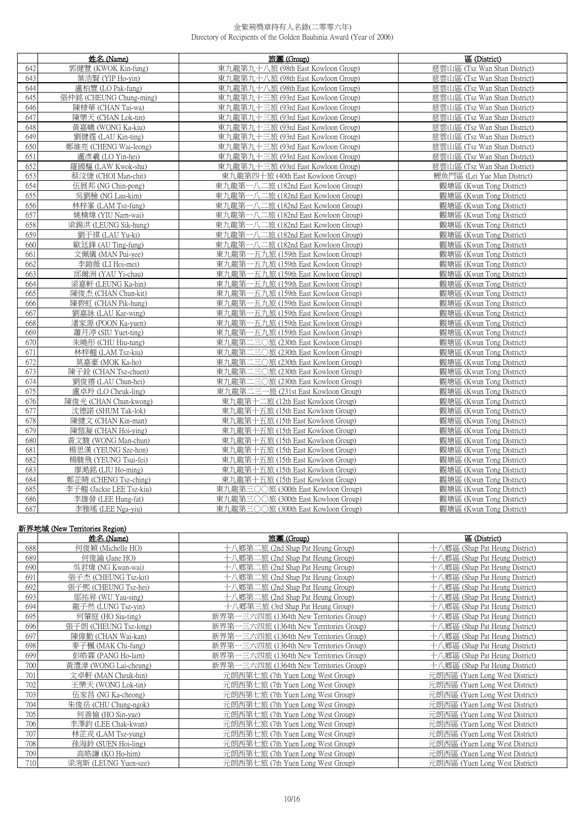|     | 姓名 (Name)                | 旅團 (Group)                          | 區 (District)                 |
|-----|--------------------------|-------------------------------------|------------------------------|
| 642 | 郭健豐 (KWOK Kin-fung)      | 東九龍第九十八旅 (98th East Kowloon Group)  | 蒸雲山區 (Tsz Wan Shan District) |
| 643 | 葉浩賢 (YIP Ho-yin)         | 東九龍第九十八旅 (98th East Kowloon Group)  | 慈雲山區 (Tsz Wan Shan District) |
| 644 | 盧柏豐 (LO Pak-fung)        | 東九龍第九十八旅 (98th East Kowloon Group)  | 慈雲山區 (Tsz Wan Shan District) |
| 645 | 張仲銘 (CHEUNG Chung-ming)  | 東九龍第九十三旅 (93rd East Kowloon Group)  | 慈雲山區 (Tsz Wan Shan District) |
| 646 | 陳棣華 (CHAN Tai-wa)        | 東九龍第九十三旅 (93rd East Kowloon Group)  | 慈雲山區 (Tsz Wan Shan District) |
| 647 | 陳樂天 (CHAN Lok-tin)       | 東九龍第九十三旅 (93rd East Kowloon Group)  | 慈雲山區 (Tsz Wan Shan District) |
| 648 | 黃嘉嶠 (WONG Ka-kiu)        | 東九龍第九十三旅 (93rd East Kowloon Group)  | 慈雲山區 (Tsz Wan Shan District) |
| 649 | 劉健霆 (LAU Kin-ting)       | 東九龍第九十三旅 (93rd East Kowloon Group)  | 慈雲山區 (Tsz Wan Shan District) |
| 650 | 鄭維亮 (CHENG Wai-leong)    | 東九龍第九十三旅 (93rd East Kowloon Group)  | 慈雲山區 (Tsz Wan Shan District) |
| 651 | 盧彥羲 (LO Yin-hei)         | 東九龍第九十三旅 (93rd East Kowloon Group)  | 慈雲山區 (Tsz Wan Shan District) |
| 652 | 羅國樞 (LAW Kwok-shu)       | 東九龍第九十三旅 (93rd East Kowloon Group)  | 慈雲山區 (Tsz Wan Shan District) |
| 653 | 蔡汶倢 (CHOI Man-chit)      | 東九龍第四十旅 (40th East Kowloon Group)   | 鲤魚門區 (Lei Yue Mun District)  |
| 654 | 伍展邦 (NG Chin-pong)       | 東九龍第一八二旅 (182nd East Kowloon Group) | 觀塘區 (Kwun Tong District)     |
| 655 | 吳劉檢 (NG Lau-kim)         | 東九龍第一八二旅 (182nd East Kowloon Group) | 觀塘區 (Kwun Tong District)     |
| 656 | 林梓峯 (LAM Tsz-fung)       | 東九龍第一八二旅 (182nd East Kowloon Group) | 觀塘區 (Kwun Tong District)     |
| 657 | 姚楠煒 (YIU Nam-wai)        | 東九龍第一八二旅 (182nd East Kowloon Group) | 觀塘區 (Kwun Tong District)     |
| 658 | 梁錫洪 (LEUNG Sik-hung)     | 東九龍第一八二旅 (182nd East Kowloon Group) | 觀塘區 (Kwun Tong District)     |
| 659 | 劉于祺 (LAU Yu-ki)          | 東九龍第一八二旅 (182nd East Kowloon Group) | 觀塘區 (Kwun Tong District)     |
| 660 | 歐廷鋒 (AU Ting-fung)       | 東九龍第一八二旅 (182nd East Kowloon Group) | 觀塘區 (Kwun Tong District)     |
| 661 | 文佩儀 (MAN Pui-yee)        | 東九龍第一五九旅 (159th East Kowloon Group) | 觀塘區 (Kwun Tong District)     |
| 662 | 李鎧薇 (LI Hoi-mei)         | 東九龍第一五九旅 (159th East Kowloon Group) | 觀塘區 (Kwun Tong District)     |
| 663 | 邱爾洲 (YAU Yi-chau)        | 東九龍第一五九旅 (159th East Kowloon Group) | 觀塘區 (Kwun Tong District)     |
| 664 | 梁嘉軒 (LEUNG Ka-hin)       | 東九龍第一五九旅 (159th East Kowloon Group) | 觀塘區 (Kwun Tong District)     |
| 665 | 陳俊杰 (CHAN Chun-kit)      | 東九龍第一五九旅 (159th East Kowloon Group) | 觀塘區 (Kwun Tong District)     |
| 666 | 陳碧虹 (CHAN Pik-hung)      | 東九龍第一五九旅 (159th East Kowloon Group) | 觀塘區 (Kwun Tong District)     |
| 667 | 劉嘉詠 (LAU Kar-wing)       | 東九龍第一五九旅 (159th East Kowloon Group) | 觀塘區 (Kwun Tong District)     |
| 668 | 潘家源 (POON Ka-yuen)       | 東九龍第一五九旅 (159th East Kowloon Group) | 觀塘區 (Kwun Tong District)     |
| 669 | 蕭月渟 (SIU Yuet-ting)      | 東九龍第一五九旅 (159th East Kowloon Group) | 觀塘區 (Kwun Tong District)     |
| 670 | 朱曉彤 (CHU Hiu-tung)       | 東九龍第二三〇旅 (230th East Kowloon Group) | 觀塘區 (Kwun Tong District)     |
| 671 | 林梓翹 (LAM Tsz-kiu)        | 東九龍第二三〇旅 (230th East Kowloon Group) | 觀塘區 (Kwun Tong District)     |
| 672 | 莫嘉豪 (MOK Ka-ho)          | 東九龍第二三〇旅 (230th East Kowloon Group) | 觀塘區 (Kwun Tong District)     |
| 673 | 陳子銓 (CHAN Tsz-chuen)     | 東九龍第二三〇旅 (230th East Kowloon Group) | 觀塘區 (Kwun Tong District)     |
| 674 | 劉俊禧 (LAU Chun-hei)       | 東九龍第二三〇旅 (230th East Kowloon Group) | 觀塘區 (Kwun Tong District)     |
| 675 | 盧卓羚 (LO Cheuk-ling)      | 東九龍第二三一旅 (231st East Kowloon Group) | 觀塘區 (Kwun Tong District)     |
| 676 | 陳俊光 (CHAN Chun-kwong)    | 東九龍第十二旅 (12th East Kowloon Group)   | 觀塘區 (Kwun Tong District)     |
| 677 | 沈德諾 (SHUM Tak-lok)       | 東九龍第十五旅 (15th East Kowloon Group)   | 觀塘區 (Kwun Tong District)     |
| 678 | 陳健文 (CHAN Kin-man)       | 東九龍第十五旅 (15th East Kowloon Group)   | 觀塘區 (Kwun Tong District)     |
| 679 | 陳愷凝 (CHAN Hoi-ying)      | 東九龍第十五旅 (15th East Kowloon Group)   | 觀塘區 (Kwun Tong District)     |
| 680 | 黃文駿 (WONG Man-chun)      | 東九龍第十五旅 (15th East Kowloon Group)   | 觀塘區 (Kwun Tong District)     |
| 681 | 楊思漢 (YEUNG Sze-hon)      | 東九龍第十五旅 (15th East Kowloon Group)   | 觀塘區 (Kwun Tong District)     |
| 682 | 楊駿飛 (YEUNG Tsui-fei)     | 東九龍第十五旅 (15th East Kowloon Group)   | 觀塘區 (Kwun Tong District)     |
| 683 | 廖澔銘 (LIU Ho-ming)        | 東九龍第十五旅 (15th East Kowloon Group)   | 觀塘區 (Kwun Tong District)     |
| 684 | 鄭芷晴 (CHENG Tsz-ching)    | 東九龍第十五旅 (15th East Kowloon Group)   | 觀塘區 (Kwun Tong District)     |
| 685 | 李子翹 (Jackie LEE Tsz-kiu) | 東九龍第三〇〇旅 (300th East Kowloon Group) | 觀塘區 (Kwun Tong District)     |
| 686 | 李雄發 (LEE Hung-fat)       | 東九龍第三〇〇旅 (300th East Kowloon Group) | 觀塘區 (Kwun Tong District)     |
| 687 | 李雅瑤 (LEE Nga-yiu)        | 東九龍第三〇〇旅 (300th East Kowloon Group) | 觀塘區 (Kwun Tong District)     |

## **新界地域 (New Territories Region)**

|     | 姓名 (Name)             | 旅團 (Group)                              | 區 (District)                   |
|-----|-----------------------|-----------------------------------------|--------------------------------|
| 688 | 何俊穎 (Michelle HO)     | 十八鄉第二旅 (2nd Shap Pat Heung Group)       | 十八鄉區 (Shap Pat Heung District) |
| 689 | 何俊諭 (Jane HO)         | 十八鄉第二旅 (2nd Shap Pat Heung Group)       | 十八鄉區 (Shap Pat Heung District) |
| 690 | 吳君煒 (NG Kwan-wai)     | 十八鄉第二旅 (2nd Shap Pat Heung Group)       | 十八鄉區 (Shap Pat Heung District) |
| 691 | 張子杰 (CHEUNG Tsz-kit)  | 十八鄉第二旅 (2nd Shap Pat Heung Group)       | 十八鄉區 (Shap Pat Heung District) |
| 692 | 張子熙 (CHEUNG Tsz-hei)  | 十八鄉第二旅 (2nd Shap Pat Heung Group)       | 十八鄉區 (Shap Pat Heung District) |
| 693 | 鄔祐昇 (WU Yau-sing)     | 十八鄉第二旅 (2nd Shap Pat Heung Group)       | 十八鄉區 (Shap Pat Heung District) |
| 694 | 龍子然 (LUNG Tsz-yin)    | 十八鄉第三旅 (3rd Shap Pat Heung Group)       | 十八鄉區 (Shap Pat Heung District) |
| 695 | 何肇庭 (HO Siu-ting)     | 新界第一三六四旅 (1364th New Territories Group) | 十八鄉區 (Shap Pat Heung District) |
| 696 | 張子朗 (CHEUNG Tsz-long) | 新界第一三六四旅 (1364th New Territories Group) | 十八鄉區 (Shap Pat Heung District) |
| 697 | 陳偉勤 (CHAN Wai-kan)    | 新界第一三六四旅 (1364th New Territories Group) | 十八鄉區 (Shap Pat Heung District) |
| 698 | 麥子楓 (MAK Chi-fung)    | 新界第一三六四旅 (1364th New Territories Group) | 十八鄉區 (Shap Pat Heung District) |
| 699 | 彭皓霖 (PANG Ho-lam)     | 新界第一三六四旅 (1364th New Territories Group) | 十八鄉區 (Shap Pat Heung District) |
| 700 | 黃澧漳 (WONG Lai-cheung) | 新界第一三六四旅 (1364th New Territories Group) | 十八鄉區 (Shap Pat Heung District) |
| 701 | 文卓軒 (MAN Cheuk-hin)   | 元朗西第七旅 (7th Yuen Long West Group)       | 元朗西區 (Yuen Long West District) |
| 702 | 王樂天 (WONG Lok-tin)    | 元朗西第七旅 (7th Yuen Long West Group)       | 元朗西區 (Yuen Long West District) |
| 703 | 伍家昌 (NG Ka-cheong)    | 元朗西第七旅 (7th Yuen Long West Group)       | 元朗西區 (Yuen Long West District) |
| 704 | 朱俊岳 (CHU Chung-ngok)  | 元朗西第七旅 (7th Yuen Long West Group)       | 元朗西區 (Yuen Long West District) |
| 705 | 何善愉 (HO Sin-yue)      | 元朗西第七旅 (7th Yuen Long West Group)       | 元朗西區 (Yuen Long West District) |
| 706 | 李澤鈞 (LEE Chak-kwan)   | 元朗西第七旅 (7th Yuen Long West Group)       | 元朗西區 (Yuen Long West District) |
| 707 | 林芷戎 (LAM Tsz-yung)    | 元朗西第七旅 (7th Yuen Long West Group)       | 元朗西區 (Yuen Long West District) |
| 708 | 孫海鈴 (SUEN Hoi-ling)   | 元朗西第七旅 (7th Yuen Long West Group)       | 元朗西區 (Yuen Long West District) |
| 709 | 高皓謙 (KO Ho-him)       | 元朗西第七旅 (7th Yuen Long West Group)       | 元朗西區 (Yuen Long West District) |
| 710 | 梁涴斯 (LEUNG Yuen-sze)  | 元朗西第七旅 (7th Yuen Long West Group)       | 元朗西區 (Yuen Long West District) |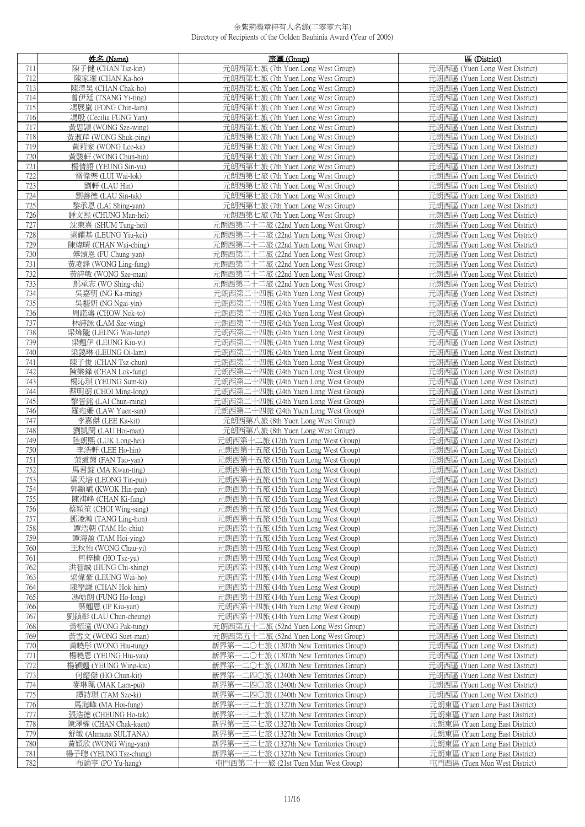|            | 姓名 (Name)                                   | 旅團 (Group)                                                                         | 區 (District)                                                     |
|------------|---------------------------------------------|------------------------------------------------------------------------------------|------------------------------------------------------------------|
| 711        | 陳子健 (CHAN Tsz-kin)                          | 元朗西第七旅 (7th Yuen Long West Group)                                                  | 元朗西區 (Yuen Long West District)                                   |
| 712        | 陳家濠 (CHAN Ka-ho)                            | 元朗西第七旅 (7th Yuen Long West Group)                                                  | 元朗西區 (Yuen Long West District)                                   |
| 713        | 陳澤昊 (CHAN Chak-ho)                          | 元朗西第七旅 (7th Yuen Long West Group)                                                  | 元朗西區 (Yuen Long West District)                                   |
| 714        | 曾伊廷 (TSANG Yi-ting)                         | 元朗西第七旅 (7th Yuen Long West Group)                                                  | 元朗西區 (Yuen Long West District)                                   |
| 715        | 馮展嵐 (FONG Chin-lam)                         | 元朗西第七旅 (7th Yuen Long West Group)                                                  | 元朗西區 (Yuen Long West District)                                   |
| 716        | 馮殷 (Cecilia FUNG Yan)                       | 元朗西第七旅 (7th Yuen Long West Group)                                                  | 元朗西區 (Yuen Long West District)                                   |
| 717        | 黃思頴 (WONG Sze-wing)                         | 元朗西第七旅 (7th Yuen Long West Group)                                                  | 元朗西區 (Yuen Long West District)                                   |
| 718        | 黃淑萍 (WONG Shuk-ping)                        | 元朗西第七旅 (7th Yuen Long West Group)                                                  | 元朗西區 (Yuen Long West District)                                   |
| 719        | 黃莉家 (WONG Lee-ka)                           | 元朗西第七旅 (7th Yuen Long West Group)                                                  | 元朗西區 (Yuen Long West District)                                   |
| 720        | 黃駿軒 (WONG Chun-hin)                         | 元朗西第七旅 (7th Yuen Long West Group)                                                  | 元朗西區 (Yuen Long West District)                                   |
| 721<br>722 | 楊倩語 (YEUNG Sin-yu)                          | 元朗西第七旅 (7th Yuen Long West Group)<br>元朗西第七旅 (7th Yuen Long West Group)             | 元朗西區 (Yuen Long West District)                                   |
| 723        | 雷偉樂 (LUI Wai-lok)<br>劉軒 (LAU Hin)           | 元朗西第七旅 (7th Yuen Long West Group)                                                  | 元朗西區 (Yuen Long West District)<br>元朗西區 (Yuen Long West District) |
| 724        | 劉善德 (LAU Sin-tak)                           | 元朗西第七旅 (7th Yuen Long West Group)                                                  | 元朗西區 (Yuen Long West District)                                   |
| 725        | 黎承恩 (LAI Shing-yan)                         | 元朗西第七旅 (7th Yuen Long West Group)                                                  | 元朗西區 (Yuen Long West District)                                   |
| 726        | 鍾文熙 (CHUNG Man-hei)                         | 元朗西第七旅 (7th Yuen Long West Group)                                                  | 元朗西區 (Yuen Long West District)                                   |
| 727        | 沈東熹 (SHUM Tung-hei)                         | 元朗西第二十二旅 (22nd Yuen Long West Group)                                               | 元朗西區 (Yuen Long West District)                                   |
| 728        | 梁耀基 (LEUNG Yiu-kei)                         | 元朗西第二十二旅 (22nd Yuen Long West Group)                                               | 元朗西區 (Yuen Long West District)                                   |
| 729        | 陳煒晴 (CHAN Wai-ching)                        | 元朗西第二十二旅 (22nd Yuen Long West Group)                                               | 元朗西區 (Yuen Long West District)                                   |
| 730        | 傅頌恩 (FU Chung-yan)                          | 元朗西第二十二旅 (22nd Yuen Long West Group)                                               | 元朗西區 (Yuen Long West District)                                   |
| 731        | 黃凌鋒 (WONG Ling-fung)                        | 元朗西第二十二旅 (22nd Yuen Long West Group)                                               | 元朗西區 (Yuen Long West District)                                   |
| 732        | 黃詩敏 (WONG Sze-man)                          | 元朗西第二十二旅 (22nd Yuen Long West Group)                                               | 元朗西區 (Yuen Long West District)                                   |
| 733        | 鄔承志 (WO Shing-chi)                          | 元朗西第二十二旅 (22nd Yuen Long West Group)                                               | 元朗西區 (Yuen Long West District)                                   |
| 734        | 吳嘉明 (NG Ka-ming)                            | 元朗西第二十四旅 (24th Yuen Long West Group)                                               | 元朗西區 (Yuen Long West District)                                   |
| 735        | 吳藝妍 (NG Ngai-yin)                           | 元朗西第二十四旅 (24th Yuen Long West Group)                                               | 元朗西區 (Yuen Long West District)                                   |
| 736        | 周諾濤 (CHOW Nok-to)                           | 元朗西第二十四旅 (24th Yuen Long West Group)                                               | 元朗西區 (Yuen Long West District)                                   |
| 737<br>738 | 林詩詠 (LAM Sze-wing)<br>梁煒隴 (LEUNG Wai-lung)  | 元朗西第二十四旅 (24th Yuen Long West Group)<br>元朗西第二十四旅 (24th Yuen Long West Group)       | 元朗西區 (Yuen Long West District)<br>元朗西區 (Yuen Long West District) |
| 739        | 梁翹伊 (LEUNG Kiu-yi)                          | 元朗西第二十四旅 (24th Yuen Long West Group)                                               | 元朗西區 (Yuen Long West District)                                   |
| 740        | 梁藹琳 (LEUNG Oi-lam)                          | 元朗西第二十四旅 (24th Yuen Long West Group)                                               | 元朗西區 (Yuen Long West District)                                   |
| 741        | 陳子俊 (CHAN Tsz-chun)                         | 元朗西第二十四旅 (24th Yuen Long West Group)                                               | 元朗西區 (Yuen Long West District)                                   |
| 742        | 陳樂鋒 (CHAN Lok-fung)                         | 元朗西第二十四旅 (24th Yuen Long West Group)                                               | 元朗西區 (Yuen Long West District)                                   |
| 743        | 楊沁琪 (YEUNG Sum-ki)                          | 元朗西第二十四旅 (24th Yuen Long West Group)                                               | 元朗西區 (Yuen Long West District)                                   |
| 744        | 蔡明朗 (CHOI Ming-long)                        | 元朗西第二十四旅 (24th Yuen Long West Group)                                               | 元朗西區 (Yuen Long West District)                                   |
| 745        | 黎晉銘 (LAI Chun-ming)                         | 元朗西第二十四旅 (24th Yuen Long West Group)                                               | 元朗西區 (Yuen Long West District)                                   |
| 746        | 羅宛姍 (LAW Yuen-san)                          | 元朗西第二十四旅 (24th Yuen Long West Group)                                               | 元朗西區 (Yuen Long West District)                                   |
| 747<br>748 | 李嘉傑 (LEE Ka-kit)<br>劉凱閔 (LAU Hoi-man)       | 元朗西第八旅 (8th Yuen Long West Group)<br>元朗西第八旅 (8th Yuen Long West Group)             | 元朗西區 (Yuen Long West District)<br>元朗西區 (Yuen Long West District) |
| 749        | 陸朗熙 (LUK Long-hei)                          | 元朗西第十二旅 (12th Yuen Long West Group)                                                | 元朗西區 (Yuen Long West District)                                   |
| 750        | 李浩軒 (LEE Ho-hin)                            | 元朗西第十五旅 (15th Yuen Long West Group)                                                | 元朗西區 (Yuen Long West District)                                   |
| 751        | 范道茵 (FAN Tao-yan)                           | 元朗西第十五旅 (15th Yuen Long West Group)                                                | 元朗西區 (Yuen Long West District)                                   |
| 752        | 馬君錠 (MA Kwan-ting)                          | 元朗西第十五旅 (15th Yuen Long West Group)                                                | 元朗西區 (Yuen Long West District)                                   |
| 753        | 梁天培 (LEONG Tin-pui)                         | 元朗西第十五旅 (15th Yuen Long West Group)                                                | 元朗西區 (Yuen Long West District)                                   |
| 754        | 郭顯斌 (KWOK Hin-pan)                          | 元朗西第十五旅 (15th Yuen Long West Group)                                                | 元朗西區 (Yuen Long West District)                                   |
| 755        | 陳祺峰 (CHAN Ki-fung)                          | 元朗西第十五旅 (15th Yuen Long West Group)                                                | 元朗西區 (Yuen Long West District)                                   |
| 756<br>757 | 蔡穎笙 (CHOI Wing-sang)<br>鄧淩瀚 (TANG Ling-hon) | 元朗西第十五旅 (15th Yuen Long West Group)<br>元朗西第十五旅 (15th Yuen Long West Group)         | 元朗西區 (Yuen Long West District)<br>元朗西區 (Yuen Long West District) |
| 758        | 譚浩朝 (TAM Ho-chiu)                           | 元朗西第十五旅 (15th Yuen Long West Group)                                                | 元朗西區 (Yuen Long West District)                                   |
| 759        | 譚海盈 (TAM Hoi-ying)                          | 元朗西第十五旅 (15th Yuen Long West Group)                                                | 元朗西區 (Yuen Long West District)                                   |
| 760        | 王秋怡 (WONG Chau-yi)                          | 元朗西第十四旅 (14th Yuen Long West Group)                                                | 元朗西區 (Yuen Long West District)                                   |
| 761        | 何梓榆 (HO Tsz-vu)                             | 元朗西第十四旅 (14th Yuen Long West Group)                                                | 元朗西區 (Yuen Long West District)                                   |
| 762        | 洪智誠 (HUNG Chi-shing)                        | 元朗西第十四旅 (14th Yuen Long West Group)                                                | 元朗西區 (Yuen Long West District)                                   |
| 763        | 梁偉豪 (LEUNG Wai-ho)                          | 元朗西第十四旅 (14th Yuen Long West Group)                                                | 元朗西區 (Yuen Long West District)                                   |
| 764        | 陳學謙 (CHAN Hok-him)                          | 元朗西第十四旅 (14th Yuen Long West Group)<br>元朗西第十四旅 (14th Yuen Long West Group)         | 元朗西區 (Yuen Long West District)                                   |
| 765<br>766 | 馮皓朗 (FUNG Ho-long)<br>葉翹恩 (IP Kiu-yan)      | 元朗西第十四旅 (14th Yuen Long West Group)                                                | 元朗西區 (Yuen Long West District)<br>元朗西區 (Yuen Long West District) |
| 767        | 劉鎮彰 (LAU Chun-cheung)                       | 元朗西第十四旅 (14th Yuen Long West Group)                                                | 元朗西區 (Yuen Long West District)                                   |
| 768        | 黃栢潼 (WONG Pak-tung)                         | 元朗西第五十二旅 (52nd Yuen Long West Group)                                               | 元朗西區 (Yuen Long West District)                                   |
| 769        | 黃雪文 (WONG Suet-man)                         | 元朗西第五十二旅 (52nd Yuen Long West Group)                                               | 元朗西區 (Yuen Long West District)                                   |
| 770        | 黃曉彤 (WONG Hiu-tung)                         | 新界第一二〇七旅 (1207th New Territories Group)                                            | 元朗西區 (Yuen Long West District)                                   |
| 771        | 楊曉恩 (YEUNG Hiu-yau)                         | 新界第一二〇七旅 (1207th New Territories Group)                                            | 元朗西區 (Yuen Long West District)                                   |
| 772        | 楊穎翹 (YEUNG Wing-kiu)                        | 新界第一二〇七旅 (1207th New Territories Group)                                            | 元朗西區 (Yuen Long West District)                                   |
| 773        | 何縉傑 (HO Chun-kit)                           | 新界第一二四〇旅 (1240th New Territories Group)                                            | 元朗西區 (Yuen Long West District)                                   |
| 774        | 麥琳珮 (MAK Lam-pui)                           | 新界第-<br>一二四○旅 (1240th New Territories Group)                                       | 元朗西區 (Yuen Long West District)                                   |
| 775<br>776 | 譚詩琪 (TAM Sze-ki)<br>馬海峰 (MA Hoi-fung)       | 新界第一二四〇旅 (1240th New Territories Group)<br>新界第一三二七旅 (1327th New Territories Group) | 元朗西區 (Yuen Long West District)<br>元朗東區 (Yuen Long East District) |
| 777        | 張浩德 (CHEUNG Ho-tak)                         | 新界第一三二七旅 (1327th New Territories Group)                                            | 元朗東區 (Yuen Long East District)                                   |
| 778        | 陳澤權 (CHAN Chak-kuen)                        | - 三二七旅 (1327th New Territories Group)<br>新界第-                                      | 元朗東區 (Yuen Long East District)                                   |
| 779        | 舒敏 (Ahmana SULTANA)                         | 新界第一三二七旅 (1327th New Territories Group)                                            | 元朗東區 (Yuen Long East District)                                   |
| 780        | 黃穎欣 (WONG Wing-yan)                         | 新界第一三二七旅 (1327th New Territories Group)                                            | 元朗東區 (Yuen Long East District)                                   |
| 781        | 楊子聰 (YEUNG Tsz-chung)                       | 新界第一三二七旅 (1327th New Territories Group)                                            | 元朗東區 (Yuen Long East District)                                   |
| 782        | 布諭亨 (PO Yu-hang)                            | 屯門西第二十一旅 (21st Tuen Mun West Group)                                                | 屯門西區 (Tuen Mun West District)                                    |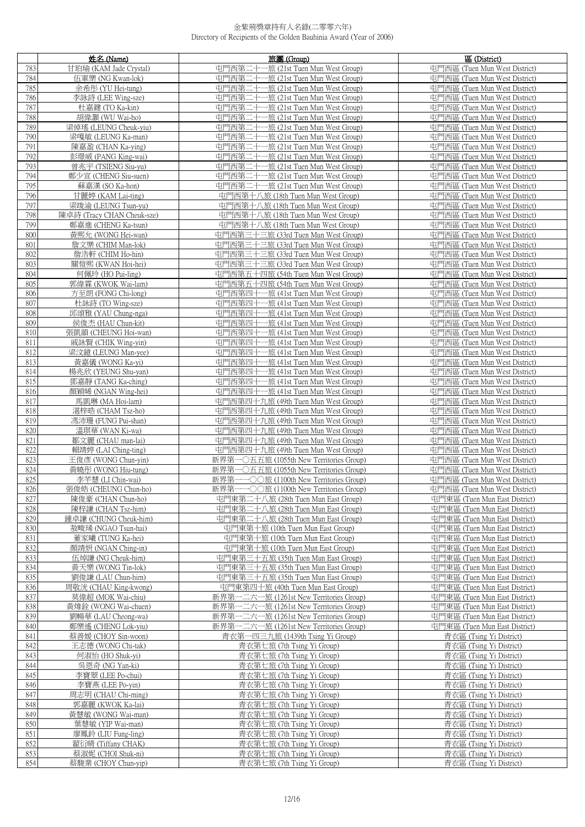|            | 姓名 (Name)                                   | 旅團 (Group)                                                                         | 區 (District)                                                   |
|------------|---------------------------------------------|------------------------------------------------------------------------------------|----------------------------------------------------------------|
| 783        | 甘珀瑜 (KAM Jade Crystal)                      | 屯門西第二十一旅 (21st Tuen Mun West Group)                                                | 屯門西區 (Tuen Mun West District)                                  |
| 784        | 伍軍樂 (NG Kwan-lok)                           | 屯門西第二十一旅 (21st Tuen Mun West Group)                                                | 屯門西區 (Tuen Mun West District)                                  |
| 785        | 余希彤 (YU Hei-tung)                           | 屯門西第二十一旅 (21st Tuen Mun West Group)                                                | 屯門西區 (Tuen Mun West District)                                  |
| 786        | 李詠詩 (LEE Wing-sze)                          | 屯門西第二十一旅 (21st Tuen Mun West Group)                                                | 屯門西區 (Tuen Mun West District)                                  |
| 787        | 杜嘉鍵 (TO Ka-kin)                             | 屯門西第二十一旅 (21st Tuen Mun West Group)                                                | 屯門西區 (Tuen Mun West District)                                  |
| 788        | 胡偉灝 (WU Wai-ho)                             | 屯門西第二十一旅 (21st Tuen Mun West Group)                                                | 屯門西區 (Tuen Mun West District)                                  |
| 789        | 梁倬瑤 (LEUNG Cheuk-yiu)                       | 屯門西第二十一旅 (21st Tuen Mun West Group)                                                | 屯門西區 (Tuen Mun West District)                                  |
| 790        | 梁嘎敏 (LEUNG Ka-man)                          | 屯門西第二十一旅 (21st Tuen Mun West Group)                                                | 屯門西區 (Tuen Mun West District)                                  |
| 791        | 陳嘉盈 (CHAN Ka-ying)                          | 屯門西第二十一旅 (21st Tuen Mun West Group)                                                | 屯門西區 (Tuen Mun West District)                                  |
| 792        | 彭璟威 (PANG King-wai)                         | 屯門西第二十一旅 (21st Tuen Mun West Group)                                                | 屯門西區 (Tuen Mun West District)                                  |
| 793<br>794 | 曾兆宇 (TSIENG Siu-yu)                         | 屯門西第二十一旅 (21st Tuen Mun West Group)                                                | 屯門西區 (Tuen Mun West District)<br>屯門西區 (Tuen Mun West District) |
| 795        | 鄭少宣 (CHENG Siu-suen)<br>蘇嘉漢 (SO Ka-hon)     | 屯門西第二十一旅 (21st Tuen Mun West Group)<br>屯門西第二十一旅 (21st Tuen Mun West Group)         | 屯門西區 (Tuen Mun West District)                                  |
| 796        | 甘麗婷 (KAM Lai-ting)                          | 屯門西第十八旅 (18th Tuen Mun West Group)                                                 | 屯門西區 (Tuen Mun West District)                                  |
| 797        | 梁竣渝 (LEUNG Tsun-yu)                         | 屯門西第十八旅 (18th Tuen Mun West Group)                                                 | 屯門西區 (Tuen Mun West District)                                  |
| 798        | 陳卓詩 (Tracy CHAN Cheuk-sze)                  | 屯門西第十八旅 (18th Tuen Mun West Group)                                                 | 屯門西區 (Tuen Mun West District)                                  |
| 799        | 鄭嘉進 (CHENG Ka-tsun)                         | 屯門西第十八旅 (18th Tuen Mun West Group)                                                 | 屯門西區 (Tuen Mun West District)                                  |
| 800        | 黃熙允 (WONG Hei-wan)                          | 屯門西第三十三旅 (33rd Tuen Mun West Group)                                                | 屯門西區 (Tuen Mun West District)                                  |
| 801        | 詹文樂 (CHIM Man-lok)                          | 屯門西第三十三旅 (33rd Tuen Mun West Group)                                                | 屯門西區 (Tuen Mun West District)                                  |
| 802        | 詹浩軒 (CHIM Ho-hin)                           | 屯門西第三十三旅 (33rd Tuen Mun West Group)                                                | 屯門西區 (Tuen Mun West District)                                  |
| 803        | 關愷熙 (KWAN Hoi-hei)                          | 屯門西第三十三旅 (33rd Tuen Mun West Group)                                                | 屯門西區 (Tuen Mun West District)                                  |
| 804        | 何佩玲 (HO Pui-ling)                           | 屯門西第五十四旅 (54th Tuen Mun West Group)                                                | 屯門西區 (Tuen Mun West District)                                  |
| 805        | 郭偉霖 (KWOK Wai-lam)                          | 屯門西第五十四旅 (54th Tuen Mun West Group)                                                | 屯門西區 (Tuen Mun West District)                                  |
| 806        | 方至朗 (FONG Chi-long)                         | 屯門西第四十一旅 (41st Tuen Mun West Group)                                                | 屯門西區 (Tuen Mun West District)                                  |
| 807        | 杜詠詩 (TO Wing-sze)                           | 屯門西第四十一旅 (41st Tuen Mun West Group)                                                | 屯門西區 (Tuen Mun West District)                                  |
| 808        | 邱頌雅 (YAU Chung-nga)                         | 屯門西第四十一旅 (41st Tuen Mun West Group)                                                | 屯門西區 (Tuen Mun West District)                                  |
| 809<br>810 | 侯俊杰 (HAU Chun-kit)<br>張凱韻 (CHEUNG Hoi-wan)  | 屯門西第四十一旅 (41st Tuen Mun West Group)<br>屯門西第四十一旅 (41st Tuen Mun West Group)         | 屯門西區 (Tuen Mun West District)<br>屯門西區 (Tuen Mun West District) |
| 811        | 戚詠賢 (CHIK Wing-yin)                         | 屯門西第四十一旅 (41st Tuen Mun West Group)                                                | 屯門西區 (Tuen Mun West District)                                  |
| 812        | 梁汶鐿 (LEUNG Man-yee)                         | 屯門西第四十一旅 (41st Tuen Mun West Group)                                                | 屯門西區 (Tuen Mun West District)                                  |
| 813        | 黃嘉儀 (WONG Ka-yi)                            | 屯門西第四十一旅 (41st Tuen Mun West Group)                                                | 屯門西區 (Tuen Mun West District)                                  |
| 814        | 楊兆欣 (YEUNG Shu-yan)                         | 屯門西第四十一旅 (41st Tuen Mun West Group)                                                | 屯門西區 (Tuen Mun West District)                                  |
| 815        | 鄧嘉靜 (TANG Ka-ching)                         | 屯門西第四十一旅 (41st Tuen Mun West Group)                                                | 屯門西區 (Tuen Mun West District)                                  |
| 816        | 顏穎晞 (NGAN Wing-hei)                         | 屯門西第四十一旅 (41st Tuen Mun West Group)                                                | 屯門西區 (Tuen Mun West District)                                  |
| 817        | 馬凱琳 (MA Hoi-lam)                            | 屯門西第四十九旅 (49th Tuen Mun West Group)                                                | 屯門西區 (Tuen Mun West District)                                  |
| 818<br>819 | 湛梓晧 (CHAM Tsz-ho)                           | 屯門西第四十九旅 (49th Tuen Mun West Group)<br>屯門西第四十九旅 (49th Tuen Mun West Group)         | 屯門西區 (Tuen Mun West District)                                  |
| 820        | 馮沛珊 (FUNG Pui-shan)<br>溫琪華 (WAN Ki-wa)      | 屯門西第四十九旅 (49th Tuen Mun West Group)                                                | 屯門西區 (Tuen Mun West District)<br>屯門西區 (Tuen Mun West District) |
| 821        | 鄒文麗 (CHAU man-lai)                          | 屯門西第四十九旅 (49th Tuen Mun West Group)                                                | 屯門西區 (Tuen Mun West District)                                  |
| 822        | 賴靖婷 (LAI Ching-ting)                        | 屯門西第四十九旅 (49th Tuen Mun West Group)                                                | 屯門西區 (Tuen Mun West District)                                  |
| 823        | 王俊彥 (WONG Chun-yin)                         | 新界第一〇五五旅 (1055th New Territories Group)                                            | 屯門西區 (Tuen Mun West District)                                  |
| 824        | 黃曉彤 (WONG Hiu-tung)                         | 新界第一〇五五旅 (1055th New Territories Group)                                            | 屯門西區 (Tuen Mun West District)                                  |
| 825        | 李芊慧 (LI Chin-wai)                           | 新界第一一○○旅 (1100th New Territories Group)                                            | 屯門西區 (Tuen Mun West District)                                  |
| 826        | 張俊皓 (CHEUNG Chun-ho)                        | 新界第一一〇〇旅 (1100th New Territories Group)                                            | 屯門西區 (Tuen Mun West District)                                  |
| 827        | 陳俊豪 (CHAN Chun-ho)                          | 屯門東第二十八旅 (28th Tuen Mun East Group)                                                | 屯門東區 (Tuen Mun East District)                                  |
| 828<br>829 | 陳梓謙 (CHAN Tsz-him)<br>鍾卓謙 (CHUNG Cheuk-him) | 屯門東第二十八旅 (28th Tuen Mun East Group)<br>屯門東第二十八旅 (28th Tuen Mun East Group)         | 屯門東區 (Tuen Mun East District)<br>屯門東區 (Tuen Mun East District) |
| 830        | 敖畯琋 (NGAO Tsun-hai)                         | 屯門東第十旅 (10th Tuen Mun East Group)                                                  | 屯門東區 (Tuen Mun East District)                                  |
| 831        | 董家曦 (TUNG Ka-hei)                           | 屯門東第十旅 (10th Tuen Mun East Group)                                                  | 屯門東區 (Tuen Mun East District)                                  |
| 832        | 顏靖妍 (NGAN Ching-in)                         | 屯門東第十旅 (10th Tuen Mun East Group)                                                  | 屯門東區 (Tuen Mun East District)                                  |
| 833        | 伍焯謙 (NG Cheuk-him)                          | 屯門東第三十五旅 (35th Tuen Mun East Group)                                                | 屯門東區 (Tuen Mun East District)                                  |
| 834        | 黃天樂 (WONG Tin-lok)                          | 屯門東第三十五旅 (35th Tuen Mun East Group)                                                | 屯門東區 (Tuen Mun East District)                                  |
| 835        | 劉俊謙 (LAU Chun-him)                          | 屯門東第三十五旅 (35th Tuen Mun East Group)                                                | 屯門東區 (Tuen Mun East District)                                  |
| 836        | 周敬洸 (CHAU King-kwong)                       | 屯門東第四十旅 (40th Tuen Mun East Group)                                                 | 屯門東區 (Tuen Mun East District)                                  |
| 837        | 莫偉超 (MOK Wai-chiu)                          | 新界第一二六一旅 (1261st New Territories Group)                                            | 屯門東區 (Tuen Mun East District)                                  |
| 838<br>839 | 黃煒銓 (WONG Wai-chuen)<br>劉暢華 (LAU Cheong-wa) | 新界第一二六一旅 (1261st New Territories Group)<br>新界第一二六一旅 (1261st New Territories Group) | 屯門東區 (Tuen Mun East District)<br>屯門東區 (Tuen Mun East District) |
| 840        | 鄭樂遙 (CHENG Lok-yiu)                         | 新界第一二六一旅 (1261st New Territories Group)                                            | 屯門東區 (Tuen Mun East District)                                  |
| 841        | 蔡善媛 (CHOY Sin-woon)                         | 青衣第一四三九旅 (1439th Tsing Yi Group)                                                   | 青衣區 (Tsing Yi District)                                        |
| 842        | 王志德 (WONG Chi-tak)                          | 青衣第七旅 (7th Tsing Yi Group)                                                         | 青衣區 (Tsing Yi District)                                        |
| 843        | 何淑怡 (HO Shuk-yi)                            | 青衣第七旅 (7th Tsing Yi Group)                                                         | 青衣區 (Tsing Yi District)                                        |
| 844        | 吳恩奇 (NG Yan-ki)                             | 青衣第七旅 (7th Tsing Yi Group)                                                         | 青衣區 (Tsing Yi District)                                        |
| 845        | 李寶翠 (LEE Po-chui)                           | 青衣第七旅 (7th Tsing Yi Group)                                                         | 青衣區 (Tsing Yi District)                                        |
| 846        | 李寶燕 (LEE Po-yin)                            | 青衣第七旅 (7th Tsing Yi Group)                                                         | 青衣區 (Tsing Yi District)                                        |
| 847<br>848 | 周志明 (CHAU Chi-ming)<br>郭嘉麗 (KWOK Ka-lai)    | 青衣第七旅 (7th Tsing Yi Group)<br>青衣第七旅 (7th Tsing Yi Group)                           | 青衣區 (Tsing Yi District)<br>青衣區 (Tsing Yi District)             |
| 849        | 黃慧敏 (WONG Wai-man)                          | 青衣第七旅 (7th Tsing Yi Group)                                                         | 青衣區 (Tsing Yi District)                                        |
| 850        | 葉慧敏 (YIP Wai-man)                           | 青衣第七旅 (7th Tsing Yi Group)                                                         | 青衣區 (Tsing Yi District)                                        |
| 851        | 廖鳳鈴 (LIU Fung-ling)                         | 青衣第七旅 (7th Tsing Yi Group)                                                         | 青衣區 (Tsing Yi District)                                        |
| 852        | 翟衍晴 (Tiffany CHAK)                          | 青衣第七旅 (7th Tsing Yi Group)                                                         | 青衣區 (Tsing Yi District)                                        |
| 853        | 蔡淑妮 (CHOI Shuk-ni)                          | 青衣第七旅 (7th Tsing Yi Group)                                                         | 青衣區 (Tsing Yi District)                                        |
| 854        | 蔡駿業 (CHOY Chun-yip)                         | 青衣第七旅 (7th Tsing Yi Group)                                                         | 青衣區 (Tsing Yi District)                                        |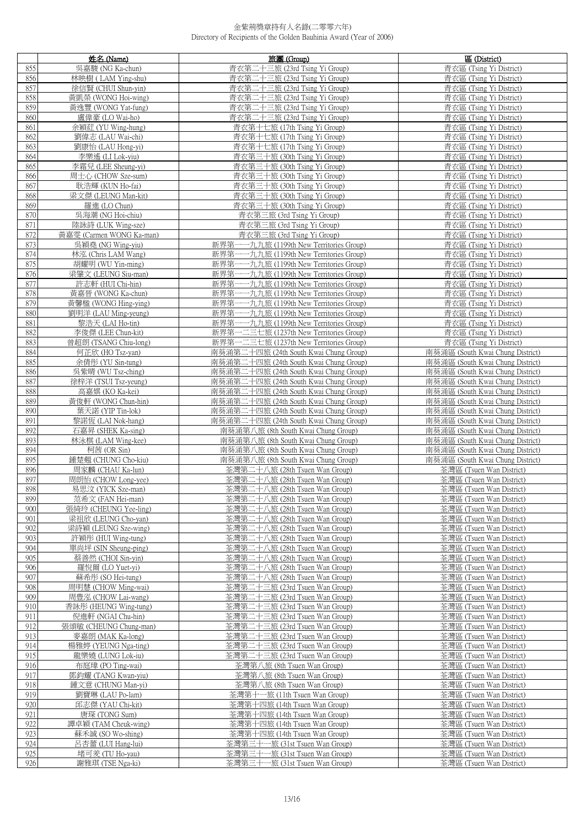|            | 姓名 (Name)                              | 旅團 (Group)                                                                       | 區 (District)                                                         |
|------------|----------------------------------------|----------------------------------------------------------------------------------|----------------------------------------------------------------------|
| 855        | 吳嘉駿 (NG Ka-chun)                       | 青衣第二十三旅 (23rd Tsing Yi Group)                                                    | 青衣區 (Tsing Yi District)                                              |
| 856        | 林映樹 (LAM Ying-shu)                     | 青衣第二十三旅 (23rd Tsing Yi Group)                                                    | 青衣區 (Tsing Yi District)                                              |
| 857        | 徐信賢 (CHUI Shun-yin)                    | 青衣第二十三旅 (23rd Tsing Yi Group)                                                    | 青衣區 (Tsing Yi District)                                              |
| 858        | 黃凱榮 (WONG Hoi-wing)                    | 青衣第二十三旅 (23rd Tsing Yi Group)                                                    | 青衣區 (Tsing Yi District)                                              |
| 859        | 黃逸豐 (WONG Yat-fung)                    | 青衣第二十三旅 (23rd Tsing Yi Group)                                                    | 青衣區 (Tsing Yi District)                                              |
| 860        | 盧偉豪 (LO Wai-ho)                        | 青衣第二十三旅 (23rd Tsing Yi Group)                                                    | 青衣區 (Tsing Yi District)                                              |
| 861        | 余穎葒 (YU Wing-hung)                     | 青衣第十七旅 (17th Tsing Yi Group)                                                     | 青衣區 (Tsing Yi District)                                              |
| 862        | 劉偉志 (LAU Wai-chi)                      | 青衣第十七旅 (17th Tsing Yi Group)                                                     | 青衣區 (Tsing Yi District)                                              |
| 863        | 劉康怡 (LAU Hong-yi)                      | 青衣第十七旅 (17th Tsing Yi Group)                                                     | 青衣區 (Tsing Yi District)                                              |
| 864        | 李樂遙 (LI Lok-yiu)                       | 青衣第三十旅 (30th Tsing Yi Group)                                                     | 青衣區 (Tsing Yi District)                                              |
| 865        | 李霜兒 (LEE Sheung-yi)                    | 青衣第三十旅 (30th Tsing Yi Group)                                                     | 青衣區 (Tsing Yi District)                                              |
| 866        | 周士心 (CHOW Sze-sum)                     | 青衣第三十旅 (30th Tsing Yi Group)                                                     | 青衣區 (Tsing Yi District)                                              |
| 867<br>868 | 耿浩輝 (KUN Ho-fai)                       | 青衣第三十旅 (30th Tsing Yi Group)<br>青衣第三十旅 (30th Tsing Yi Group)                     | 青衣區 (Tsing Yi District)<br>青衣區 (Tsing Yi District)                   |
| 869        | 梁文傑 (LEUNG Man-kit)<br>羅進 (LO Chun)    | 青衣第三十旅 (30th Tsing Yi Group)                                                     | 青衣區 (Tsing Yi District)                                              |
| 870        | 吳海潮 (NG Hoi-chiu)                      | 青衣第三旅 (3rd Tsing Yi Group)                                                       | 青衣區 (Tsing Yi District)                                              |
| 871        | 陸詠詩 (LUK Wing-sze)                     | 青衣第三旅 (3rd Tsing Yi Group)                                                       | 青衣區 (Tsing Yi District)                                              |
| 872        | 黃嘉雯 (Carmen WONG Ka-man)               | 青衣第三旅 (3rd Tsing Yi Group)                                                       | 青衣區 (Tsing Yi District)                                              |
| 873        | 吳穎堯 (NG Wing-yiu)                      | 新界第一一九九旅 (1199th New Territories Group)                                          | 青衣區 (Tsing Yi District)                                              |
| 874        | 林泓 (Chris LAM Wang)                    | 新界第一一九九旅 (1199th New Territories Group)                                          | 青衣區 (Tsing Yi District)                                              |
| 875        | 胡耀明 (WU Yin-ming)                      | 新界第一一九九旅 (1199th New Territories Group)                                          | 青衣區 (Tsing Yi District)                                              |
| 876        | 梁肇文 (LEUNG Siu-man)                    | 新界第一一九九旅 (1199th New Territories Group)                                          | 青衣區 (Tsing Yi District)                                              |
| 877        | 許志軒 (HUI Chi-hin)                      | 新界第一一九九旅 (1199th New Territories Group)                                          | 青衣區 (Tsing Yi District)                                              |
| 878        | 黃嘉晉 (WONG Ka-chun)                     | 新界第一一九九旅 (1199th New Territories Group)                                          | 青衣區 (Tsing Yi District)                                              |
| 879        | 黃馨楹 (WONG Hing-ying)                   | 新界第一一九九旅 (1199th New Territories Group)                                          | 青衣區 (Tsing Yi District)                                              |
| 880        | 劉明洋 (LAU Ming-yeung)                   | 新界第一一九九旅 (1199th New Territories Group)                                          | 青衣區 (Tsing Yi District)                                              |
| 881        | 黎浩天 (LAI Ho-tin)                       | 新界第一一九九旅 (1199th New Territories Group)                                          | 青衣區 (Tsing Yi District)                                              |
| 882        | 李俊傑 (LEE Chun-kit)                     | 新界第一二三七旅 (1237th New Territories Group)                                          | 青衣區 (Tsing Yi District)                                              |
| 883        | 曾超朗 (TSANG Chiu-long)                  | 新界第一二三七旅 (1237th New Territories Group)                                          | 青衣區 (Tsing Yi District)                                              |
| 884        | 何芷欣 (HO Tsz-yan)                       | 南葵涌第二十四旅 (24th South Kwai Chung Group)                                           | 南葵涌區 (South Kwai Chung District)                                     |
| 885        | 余倩彤 (YU Sin-tung)                      | 南葵涌第二十四旅 (24th South Kwai Chung Group)                                           | 南葵涌區 (South Kwai Chung District)                                     |
| 886        | 吳紫晴 (WU Tsz-ching)                     | 南葵涌第二十四旅 (24th South Kwai Chung Group)                                           | 南葵涌區 (South Kwai Chung District)                                     |
| 887        | 徐梓洋 (TSUI Tsz-yeung)                   | 南葵涌第二十四旅 (24th South Kwai Chung Group)                                           | 南葵涌區 (South Kwai Chung District)                                     |
| 888<br>889 | 高嘉娸 (KO Ka-kei)<br>黃俊軒 (WONG Chun-hin) | 南葵涌第二十四旅 (24th South Kwai Chung Group)<br>南葵涌第二十四旅 (24th South Kwai Chung Group) | 南葵涌區 (South Kwai Chung District)<br>南葵涌區 (South Kwai Chung District) |
| 890        | 葉天諾 (YIP Tin-lok)                      | 南葵涌第二十四旅 (24th South Kwai Chung Group)                                           | 南葵涌區 (South Kwai Chung District)                                     |
| 891        | 黎諾恆 (LAI Nok-hang)                     | 南葵涌第二十四旅 (24th South Kwai Chung Group)                                           | 南葵涌區 (South Kwai Chung District)                                     |
| 892        | 石嘉昇 (SHEK Ka-sing)                     | 南葵涌第八旅 (8th South Kwai Chung Group)                                              | 南葵涌區 (South Kwai Chung District)                                     |
| 893        | 林泳棋 (LAM Wing-kee)                     | 南葵涌第八旅 (8th South Kwai Chung Group)                                              | 南葵涌區 (South Kwai Chung District)                                     |
| 894        | 柯茜 (OR Sin)                            | 南葵涌第八旅 (8th South Kwai Chung Group)                                              | 南葵涌區 (South Kwai Chung District)                                     |
| 895        | 鍾楚翹 (CHUNG Cho-kiu)                    | 南葵涌第八旅 (8th South Kwai Chung Group)                                              | 南葵涌區 (South Kwai Chung District)                                     |
| 896        | 周家麟 (CHAU Ka-lun)                      | 荃灣第二十八旅 (28th Tsuen Wan Group)                                                   | 荃灣區 (Tsuen Wan District)                                             |
| 897        | 周朗怡 (CHOW Long-yee)                    | 荃灣第二十八旅 (28th Tsuen Wan Group)                                                   | 荃灣區 (Tsuen Wan District)                                             |
| 898        | 易思汶 (YICK Sze-man)                     | 荃灣第二十八旅 (28th Tsuen Wan Group)                                                   | 荃灣區 (Tsuen Wan District)                                             |
| 899        | 范希文 (FAN Hei-man)                      | 荃灣第二十八旅 (28th Tsuen Wan Group)                                                   | 荃灣區 (Tsuen Wan District)                                             |
| 900        | 張綺玲 (CHEUNG Yee-ling)                  | 荃灣第二十八旅 (28th Tsuen Wan Group)                                                   | 荃灣區 (Tsuen Wan District)                                             |
| 901        | 梁祖欣 (LEUNG Cho-yan)                    | 荃灣第二十八旅 (28th Tsuen Wan Group)                                                   | 荃灣區 (Tsuen Wan District)                                             |
| 902        | 梁詩穎 (LEUNG Sze-wing)                   | 荃灣第二十八旅 (28th Tsuen Wan Group)                                                   | 荃灣區 (Tsuen Wan District)                                             |
| 903        | 許穎彤 (HUI Wing-tung)                    | 荃灣第二十八旅 (28th Tsuen Wan Group)                                                   | 荃灣區 (Tsuen Wan District)                                             |
| 904<br>905 | 單尚坪 (SIN Sheung-ping)                  | 荃灣第二十八旅 (28th Tsuen Wan Group)                                                   | 荃灣區 (Tsuen Wan District)                                             |
| 906        | 蔡善然 (CHOI Sin-yin)                     | 荃灣第二十八旅 (28th Tsuen Wan Group)<br>荃灣第二十八旅 (28th Tsuen Wan Group)                 | 荃灣區 (Tsuen Wan District)<br>荃灣區 (Tsuen Wan District)                 |
| 907        | 羅悅爾 (LO Yuet-yi)<br>蘇希彤 (SO Hei-tung)  | 荃灣第二十八旅 (28th Tsuen Wan Group)                                                   | 荃灣區 (Tsuen Wan District)                                             |
| 908        | 周明慧 (CHOW Ming-wai)                    | 荃灣第二十三旅 (23rd Tsuen Wan Group)                                                   | 荃灣區 (Tsuen Wan District)                                             |
| 909        | 周豊泓 (CHOW Lai-wang)                    | 荃灣第二十三旅 (23rd Tsuen Wan Group)                                                   | 荃灣區 (Tsuen Wan District)                                             |
| 910        | 香詠彤 (HEUNG Wing-tung)                  | 荃灣第二十三旅 (23rd Tsuen Wan Group)                                                   | 荃灣區 (Tsuen Wan District)                                             |
| 911        | 倪進軒 (NGAI Chu-hin)                     | 荃灣第二十三旅 (23rd Tsuen Wan Group)                                                   | 荃灣區 (Tsuen Wan District)                                             |
| 912        | 張頌敏 (CHEUNG Chung-man)                 | 荃灣第二十三旅 (23rd Tsuen Wan Group)                                                   | 荃灣區 (Tsuen Wan District)                                             |
| 913        | 麥嘉朗 (MAK Ka-long)                      | 荃灣第二十三旅 (23rd Tsuen Wan Group)                                                   | 荃灣區 (Tsuen Wan District)                                             |
| 914        | 楊雅婷 (YEUNG Nga-ting)                   | 荃灣第二十三旅 (23rd Tsuen Wan Group)                                                   | 荃灣區 (Tsuen Wan District)                                             |
| 915        | 龍樂嬈 (LUNG Lok-iu)                      | 荃灣第二十三旅 (23rd Tsuen Wan Group)                                                   | 荃灣區 (Tsuen Wan District)                                             |
| 916        | 布庭瑋 (PO Ting-wai)                      | 荃灣第八旅 (8th Tsuen Wan Group)                                                      | 荃灣區 (Tsuen Wan District)                                             |
| 917        | 鄧鈞耀 (TANG Kwan-yiu)                    | 荃灣第八旅 (8th Tsuen Wan Group)                                                      | 荃灣區 (Tsuen Wan District)                                             |
| 918        | 鍾文意 (CHUNG Man-yi)                     | 荃灣第八旅 (8th Tsuen Wan Group)                                                      | 荃灣區 (Tsuen Wan District)                                             |
| 919<br>920 | 劉寶琳 (LAU Po-lam)                       | 荃灣第十一旅 (11th Tsuen Wan Group)                                                    | 荃灣區 (Tsuen Wan District)                                             |
| 921        | 邱志傑 (YAU Chi-kit)                      | 荃灣第十四旅 (14th Tsuen Wan Group)<br>荃灣第十四旅 (14th Tsuen Wan Group)                   | 荃灣區 (Tsuen Wan District)<br>荃灣區 (Tsuen Wan District)                 |
| 922        | 唐琛 (TONG Sum)<br>譚卓穎 (TAM Cheuk-wing)  | 荃灣第十四旅 (14th Tsuen Wan Group)                                                    | 荃灣區 (Tsuen Wan District)                                             |
| 923        | 蘇禾誠 (SO Wo-shing)                      | 荃灣第十四旅 (14th Tsuen Wan Group)                                                    | 荃灣區 (Tsuen Wan District)                                             |
| 924        | 呂杏蕾 (LUI Hang-lui)                     | 荃灣第三十一旅 (31st Tsuen Wan Group)                                                   | 荃灣區 (Tsuen Wan District)                                             |
| 925        | 堵可羑 (TU Ho-yau)                        | 荃灣第三十一旅 (31st Tsuen Wan Group)                                                   | 荃灣區 (Tsuen Wan District)                                             |
| 926        | 謝雅琪 (TSE Nga-ki)                       | 荃灣第三十一旅 (31st Tsuen Wan Group)                                                   | 荃灣區 (Tsuen Wan District)                                             |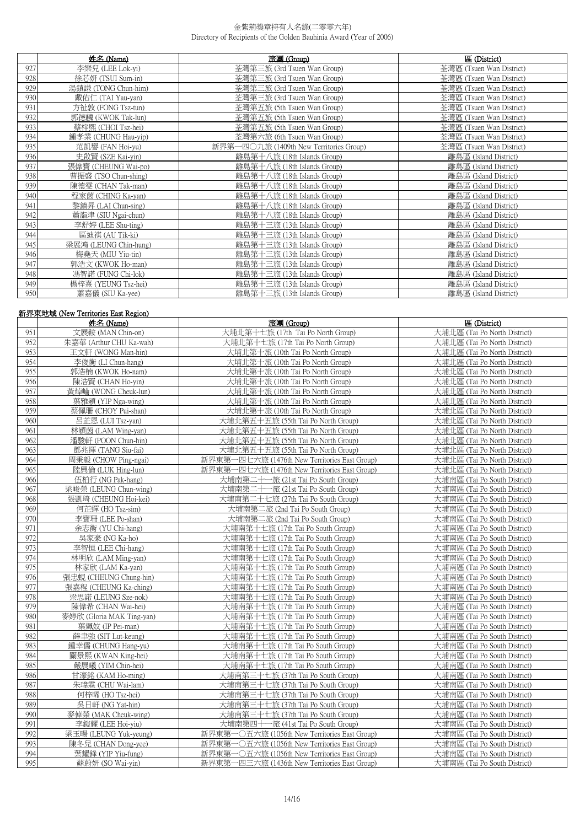|     | 姓名 (Name)             | 旅團 (Group)                              | 區 (District)             |
|-----|-----------------------|-----------------------------------------|--------------------------|
| 927 | 李樂兒 (LEE Lok-yi)      | 荃灣第三旅 (3rd Tsuen Wan Group)             | 荃灣區 (Tsuen Wan District) |
| 928 | 徐芯妍 (TSUI Sum-in)     | 荃灣第三旅 (3rd Tsuen Wan Group)             | 荃灣區 (Tsuen Wan District) |
| 929 | 湯鎮謙 (TONG Chun-him)   | 荃灣第三旅 (3rd Tsuen Wan Group)             | 荃灣區 (Tsuen Wan District) |
| 930 | 戴佑仁 (TAI Yau-yan)     | 荃灣第三旅 (3rd Tsuen Wan Group)             | 荃灣區 (Tsuen Wan District) |
| 931 | 方祉敦 (FONG Tsz-tun)    | 荃灣第五旅 (5th Tsuen Wan Group)             | 荃灣區 (Tsuen Wan District) |
| 932 | 郭德麟 (KWOK Tak-lun)    | 荃灣第五旅 (5th Tsuen Wan Group)             | 荃灣區 (Tsuen Wan District) |
| 933 | 蔡梓熙 (CHOI Tsz-hei)    | 荃灣第五旅 (5th Tsuen Wan Group)             | 荃灣區 (Tsuen Wan District) |
| 934 | 鍾孝業 (CHUNG Hau-yip)   | 荃灣第六旅 (6th Tsuen Wan Group)             | 荃灣區 (Tsuen Wan District) |
| 935 | 范凱譽 (FAN Hoi-yu)      | 新界第一四〇九旅 (1409th New Territories Group) | 荃灣區 (Tsuen Wan District) |
| 936 | 史啟賢 (SZE Kai-yin)     | 離島第十八旅 (18th Islands Group)             | 離島區 (Island District)    |
| 937 | 張偉寶 (CHEUNG Wai-po)   | 離島第十八旅 (18th Islands Group)             | 離島區 (Island District)    |
| 938 | 曹振盛 (TSO Chun-shing)  | 離島第十八旅 (18th Islands Group)             | 離島區 (Island District)    |
| 939 | 陳德雯 (CHAN Tak-man)    | 離島第十八旅 (18th Islands Group)             | 離島區 (Island District)    |
| 940 | 程家茵 (CHING Ka-yan)    | 離島第十八旅 (18th Islands Group)             | 離島區 (Island District)    |
| 941 | 黎鎮昇 (LAI Chun-sing)   | 離島第十八旅 (18th Islands Group)             | 離島區 (Island District)    |
| 942 | 蕭詣津 (SIU Ngai-chun)   | 離島第十八旅 (18th Islands Group)             | 離島區 (Island District)    |
| 943 | 李舒婷 (LEE Shu-ting)    | 離島第十三旅 (13th Islands Group)             | 離島區 (Island District)    |
| 944 | 區迪祺 (AU Tik-ki)       | 離島第十三旅 (13th Islands Group)             | 離島區 (Island District)    |
| 945 | 梁展鴻 (LEUNG Chin-hung) | 離島第十三旅 (13th Islands Group)             | 離島區 (Island District)    |
| 946 | 梅堯天 (MIU Yiu-tin)     | 離島第十三旅 (13th Islands Group)             | 離島區 (Island District)    |
| 947 | 郭浩文 (KWOK Ho-man)     | 離島第十三旅 (13th Islands Group)             | 離島區 (Island District)    |
| 948 | 馮智諾 (FUNG Chi-lok)    | 離島第十三旅 (13th Islands Group)             | 離島區 (Island District)    |
| 949 | 楊梓熹 (YEUNG Tsz-hei)   | 離島第十三旅 (13th Islands Group)             | 離島區 (Island District)    |
| 950 | 蕭嘉儀 (SIU Ka-yee)      | 離島第十三旅 (13th Islands Group)             | 離島區 (Island District)    |

## **新界東地域 (New Territories East Region)**

|     | 姓名 (Name)                 | 旅團 (Group)                                    | 區 (District)                 |
|-----|---------------------------|-----------------------------------------------|------------------------------|
| 951 | 文展鞍 (MAN Chin-on)         | 大埔北第十七旅 (17th Tai Po North Group)             | 大埔北區 (Tai Po North District) |
| 952 | 朱嘉華 (Arthur CHU Ka-wah)   | 大埔北第十七旅 (17th Tai Po North Group)             | 大埔北區 (Tai Po North District) |
| 953 | 王文軒 (WONG Man-hin)        | 大埔北第十旅 (10th Tai Po North Group)              | 大埔北區 (Tai Po North District) |
| 954 | 李俊衡 (LI Chun-hang)        | 大埔北第十旅 (10th Tai Po North Group)              | 大埔北區 (Tai Po North District) |
| 955 | 郭浩楠 (KWOK Ho-nam)         | 大埔北第十旅 (10th Tai Po North Group)              | 大埔北區 (Tai Po North District) |
| 956 | 陳浩賢 (CHAN Ho-yin)         | 大埔北第十旅 (10th Tai Po North Group)              | 大埔北區 (Tai Po North District) |
| 957 | 黃焯輪 (WONG Cheuk-lun)      | 大埔北第十旅 (10th Tai Po North Group)              | 大埔北區 (Tai Po North District) |
| 958 | 葉雅穎 (YIP Nga-wing)        | 大埔北第十旅 (10th Tai Po North Group)              | 大埔北區 (Tai Po North District) |
| 959 | 蔡佩珊 (CHOY Pui-shan)       | 大埔北第十旅 (10th Tai Po North Group)              | 大埔北區 (Tai Po North District) |
| 960 | 呂芷恩 (LUI Tsz-yan)         | 大埔北第五十五旅 (55th Tai Po North Group)            | 大埔北區 (Tai Po North District) |
| 961 | 林穎茵 (LAM Wing-yan)        | 大埔北第五十五旅 (55th Tai Po North Group)            | 大埔北區 (Tai Po North District) |
| 962 | 潘駿軒 (POON Chun-hin)       | 大埔北第五十五旅 (55th Tai Po North Group)            | 大埔北區 (Tai Po North District) |
| 963 | 鄧兆揮 (TANG Siu-fai)        | 大埔北第五十五旅 (55th Tai Po North Group)            | 大埔北區 (Tai Po North District) |
| 964 | 周秉毅 (CHOW Ping-ngai)      | 新界東第一四七六旅 (1476th New Territories East Group) | 大埔北區 (Tai Po North District) |
| 965 | 陸興倫 (LUK Hing-lun)        | 新界東第一四七六旅 (1476th New Territories East Group) | 大埔北區 (Tai Po North District) |
| 966 | 伍柏行 (NG Pak-hang)         | 大埔南第二十一旅 (21st Tai Po South Group)            | 大埔南區 (Tai Po South District) |
| 967 | 梁峻榮 (LEUNG Chun-wing)     | 大埔南第二十一旅 (21st Tai Po South Group)            | 大埔南區 (Tai Po South District) |
| 968 | 張凱琦 (CHEUNG Hoi-kei)      | 大埔南第二十七旅 (27th Tai Po South Group)            | 大埔南區 (Tai Po South District) |
| 969 | 何芷蟬 (HO Tsz-sim)          | 大埔南第二旅 (2nd Tai Po South Group)               | 大埔南區 (Tai Po South District) |
| 970 | 李寶珊 (LEE Po-shan)         | 大埔南第二旅 (2nd Tai Po South Group)               | 大埔南區 (Tai Po South District) |
| 971 | 余志衡 (YU Chi-hang)         | 大埔南第十七旅 (17th Tai Po South Group)             | 大埔南區 (Tai Po South District) |
| 972 | 吳家豪 (NG Ka-ho)            | 大埔南第十七旅 (17th Tai Po South Group)             | 大埔南區 (Tai Po South District) |
| 973 | 李智恒 (LEE Chi-hang)        | 大埔南第十七旅 (17th Tai Po South Group)             | 大埔南區 (Tai Po South District) |
| 974 | 林明欣 (LAM Ming-yan)        | 大埔南第十七旅 (17th Tai Po South Group)             | 大埔南區 (Tai Po South District) |
| 975 | 林家欣 (LAM Ka-yan)          | 大埔南第十七旅 (17th Tai Po South Group)             | 大埔南區 (Tai Po South District) |
| 976 | 張忠蜆 (CHEUNG Chung-hin)    | 大埔南第十七旅 (17th Tai Po South Group)             | 大埔南區 (Tai Po South District) |
| 977 | 張嘉程 (CHEUNG Ka-ching)     | 大埔南第十七旅 (17th Tai Po South Group)             | 大埔南區 (Tai Po South District) |
| 978 | 梁思諾 (LEUNG Sze-nok)       | 大埔南第十七旅 (17th Tai Po South Group)             | 大埔南區 (Tai Po South District) |
| 979 | 陳偉希 (CHAN Wai-hei)        | 大埔南第十七旅 (17th Tai Po South Group)             | 大埔南區 (Tai Po South District) |
| 980 | 麥婷欣 (Gloria MAK Ting-yan) | 大埔南第十七旅 (17th Tai Po South Group)             | 大埔南區 (Tai Po South District) |
| 981 | 葉姵妏 (IP Pei-man)          | 大埔南第十七旅 (17th Tai Po South Group)             | 大埔南區 (Tai Po South District) |
| 982 | 薛聿強 (SIT Lut-keung)       | 大埔南第十七旅 (17th Tai Po South Group)             | 大埔南區 (Tai Po South District) |
| 983 | 鍾幸儒 (CHUNG Hang-yu)       | 大埔南第十七旅 (17th Tai Po South Group)             | 大埔南區 (Tai Po South District) |
| 984 | 關景熙 (KWAN King-hei)       | 大埔南第十七旅 (17th Tai Po South Group)             | 大埔南區 (Tai Po South District) |
| 985 | 嚴展曦 (YIM Chin-hei)        | 大埔南第十七旅 (17th Tai Po South Group)             | 大埔南區 (Tai Po South District) |
| 986 | 甘濠銘 (KAM Ho-ming)         | 大埔南第三十七旅 (37th Tai Po South Group)            | 大埔南區 (Tai Po South District) |
| 987 | 朱瑋霖 (CHU Wai-lam)         | 大埔南第三十七旅 (37th Tai Po South Group)            | 大埔南區 (Tai Po South District) |
| 988 | 何梓晞 (HO Tsz-hei)          | 大埔南第三十七旅 (37th Tai Po South Group)            | 大埔南區 (Tai Po South District) |
| 989 | 吳日軒 (NG Yat-hin)          | 大埔南第三十七旅 (37th Tai Po South Group)            | 大埔南區 (Tai Po South District) |
| 990 | 麥倬榮 (MAK Cheuk-wing)      | 大埔南第三十七旅 (37th Tai Po South Group)            | 大埔南區 (Tai Po South District) |
| 991 | 李鎧耀 (LEE Hoi-yiu)         | 大埔南第四十一旅 (41st Tai Po South Group)            | 大埔南區 (Tai Po South District) |
| 992 | 梁玉暘 (LEUNG Yuk-veung)     | 新界東第一〇五六旅 (1056th New Territories East Group) | 大埔南區 (Tai Po South District) |
| 993 | 陳冬兒 (CHAN Dong-yee)       | 新界東第一〇五六旅 (1056th New Territories East Group) | 大埔南區 (Tai Po South District) |
| 994 | 葉耀鋒 (YIP Yiu-fung)        | 新界東第一〇五六旅 (1056th New Territories East Group) | 大埔南區 (Tai Po South District) |
| 995 | 蘇蔚妍 (SO Wai-vin)          | 新界東第一四三六旅 (1436th New Territories East Group) | 大埔南區 (Tai Po South District) |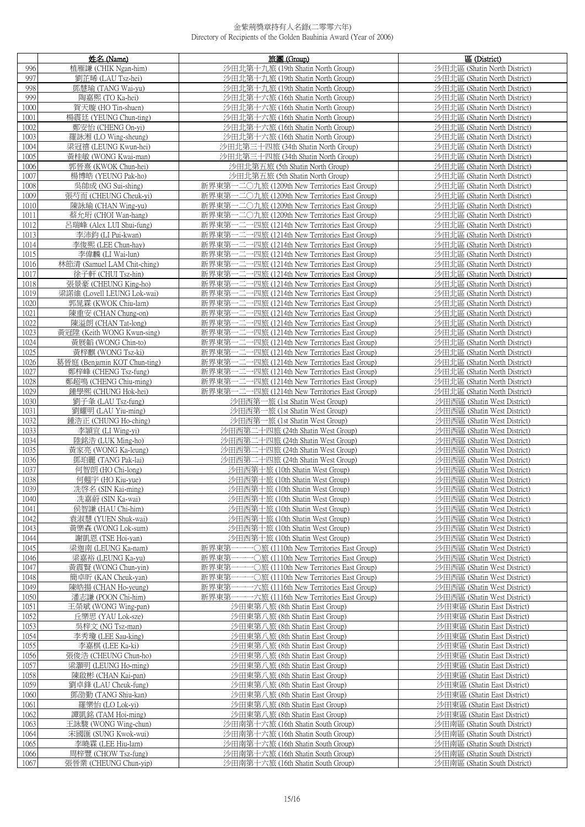|              | 姓名 (Name)                                  | 旅團 (Group)                                                                                     | 區 (District)                                                 |
|--------------|--------------------------------------------|------------------------------------------------------------------------------------------------|--------------------------------------------------------------|
| 996          | 植雁謙 (CHIK Ngan-him)                        | 沙田北第十九旅 (19th Shatin North Group)                                                              | 沙田北區 (Shatin North District)                                 |
| 997          | 劉芷晞 (LAU Tsz-hei)                          | 沙田北第十九旅 (19th Shatin North Group)                                                              | 沙田北區 (Shatin North District)                                 |
| 998          | 鄧慧瑜 (TANG Wai-yu)                          | 沙田北第十九旅 (19th Shatin North Group)                                                              | 沙田北區 (Shatin North District)                                 |
| 999          | 陶嘉熙 (TO Ka-hei)                            | 沙田北第十六旅 (16th Shatin North Group)                                                              | 沙田北區 (Shatin North District)                                 |
| 1000         | 賀天璇 (HO Tin-shuen)                         | 沙田北第十六旅 (16th Shatin North Group)                                                              | 沙田北區 (Shatin North District)                                 |
| 1001         | 楊震廷 (YEUNG Chun-ting)                      | 沙田北第十六旅 (16th Shatin North Group)                                                              | 沙田北區 (Shatin North District)                                 |
| 1002         | 鄭安怡 (CHENG On-yi)                          | 沙田北第十六旅 (16th Shatin North Group)                                                              | 沙田北區 (Shatin North District)                                 |
| 1003         | 羅詠湘 (LO_Wing-sheung)                       | 沙田北第十六旅 (16th Shatin North Group)                                                              | 沙田北區 (Shatin North District)                                 |
| 1004         | 梁冠禧 (LEUNG Kwun-hei)                       | 沙田北第三十四旅 (34th Shatin North Group)                                                             | 沙田北區 (Shatin North District)                                 |
| 1005         | 黃桂敏 (WONG Kwai-man)                        | 沙田北第三十四旅 (34th Shatin North Group)                                                             | 沙田北區 (Shatin North District)                                 |
| 1006<br>1007 | 郭晉熹 (KWOK Chun-hei)<br>楊博皓 (YEUNG Pak-ho)  | 沙田北第五旅 (5th Shatin North Group)<br>沙田北第五旅 (5th Shatin North Group)                             | 沙田北區 (Shatin North District)<br>沙田北區 (Shatin North District) |
| 1008         | 吳帥成 (NG Sui-shing)                         | 新界東第一二〇九旅 (1209th New Territories East Group)                                                  | 沙田北區 (Shatin North District)                                 |
| 1009         | 張芍而 (CHEUNG Cheuk-yi)                      | 新界東第一二〇九旅 (1209th New Territories East Group)                                                  | 沙田北區 (Shatin North District)                                 |
| 1010         | 陳詠瑜 (CHAN Wing-yu)                         | 新界東第一二〇九旅 (1209th New Territories East Group)                                                  | 沙田北區 (Shatin North District)                                 |
| 1011         | 蔡允珩 (CHOI Wan-hang)                        | 新界東第一二〇九旅 (1209th New Territories East Group)                                                  | 沙田北區 (Shatin North District)                                 |
| 1012         | 呂瑞峰 (Alex LUI Shui-fung)                   | 新界東第一二一四旅 (1214th New Territories East Group)                                                  | 沙田北區 (Shatin North District)                                 |
| 1013         | 李沛鈞 (LI Pui-kwan)                          | 新界東第一二一四旅 (1214th New Territories East Group)                                                  | 沙田北區 (Shatin North District)                                 |
| 1014         | 李俊熙 (LEE Chun-hay)                         | 新界東第一二一四旅 (1214th New Territories East Group)                                                  | 沙田北區 (Shatin North District)                                 |
| 1015         | 李偉麟 (LI Wai-lun)                           | 新界東第一二一四旅 (1214th New Territories East Group)                                                  | 沙田北區 (Shatin North District)                                 |
| 1016         | 林節清 (Samuel LAM Chit-ching)                | 新界東第一二一四旅 (1214th New Territories East Group)                                                  | 沙田北區 (Shatin North District)                                 |
| 1017         | 徐子軒 (CHUI Tsz-hin)                         | 新界東第一二一四旅 (1214th New Territories East Group)                                                  | 沙田北區 (Shatin North District)                                 |
| 1018         | 張景豪 (CHEUNG King-ho)                       | 新界東第一二一四旅 (1214th New Territories East Group)                                                  | 沙田北區 (Shatin North District)                                 |
| 1019         | 梁諾維 (Lovell LEUNG Lok-wai)                 | 新界東第一二一四旅 (1214th New Territories East Group)                                                  | 沙田北區 (Shatin North District)                                 |
| 1020         | 郭晁霖 (KWOK Chiu-lam)                        | 新界東第一二一四旅 (1214th New Territories East Group)<br>新界東第一二一四旅 (1214th New Territories East Group) | 沙田北區 (Shatin North District)                                 |
| 1021<br>1022 | 陳重安 (CHAN Chung-on)<br>陳溢朗 (CHAN Tat-long) | 新界東第一二一四旅 (1214th New Territories East Group)                                                  | 沙田北區 (Shatin North District)<br>沙田北區 (Shatin North District) |
| 1023         | 黃冠陞 (Keith WONG Kwun-sing)                 | 新界東第一二一四旅 (1214th New Territories East Group)                                                  | 沙田北區 (Shatin North District)                                 |
| 1024         | 黃展韜 (WONG Chin-to)                         | 新界東第一二一四旅 (1214th New Territories East Group)                                                  | 沙田北區 (Shatin North District)                                 |
| 1025         | 黃梓麒 (WONG Tsz-ki)                          | 新界東第一二一四旅 (1214th New Territories East Group)                                                  | 沙田北區 (Shatin North District)                                 |
| 1026         | 葛晉庭 (Benjamin KOT Chun-ting)               | 新界東第一二一四旅 (1214th New Territories East Group)                                                  | 沙田北區 (Shatin North District)                                 |
| 1027         | 鄭梓峰 (CHENG Tsz-fung)                       | 新界東第一二一四旅 (1214th New Territories East Group)                                                  | 沙田北區 (Shatin North District)                                 |
| 1028         | 鄭超鳴 (CHENG Chiu-ming)                      | 新界東第一二一四旅 (1214th New Territories East Group)                                                  | 沙田北區 (Shatin North District)                                 |
| 1029         | 鍾學熙 (CHUNG Hok-hei)                        | 新界東第一二一四旅 (1214th New Territories East Group)                                                  | 沙田北區 (Shatin North District)                                 |
| 1030         | 劉子夆 (LAU Tsz-fung)                         | 沙田西第一旅 (1st Shatin West Group)                                                                 | 沙田西區 (Shatin West District)                                  |
| 1031<br>1032 | 劉耀明 (LAU Yiu-ming)<br>鍾浩正 (CHUNG Ho-ching) | 沙田西第一旅 (1st Shatin West Group)<br>沙田西第一旅 (1st Shatin West Group)                               | 沙田西區 (Shatin West District)<br>沙田西區 (Shatin West District)   |
| 1033         | 李頴宜 (LI Wing-yi)                           | 沙田西第二十四旅 (24th Shatin West Group)                                                              | 沙田西區 (Shatin West District)                                  |
| 1034         | 陸銘浩 (LUK Ming-ho)                          | 沙田西第二十四旅 (24th Shatin West Group)                                                              | 沙田西區 (Shatin West District)                                  |
| 1035         | 黃家亮 (WONG Ka-leung)                        | 沙田西第二十四旅 (24th Shatin West Group)                                                              | 沙田西區 (Shatin West District)                                  |
| 1036         | 鄧珀麗 (TANG Pak-lai)                         | 沙田西第二十四旅 (24th Shatin West Group)                                                              | 沙田西區 (Shatin West District)                                  |
| 1037         | 何智朗(HO Chi-long)                           | 沙田西第十旅 (10th Shatin West Group)                                                                | 沙田西區 (Shatin West District)                                  |
| 1038         | 何翹宇 (HO Kiu-yue)                           | 沙田西第十旅 (10th Shatin West Group)                                                                | 沙田西區 (Shatin West District)                                  |
| 1039         | 冼啓名 (SIN Kai-ming)                         | 沙田西第十旅 (10th Shatin West Group)                                                                | 沙田西區 (Shatin West District)                                  |
| 1040<br>1041 | 冼嘉蔚 (SIN Ka-wai)<br>侯智謙 (HAU Chi-him)      | 沙田西第十旅 (10th Shatin West Group)<br>沙田西第十旅 (10th Shatin West Group)                             | 沙田西區 (Shatin West District)<br>沙田西區 (Shatin West District)   |
| 1042         | 袁淑慧 (YUEN Shuk-wai)                        | 沙田西第十旅 (10th Shatin West Group)                                                                | 沙田西區 (Shatin West District)                                  |
| 1043         | 黃樂森 (WONG Lok-sum)                         | 沙田西第十旅 (10th Shatin West Group)                                                                | 沙田西區 (Shatin West District)                                  |
| 1044         | 謝凱恩 (TSE Hoi-yan)                          | 沙田西第十旅 (10th Shatin West Group)                                                                | 沙田西區 (Shatin West District)                                  |
| 1045         | 梁迦南 (LEUNG Ka-nam)                         | 新界東第一一一〇旅 (1110th New Territories East Group)                                                  | 沙田西區 (Shatin West District)                                  |
| 1046         | 梁嘉裕 (LEUNG Ka-yu)                          | 新界東第一一一〇旅 (1110th New Territories East Group)                                                  | 沙田西區 (Shatin West District)                                  |
| 1047         | 黃震賢 (WONG Chun-yin)                        | 新界東第一一一〇旅 (1110th New Territories East Group)                                                  | 沙田西區 (Shatin West District)                                  |
| 1048         | 簡卓昕 (KAN Cheuk-yan)                        | 新界東第一一一〇旅 (1110th New Territories East Group)<br>新界東第一一一六旅 (1116th New Territories East Group) | 沙田西區 (Shatin West District)<br>沙田西區 (Shatin West District)   |
| 1049<br>1050 | 陳皓揚 (CHAN Ho-yeung)<br>潘志謙 (POON Chi-him)  | 新界東第一一一六旅 (1116th New Territories East Group)                                                  | 沙田西區 (Shatin West District)                                  |
| 1051         | 王榮斌 (WONG Wing-pan)                        | 沙田東第八旅 (8th Shatin East Group)                                                                 | 沙田東區 (Shatin East District)                                  |
| 1052         | 丘樂思 (YAU Lok-sze)                          | 沙田東第八旅 (8th Shatin East Group)                                                                 | 沙田東區 (Shatin East District)                                  |
| 1053         | 吳梓文 (NG Tsz-man)                           | 沙田東第八旅 (8th Shatin East Group)                                                                 | 沙田東區 (Shatin East District)                                  |
| 1054         | 李秀瓊 (LEE Sau-king)                         | 沙田東第八旅 (8th Shatin East Group)                                                                 | 沙田東區 (Shatin East District)                                  |
| 1055         | 李嘉棋 (LEE Ka-ki)                            | 沙田東第八旅 (8th Shatin East Group)                                                                 | 沙田東區 (Shatin East District)                                  |
| 1056         | 張俊浩 (CHEUNG Chun-ho)                       | 沙田東第八旅 (8th Shatin East Group)                                                                 | 沙田東區 (Shatin East District)                                  |
| 1057<br>1058 | 梁灝明 (LEUNG Ho-ming)                        | 沙田東第八旅 (8th Shatin East Group)                                                                 | 沙田東區 (Shatin East District)<br>沙田東區 (Shatin East District)   |
| 1059         | 陳啟彬 (CHAN Kai-pan)<br>劉卓鋒 (LAU Cheuk-fung) | 沙田東第八旅 (8th Shatin East Group)<br>沙田東第八旅 (8th Shatin East Group)                               | 沙田東區 (Shatin East District)                                  |
| 1060         | 鄧劭勤 (TANG Shiu-kan)                        | 沙田東第八旅 (8th Shatin East Group)                                                                 | 沙田東區 (Shatin East District)                                  |
| 1061         | 羅樂怡 (LO Lok-yi)                            | 沙田東第八旅 (8th Shatin East Group)                                                                 | 沙田東區 (Shatin East District)                                  |
| 1062         | 譚凱銘 (TAM Hoi-ming)                         | 沙田東第八旅 (8th Shatin East Group)                                                                 | 沙田東區 (Shatin East District)                                  |
| 1063         | 王詠駿 (WONG Wing-chun)                       | 沙田南第十六旅 (16th Shatin South Group)                                                              | 沙田南區 (Shatin South District)                                 |
| 1064         | 宋國匯 (SUNG Kwok-wui)                        | 沙田南第十六旅 (16th Shatin South Group)                                                              | 沙田南區 (Shatin South District)                                 |
| 1065         | 李曉霖 (LEE Hiu-lam)                          | 沙田南第十六旅 (16th Shatin South Group)                                                              | 沙田南區 (Shatin South District)                                 |
| 1066         | 周梓豐 (CHOW Tsz-fung)                        | 沙田南第十六旅 (16th Shatin South Group)                                                              | 沙田南區 (Shatin South District)                                 |
| 1067         | 張晉業 (CHEUNG Chun-yip)                      | 沙田南第十六旅 (16th Shatin South Group)                                                              | 沙田南區 (Shatin South District)                                 |